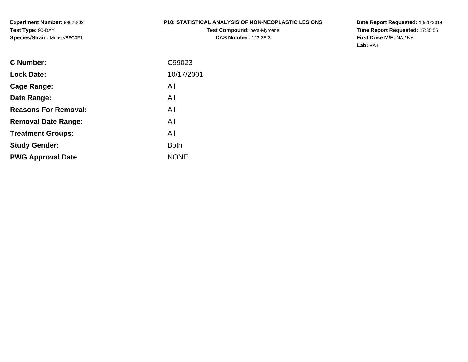**Experiment Number:** 99023-02**Test Type:** 90-DAY**Species/Strain:** Mouse/B6C3F1

#### **P10: STATISTICAL ANALYSIS OF NON-NEOPLASTIC LESIONS**

**Test Compound:** beta-Myrcene**CAS Number:** 123-35-3

**Date Report Requested:** 10/20/2014 **Time Report Requested:** 17:35:55**First Dose M/F:** NA / NA**Lab:** BAT

| <b>C</b> Number:            | C99023      |
|-----------------------------|-------------|
| <b>Lock Date:</b>           | 10/17/2001  |
| Cage Range:                 | All         |
| Date Range:                 | All         |
| <b>Reasons For Removal:</b> | All         |
| <b>Removal Date Range:</b>  | All         |
| <b>Treatment Groups:</b>    | All         |
| <b>Study Gender:</b>        | <b>Both</b> |
| <b>PWG Approval Date</b>    | <b>NONE</b> |
|                             |             |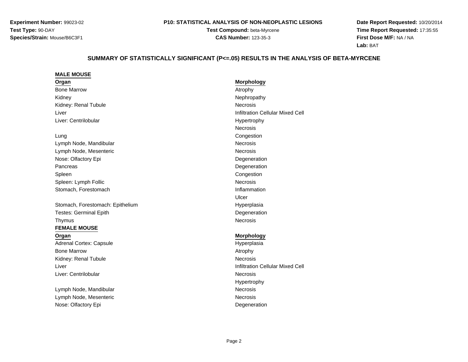**Experiment Number:** 99023-02**Test Type:** 90-DAY**Species/Strain:** Mouse/B6C3F1

#### **P10: STATISTICAL ANALYSIS OF NON-NEOPLASTIC LESIONS**

**Test Compound:** beta-Myrcene**CAS Number:** 123-35-3

**Date Report Requested:** 10/20/2014**Time Report Requested:** 17:35:55**First Dose M/F:** NA / NA**Lab:** BAT

#### SUMMARY OF STATISTICALLY SIGNIFICANT (P<=.05) RESULTS IN THE ANALYSIS OF BETA-MYRCENE

#### **MALE MOUSE**

**Organ**Bone Marroww and the contract of the contract of the contract of the contract of the contract of the contract of the contract of the contract of the contract of the contract of the contract of the contract of the contract of the cont KidneyKidney: Renal Tubulee **Necrosis** LiverLiver: CentrilobularLung Congestion Lymph Node, MandibularLymph Node, Mesentericc **Necrosis** Nose: Olfactory Epis **Supervisor Contract Contract Contract Contract Contract Contract Contract Contract Contract Contract Contract Contract Contract Contract Contract Contract Contract Contract Contract Contract Contract Contract Contract C** PancreasSpleenn and the contract of the contract of the contract of the contract of the contract of the contract of the contract of the contract of the contract of the contract of the contract of the contract of the contract of the cont Spleen: Lymph Follicc **Necrosis** Stomach, Forestomach**Inflammation** 

Stomach, Forestomach: EpitheliumTestes: Germinal EpithThymusNecrosis

#### **FEMALE MOUSE**

**Organ**Adrenal Cortex: CapsuleBone Marroww and the contract of the contract of the contract of the contract of the contract of the contract of the contract of the contract of the contract of the contract of the contract of the contract of the contract of the cont Kidney: Renal TubuleLiverLiver: Centrilobular

Lymph Node, MandibularLymph Node, MesentericNose: Olfactory Epi

 **Morphology** Nephropathy Infiltration Cellular Mixed Cell HypertrophyNecrosisCongestion **Necrosis Necrosis**  DegenerationUlcer Hyperplasia Degeneration<br>Necrosis

#### **Morphology**

Hyperplasia<br>Atrophy e **Necrosis**  Infiltration Cellular Mixed Cell r **Necrosis** Hypertrophyr **Necrosis** Necrosis c **Necrosis** Degeneration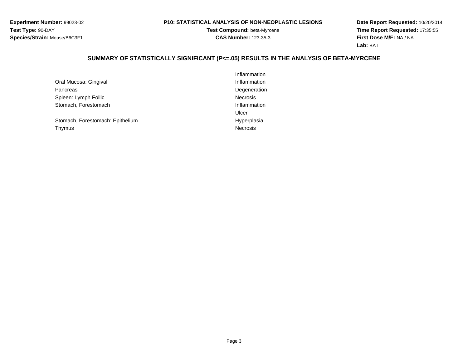**Experiment Number:** 99023-02**Test Type:** 90-DAY**Species/Strain:** Mouse/B6C3F1

#### **P10: STATISTICAL ANALYSIS OF NON-NEOPLASTIC LESIONS**

**Test Compound:** beta-Myrcene**CAS Number:** 123-35-3

**Date Report Requested:** 10/20/2014 **Time Report Requested:** 17:35:55**First Dose M/F:** NA / NA**Lab:** BAT

# **SUMMARY OF STATISTICALLY SIGNIFICANT (P<=.05) RESULTS IN THE ANALYSIS OF BETA-MYRCENE**

|                                  | Inflammation    |
|----------------------------------|-----------------|
| Oral Mucosa: Gingival            | Inflammation    |
| Pancreas                         | Degeneration    |
| Spleen: Lymph Follic             | <b>Necrosis</b> |
| Stomach, Forestomach             | Inflammation    |
|                                  | Ulcer           |
| Stomach, Forestomach: Epithelium | Hyperplasia     |
| Thymus                           | <b>Necrosis</b> |
|                                  |                 |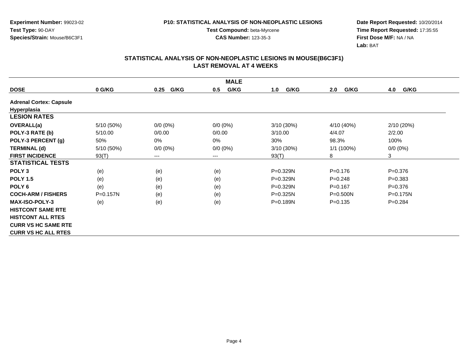**Experiment Number:** 99023-02**Test Type:** 90-DAY**Species/Strain:** Mouse/B6C3F1

**Test Compound:** beta-Myrcene**CAS Number:** 123-35-3

**Date Report Requested:** 10/20/2014 **Time Report Requested:** 17:35:55**First Dose M/F:** NA / NA**Lab:** BAT

| <b>DOSE</b>                    | 0 G/KG     | G/KG<br>0.25 | G/KG<br>0.5 | G/KG<br>1.0  | G/KG<br>2.0  | 4.0<br>G/KG |
|--------------------------------|------------|--------------|-------------|--------------|--------------|-------------|
| <b>Adrenal Cortex: Capsule</b> |            |              |             |              |              |             |
| Hyperplasia                    |            |              |             |              |              |             |
| <b>LESION RATES</b>            |            |              |             |              |              |             |
| OVERALL(a)                     | 5/10 (50%) | $0/0 (0\%)$  | $0/0 (0\%)$ | 3/10 (30%)   | 4/10 (40%)   | 2/10(20%)   |
| POLY-3 RATE (b)                | 5/10.00    | 0/0.00       | 0/0.00      | 3/10.00      | 4/4.07       | 2/2.00      |
| POLY-3 PERCENT (g)             | 50%        | 0%           | $0\%$       | 30%          | 98.3%        | 100%        |
| <b>TERMINAL (d)</b>            | 5/10 (50%) | $0/0 (0\%)$  | $0/0 (0\%)$ | 3/10 (30%)   | $1/1(100\%)$ | $0/0 (0\%)$ |
| <b>FIRST INCIDENCE</b>         | 93(T)      | $---$        | ---         | 93(T)        | 8            | 3           |
| <b>STATISTICAL TESTS</b>       |            |              |             |              |              |             |
| POLY <sub>3</sub>              | (e)        | (e)          | (e)         | P=0.329N     | $P = 0.176$  | $P = 0.376$ |
| <b>POLY 1.5</b>                | (e)        | (e)          | (e)         | $P = 0.329N$ | $P=0.248$    | $P = 0.383$ |
| POLY <sub>6</sub>              | (e)        | (e)          | (e)         | P=0.329N     | $P=0.167$    | $P = 0.376$ |
| <b>COCH-ARM / FISHERS</b>      | P=0.157N   | (e)          | (e)         | $P=0.325N$   | P=0.500N     | P=0.175N    |
| <b>MAX-ISO-POLY-3</b>          | (e)        | (e)          | (e)         | $P = 0.189N$ | $P = 0.135$  | $P=0.284$   |
| <b>HISTCONT SAME RTE</b>       |            |              |             |              |              |             |
| <b>HISTCONT ALL RTES</b>       |            |              |             |              |              |             |
| <b>CURR VS HC SAME RTE</b>     |            |              |             |              |              |             |
| <b>CURR VS HC ALL RTES</b>     |            |              |             |              |              |             |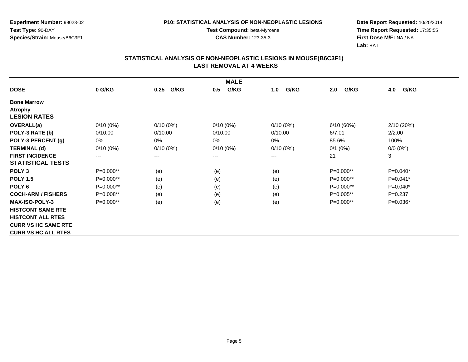**Experiment Number:** 99023-02**Test Type:** 90-DAY**Species/Strain:** Mouse/B6C3F1

**Test Compound:** beta-Myrcene**CAS Number:** 123-35-3

**Date Report Requested:** 10/20/2014 **Time Report Requested:** 17:35:55**First Dose M/F:** NA / NA**Lab:** BAT

| <b>MALE</b>                |                        |              |             |             |             |             |  |  |
|----------------------------|------------------------|--------------|-------------|-------------|-------------|-------------|--|--|
| <b>DOSE</b>                | 0 G/KG                 | G/KG<br>0.25 | G/KG<br>0.5 | G/KG<br>1.0 | G/KG<br>2.0 | 4.0<br>G/KG |  |  |
| <b>Bone Marrow</b>         |                        |              |             |             |             |             |  |  |
| <b>Atrophy</b>             |                        |              |             |             |             |             |  |  |
| <b>LESION RATES</b>        |                        |              |             |             |             |             |  |  |
| <b>OVERALL(a)</b>          | $0/10(0\%)$            | $0/10(0\%)$  | $0/10(0\%)$ | $0/10(0\%)$ | 6/10(60%)   | 2/10 (20%)  |  |  |
| POLY-3 RATE (b)            | 0/10.00                | 0/10.00      | 0/10.00     | 0/10.00     | 6/7.01      | 2/2.00      |  |  |
| POLY-3 PERCENT (g)         | 0%                     | $0\%$        | $0\%$       | 0%          | 85.6%       | 100%        |  |  |
| <b>TERMINAL (d)</b>        | $0/10(0\%)$            | $0/10(0\%)$  | $0/10(0\%)$ | $0/10(0\%)$ | $0/1$ (0%)  | $0/0 (0\%)$ |  |  |
| <b>FIRST INCIDENCE</b>     | $\qquad \qquad \cdots$ | $--$         | ---         | ---         | 21          | 3           |  |  |
| <b>STATISTICAL TESTS</b>   |                        |              |             |             |             |             |  |  |
| POLY <sub>3</sub>          | P=0.000**              | (e)          | (e)         | (e)         | $P=0.000**$ | $P=0.040*$  |  |  |
| <b>POLY 1.5</b>            | P=0.000**              | (e)          | (e)         | (e)         | $P=0.000**$ | $P=0.041*$  |  |  |
| POLY <sub>6</sub>          | P=0.000**              | (e)          | (e)         | (e)         | P=0.000**   | $P=0.040*$  |  |  |
| <b>COCH-ARM / FISHERS</b>  | $P=0.008**$            | (e)          | (e)         | (e)         | $P=0.005**$ | $P=0.237$   |  |  |
| <b>MAX-ISO-POLY-3</b>      | P=0.000**              | (e)          | (e)         | (e)         | P=0.000**   | $P=0.036*$  |  |  |
| <b>HISTCONT SAME RTE</b>   |                        |              |             |             |             |             |  |  |
| <b>HISTCONT ALL RTES</b>   |                        |              |             |             |             |             |  |  |
| <b>CURR VS HC SAME RTE</b> |                        |              |             |             |             |             |  |  |
| <b>CURR VS HC ALL RTES</b> |                        |              |             |             |             |             |  |  |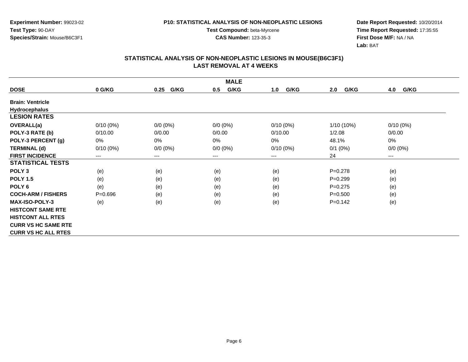**Experiment Number:** 99023-02**Test Type:** 90-DAY**Species/Strain:** Mouse/B6C3F1

**Test Compound:** beta-Myrcene**CAS Number:** 123-35-3

**Date Report Requested:** 10/20/2014 **Time Report Requested:** 17:35:55**First Dose M/F:** NA / NA**Lab:** BAT

| <b>MALE</b>                |             |              |             |             |              |             |  |
|----------------------------|-------------|--------------|-------------|-------------|--------------|-------------|--|
| <b>DOSE</b>                | 0 G/KG      | G/KG<br>0.25 | G/KG<br>0.5 | G/KG<br>1.0 | G/KG<br>2.0  | 4.0<br>G/KG |  |
| <b>Brain: Ventricle</b>    |             |              |             |             |              |             |  |
| <b>Hydrocephalus</b>       |             |              |             |             |              |             |  |
| <b>LESION RATES</b>        |             |              |             |             |              |             |  |
| <b>OVERALL(a)</b>          | $0/10(0\%)$ | 0/0 (0%)     | $0/0 (0\%)$ | $0/10(0\%)$ | $1/10(10\%)$ | $0/10(0\%)$ |  |
| POLY-3 RATE (b)            | 0/10.00     | 0/0.00       | 0/0.00      | 0/10.00     | 1/2.08       | 0/0.00      |  |
| POLY-3 PERCENT (g)         | 0%          | 0%           | 0%          | 0%          | 48.1%        | 0%          |  |
| <b>TERMINAL (d)</b>        | $0/10(0\%)$ | $0/0 (0\%)$  | $0/0 (0\%)$ | $0/10(0\%)$ | $0/1$ (0%)   | $0/0 (0\%)$ |  |
| <b>FIRST INCIDENCE</b>     | $---$       | $---$        | $---$       | ---         | 24           | $\cdots$    |  |
| <b>STATISTICAL TESTS</b>   |             |              |             |             |              |             |  |
| POLY <sub>3</sub>          | (e)         | (e)          | (e)         | (e)         | $P = 0.278$  | (e)         |  |
| <b>POLY 1.5</b>            | (e)         | (e)          | (e)         | (e)         | $P = 0.299$  | (e)         |  |
| POLY <sub>6</sub>          | (e)         | (e)          | (e)         | (e)         | $P=0.275$    | (e)         |  |
| <b>COCH-ARM / FISHERS</b>  | $P = 0.696$ | (e)          | (e)         | (e)         | $P = 0.500$  | (e)         |  |
| <b>MAX-ISO-POLY-3</b>      | (e)         | (e)          | (e)         | (e)         | $P=0.142$    | (e)         |  |
| <b>HISTCONT SAME RTE</b>   |             |              |             |             |              |             |  |
| <b>HISTCONT ALL RTES</b>   |             |              |             |             |              |             |  |
| <b>CURR VS HC SAME RTE</b> |             |              |             |             |              |             |  |
| <b>CURR VS HC ALL RTES</b> |             |              |             |             |              |             |  |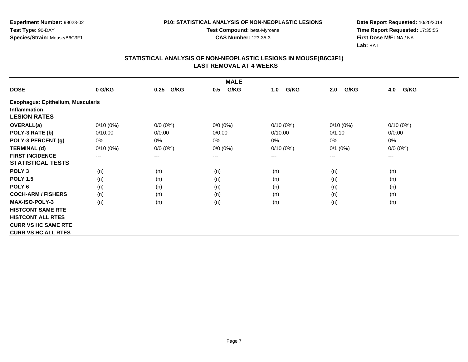**Experiment Number:** 99023-02**Test Type:** 90-DAY**Species/Strain:** Mouse/B6C3F1

**Test Compound:** beta-Myrcene**CAS Number:** 123-35-3

**Date Report Requested:** 10/20/2014 **Time Report Requested:** 17:35:55**First Dose M/F:** NA / NA**Lab:** BAT

|                                          |             |                        | <b>MALE</b> |             |             |                        |
|------------------------------------------|-------------|------------------------|-------------|-------------|-------------|------------------------|
| <b>DOSE</b>                              | 0 G/KG      | G/KG<br>0.25           | G/KG<br>0.5 | G/KG<br>1.0 | G/KG<br>2.0 | 4.0<br>G/KG            |
| <b>Esophagus: Epithelium, Muscularis</b> |             |                        |             |             |             |                        |
| <b>Inflammation</b>                      |             |                        |             |             |             |                        |
| <b>LESION RATES</b>                      |             |                        |             |             |             |                        |
| <b>OVERALL(a)</b>                        | $0/10(0\%)$ | $0/0 (0\%)$            | $0/0 (0\%)$ | $0/10(0\%)$ | $0/10(0\%)$ | $0/10(0\%)$            |
| POLY-3 RATE (b)                          | 0/10.00     | 0/0.00                 | 0/0.00      | 0/10.00     | 0/1.10      | 0/0.00                 |
| POLY-3 PERCENT (g)                       | 0%          | 0%                     | 0%          | 0%          | 0%          | 0%                     |
| <b>TERMINAL (d)</b>                      | $0/10(0\%)$ | $0/0 (0\%)$            | $0/0 (0\%)$ | $0/10(0\%)$ | $0/1$ (0%)  | $0/0 (0\%)$            |
| <b>FIRST INCIDENCE</b>                   | ---         | $\qquad \qquad \cdots$ | $---$       | ---         | $---$       | $\qquad \qquad \cdots$ |
| <b>STATISTICAL TESTS</b>                 |             |                        |             |             |             |                        |
| POLY <sub>3</sub>                        | (n)         | (n)                    | (n)         | (n)         | (n)         | (n)                    |
| <b>POLY 1.5</b>                          | (n)         | (n)                    | (n)         | (n)         | (n)         | (n)                    |
| POLY <sub>6</sub>                        | (n)         | (n)                    | (n)         | (n)         | (n)         | (n)                    |
| <b>COCH-ARM / FISHERS</b>                | (n)         | (n)                    | (n)         | (n)         | (n)         | (n)                    |
| <b>MAX-ISO-POLY-3</b>                    | (n)         | (n)                    | (n)         | (n)         | (n)         | (n)                    |
| <b>HISTCONT SAME RTE</b>                 |             |                        |             |             |             |                        |
| <b>HISTCONT ALL RTES</b>                 |             |                        |             |             |             |                        |
| <b>CURR VS HC SAME RTE</b>               |             |                        |             |             |             |                        |
| <b>CURR VS HC ALL RTES</b>               |             |                        |             |             |             |                        |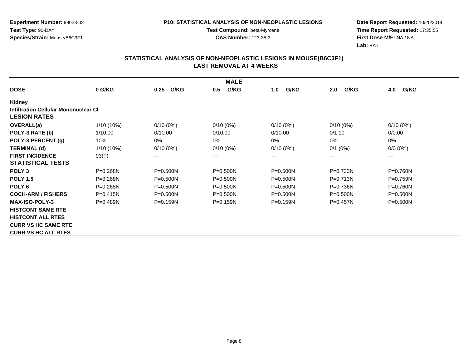**Experiment Number:** 99023-02**Test Type:** 90-DAY**Species/Strain:** Mouse/B6C3F1

**Test Compound:** beta-Myrcene**CAS Number:** 123-35-3

**Date Report Requested:** 10/20/2014 **Time Report Requested:** 17:35:55**First Dose M/F:** NA / NA**Lab:** BAT

|                                             |              |              | <b>MALE</b>  |              |              |              |
|---------------------------------------------|--------------|--------------|--------------|--------------|--------------|--------------|
| <b>DOSE</b>                                 | 0 G/KG       | G/KG<br>0.25 | G/KG<br>0.5  | G/KG<br>1.0  | 2.0<br>G/KG  | 4.0<br>G/KG  |
| Kidney                                      |              |              |              |              |              |              |
| <b>Infiltration Cellular Mononuclear CI</b> |              |              |              |              |              |              |
| <b>LESION RATES</b>                         |              |              |              |              |              |              |
| <b>OVERALL(a)</b>                           | 1/10 (10%)   | $0/10(0\%)$  | $0/10(0\%)$  | $0/10(0\%)$  | $0/10(0\%)$  | $0/10(0\%)$  |
| POLY-3 RATE (b)                             | 1/10.00      | 0/10.00      | 0/10.00      | 0/10.00      | 0/1.10       | 0/0.00       |
| POLY-3 PERCENT (g)                          | 10%          | $0\%$        | 0%           | 0%           | 0%           | 0%           |
| <b>TERMINAL (d)</b>                         | $1/10(10\%)$ | $0/10(0\%)$  | $0/10(0\%)$  | $0/10(0\%)$  | $0/1$ (0%)   | $0/0 (0\%)$  |
| <b>FIRST INCIDENCE</b>                      | 93(T)        | ---          | ---          | ---          | ---          | $--$         |
| <b>STATISTICAL TESTS</b>                    |              |              |              |              |              |              |
| POLY <sub>3</sub>                           | $P = 0.268N$ | $P = 0.500N$ | $P = 0.500N$ | $P = 0.500N$ | $P = 0.733N$ | $P = 0.760N$ |
| <b>POLY 1.5</b>                             | $P = 0.268N$ | $P = 0.500N$ | $P = 0.500N$ | $P = 0.500N$ | $P = 0.713N$ | $P=0.759N$   |
| POLY <sub>6</sub>                           | $P = 0.268N$ | $P = 0.500N$ | $P = 0.500N$ | $P = 0.500N$ | P=0.736N     | $P = 0.760N$ |
| <b>COCH-ARM / FISHERS</b>                   | $P = 0.415N$ | $P = 0.500N$ | $P = 0.500N$ | $P = 0.500N$ | $P = 0.500N$ | $P = 0.500N$ |
| <b>MAX-ISO-POLY-3</b>                       | $P = 0.489N$ | $P = 0.159N$ | $P = 0.159N$ | $P = 0.159N$ | $P=0.457N$   | $P = 0.500N$ |
| <b>HISTCONT SAME RTE</b>                    |              |              |              |              |              |              |
| <b>HISTCONT ALL RTES</b>                    |              |              |              |              |              |              |
| <b>CURR VS HC SAME RTE</b>                  |              |              |              |              |              |              |
| <b>CURR VS HC ALL RTES</b>                  |              |              |              |              |              |              |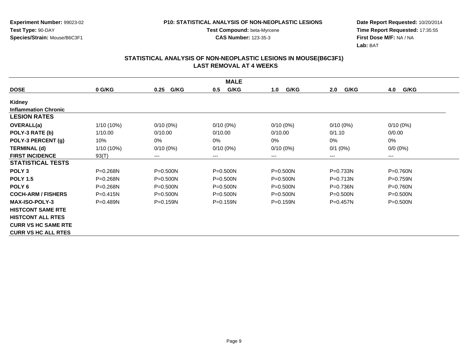**Experiment Number:** 99023-02**Test Type:** 90-DAY**Species/Strain:** Mouse/B6C3F1

**Test Compound:** beta-Myrcene**CAS Number:** 123-35-3

**Date Report Requested:** 10/20/2014 **Time Report Requested:** 17:35:55**First Dose M/F:** NA / NA**Lab:** BAT

|                             |              |              | <b>MALE</b>  |              |              |              |
|-----------------------------|--------------|--------------|--------------|--------------|--------------|--------------|
| <b>DOSE</b>                 | 0 G/KG       | G/KG<br>0.25 | G/KG<br>0.5  | G/KG<br>1.0  | G/KG<br>2.0  | G/KG<br>4.0  |
| Kidney                      |              |              |              |              |              |              |
| <b>Inflammation Chronic</b> |              |              |              |              |              |              |
| <b>LESION RATES</b>         |              |              |              |              |              |              |
| <b>OVERALL(a)</b>           | $1/10(10\%)$ | $0/10(0\%)$  | $0/10(0\%)$  | $0/10(0\%)$  | $0/10(0\%)$  | $0/10(0\%)$  |
| POLY-3 RATE (b)             | 1/10.00      | 0/10.00      | 0/10.00      | 0/10.00      | 0/1.10       | 0/0.00       |
| POLY-3 PERCENT (g)          | 10%          | 0%           | 0%           | 0%           | $0\%$        | 0%           |
| <b>TERMINAL (d)</b>         | $1/10(10\%)$ | $0/10(0\%)$  | $0/10(0\%)$  | $0/10(0\%)$  | $0/1$ (0%)   | $0/0 (0\%)$  |
| <b>FIRST INCIDENCE</b>      | 93(T)        | $---$        | ---          | ---          | $---$        | $---$        |
| <b>STATISTICAL TESTS</b>    |              |              |              |              |              |              |
| POLY <sub>3</sub>           | $P = 0.268N$ | $P = 0.500N$ | $P = 0.500N$ | $P = 0.500N$ | $P = 0.733N$ | $P = 0.760N$ |
| <b>POLY 1.5</b>             | $P = 0.268N$ | $P = 0.500N$ | P=0.500N     | $P = 0.500N$ | $P = 0.713N$ | $P = 0.759N$ |
| POLY <sub>6</sub>           | $P = 0.268N$ | P=0.500N     | P=0.500N     | $P = 0.500N$ | $P = 0.736N$ | $P = 0.760N$ |
| <b>COCH-ARM / FISHERS</b>   | $P = 0.415N$ | $P = 0.500N$ | $P = 0.500N$ | $P = 0.500N$ | $P = 0.500N$ | $P = 0.500N$ |
| <b>MAX-ISO-POLY-3</b>       | $P = 0.489N$ | $P = 0.159N$ | $P = 0.159N$ | $P = 0.159N$ | $P = 0.457N$ | $P = 0.500N$ |
| <b>HISTCONT SAME RTE</b>    |              |              |              |              |              |              |
| <b>HISTCONT ALL RTES</b>    |              |              |              |              |              |              |
| <b>CURR VS HC SAME RTE</b>  |              |              |              |              |              |              |
| <b>CURR VS HC ALL RTES</b>  |              |              |              |              |              |              |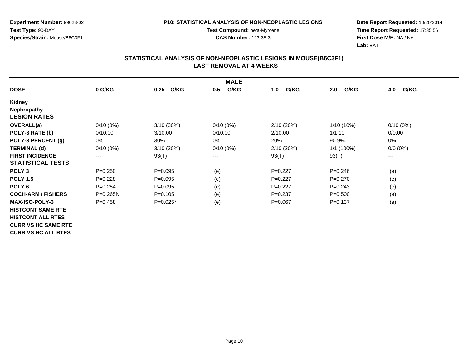**Experiment Number:** 99023-02**Test Type:** 90-DAY**Species/Strain:** Mouse/B6C3F1

**Test Compound:** beta-Myrcene**CAS Number:** 123-35-3

**Date Report Requested:** 10/20/2014 **Time Report Requested:** 17:35:56**First Dose M/F:** NA / NA**Lab:** BAT

| <b>DOSE</b>                | 0 G/KG                     | G/KG<br>0.25 | G/KG<br>0.5 | G/KG<br>1.0 | G/KG<br>2.0  | G/KG<br>4.0 |
|----------------------------|----------------------------|--------------|-------------|-------------|--------------|-------------|
| Kidney                     |                            |              |             |             |              |             |
| <b>Nephropathy</b>         |                            |              |             |             |              |             |
| <b>LESION RATES</b>        |                            |              |             |             |              |             |
| <b>OVERALL(a)</b>          | $0/10(0\%)$                | 3/10(30%)    | $0/10(0\%)$ | 2/10 (20%)  | $1/10(10\%)$ | $0/10(0\%)$ |
| POLY-3 RATE (b)            | 0/10.00                    | 3/10.00      | 0/10.00     | 2/10.00     | 1/1.10       | 0/0.00      |
| POLY-3 PERCENT (g)         | 0%                         | 30%          | 0%          | 20%         | 90.9%        | 0%          |
| <b>TERMINAL (d)</b>        | $0/10(0\%)$                | 3/10(30%)    | $0/10(0\%)$ | 2/10(20%)   | $1/1(100\%)$ | $0/0 (0\%)$ |
| <b>FIRST INCIDENCE</b>     | $\qquad \qquad - \qquad -$ | 93(T)        | ---         | 93(T)       | 93(T)        | $---$       |
| <b>STATISTICAL TESTS</b>   |                            |              |             |             |              |             |
| POLY <sub>3</sub>          | $P = 0.250$                | $P=0.095$    | (e)         | $P=0.227$   | $P = 0.246$  | (e)         |
| <b>POLY 1.5</b>            | $P=0.228$                  | $P=0.095$    | (e)         | $P=0.227$   | $P=0.270$    | (e)         |
| POLY <sub>6</sub>          | $P=0.254$                  | $P=0.095$    | (e)         | $P=0.227$   | $P=0.243$    | (e)         |
| <b>COCH-ARM / FISHERS</b>  | $P = 0.265N$               | $P=0.105$    | (e)         | $P = 0.237$ | $P = 0.500$  | (e)         |
| <b>MAX-ISO-POLY-3</b>      | $P=0.458$                  | $P=0.025*$   | (e)         | $P = 0.067$ | $P = 0.137$  | (e)         |
| <b>HISTCONT SAME RTE</b>   |                            |              |             |             |              |             |
| <b>HISTCONT ALL RTES</b>   |                            |              |             |             |              |             |
| <b>CURR VS HC SAME RTE</b> |                            |              |             |             |              |             |
| <b>CURR VS HC ALL RTES</b> |                            |              |             |             |              |             |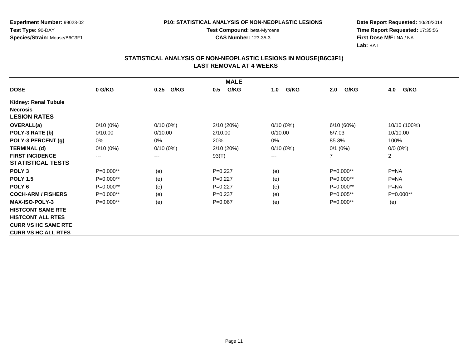**Experiment Number:** 99023-02**Test Type:** 90-DAY**Species/Strain:** Mouse/B6C3F1

**Test Compound:** beta-Myrcene**CAS Number:** 123-35-3

**Date Report Requested:** 10/20/2014 **Time Report Requested:** 17:35:56**First Dose M/F:** NA / NA**Lab:** BAT

|                            |             |              | <b>MALE</b> |             |             |                |
|----------------------------|-------------|--------------|-------------|-------------|-------------|----------------|
| <b>DOSE</b>                | 0 G/KG      | G/KG<br>0.25 | G/KG<br>0.5 | G/KG<br>1.0 | 2.0<br>G/KG | G/KG<br>4.0    |
| Kidney: Renal Tubule       |             |              |             |             |             |                |
| <b>Necrosis</b>            |             |              |             |             |             |                |
| <b>LESION RATES</b>        |             |              |             |             |             |                |
| <b>OVERALL(a)</b>          | $0/10(0\%)$ | $0/10(0\%)$  | 2/10(20%)   | $0/10(0\%)$ | 6/10(60%)   | 10/10 (100%)   |
| POLY-3 RATE (b)            | 0/10.00     | 0/10.00      | 2/10.00     | 0/10.00     | 6/7.03      | 10/10.00       |
| POLY-3 PERCENT (g)         | 0%          | 0%           | 20%         | 0%          | 85.3%       | 100%           |
| <b>TERMINAL (d)</b>        | $0/10(0\%)$ | $0/10(0\%)$  | 2/10(20%)   | $0/10(0\%)$ | $0/1$ (0%)  | $0/0 (0\%)$    |
| <b>FIRST INCIDENCE</b>     | $--$        | $---$        | 93(T)       | ---         | 7           | $\overline{2}$ |
| <b>STATISTICAL TESTS</b>   |             |              |             |             |             |                |
| POLY <sub>3</sub>          | $P=0.000**$ | (e)          | $P=0.227$   | (e)         | P=0.000**   | $P = NA$       |
| <b>POLY 1.5</b>            | $P=0.000**$ | (e)          | $P=0.227$   | (e)         | P=0.000**   | $P=NA$         |
| POLY <sub>6</sub>          | P=0.000**   | (e)          | $P=0.227$   | (e)         | P=0.000**   | $P = NA$       |
| <b>COCH-ARM / FISHERS</b>  | $P=0.000**$ | (e)          | $P = 0.237$ | (e)         | P=0.005**   | $P=0.000**$    |
| <b>MAX-ISO-POLY-3</b>      | $P=0.000**$ | (e)          | $P = 0.067$ | (e)         | $P=0.000**$ | (e)            |
| <b>HISTCONT SAME RTE</b>   |             |              |             |             |             |                |
| <b>HISTCONT ALL RTES</b>   |             |              |             |             |             |                |
| <b>CURR VS HC SAME RTE</b> |             |              |             |             |             |                |
| <b>CURR VS HC ALL RTES</b> |             |              |             |             |             |                |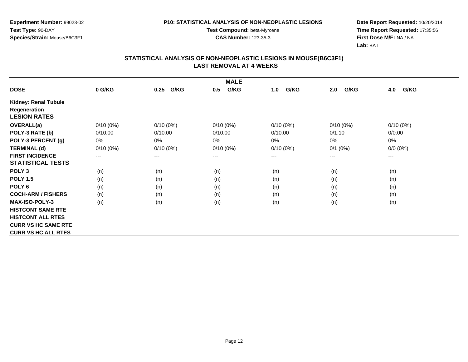**Experiment Number:** 99023-02**Test Type:** 90-DAY**Species/Strain:** Mouse/B6C3F1

**Test Compound:** beta-Myrcene**CAS Number:** 123-35-3

**Date Report Requested:** 10/20/2014 **Time Report Requested:** 17:35:56**First Dose M/F:** NA / NA**Lab:** BAT

| <b>MALE</b>                 |                            |                                          |             |             |             |             |  |  |
|-----------------------------|----------------------------|------------------------------------------|-------------|-------------|-------------|-------------|--|--|
| <b>DOSE</b>                 | 0 G/KG                     | G/KG<br>0.25                             | G/KG<br>0.5 | G/KG<br>1.0 | G/KG<br>2.0 | 4.0<br>G/KG |  |  |
| <b>Kidney: Renal Tubule</b> |                            |                                          |             |             |             |             |  |  |
| Regeneration                |                            |                                          |             |             |             |             |  |  |
| <b>LESION RATES</b>         |                            |                                          |             |             |             |             |  |  |
| <b>OVERALL(a)</b>           | $0/10(0\%)$                | $0/10(0\%)$                              | $0/10(0\%)$ | $0/10(0\%)$ | $0/10(0\%)$ | $0/10(0\%)$ |  |  |
| POLY-3 RATE (b)             | 0/10.00                    | 0/10.00                                  | 0/10.00     | 0/10.00     | 0/1.10      | 0/0.00      |  |  |
| POLY-3 PERCENT (g)          | 0%                         | 0%                                       | 0%          | 0%          | 0%          | 0%          |  |  |
| <b>TERMINAL (d)</b>         | $0/10(0\%)$                | $0/10(0\%)$                              | $0/10(0\%)$ | $0/10(0\%)$ | $0/1$ (0%)  | $0/0 (0\%)$ |  |  |
| <b>FIRST INCIDENCE</b>      | $\qquad \qquad - \qquad -$ | $\hspace{0.05cm} \ldots \hspace{0.05cm}$ | $--$        | ---         | $---$       | ---         |  |  |
| <b>STATISTICAL TESTS</b>    |                            |                                          |             |             |             |             |  |  |
| POLY <sub>3</sub>           | (n)                        | (n)                                      | (n)         | (n)         | (n)         | (n)         |  |  |
| <b>POLY 1.5</b>             | (n)                        | (n)                                      | (n)         | (n)         | (n)         | (n)         |  |  |
| POLY <sub>6</sub>           | (n)                        | (n)                                      | (n)         | (n)         | (n)         | (n)         |  |  |
| <b>COCH-ARM / FISHERS</b>   | (n)                        | (n)                                      | (n)         | (n)         | (n)         | (n)         |  |  |
| <b>MAX-ISO-POLY-3</b>       | (n)                        | (n)                                      | (n)         | (n)         | (n)         | (n)         |  |  |
| <b>HISTCONT SAME RTE</b>    |                            |                                          |             |             |             |             |  |  |
| <b>HISTCONT ALL RTES</b>    |                            |                                          |             |             |             |             |  |  |
| <b>CURR VS HC SAME RTE</b>  |                            |                                          |             |             |             |             |  |  |
| <b>CURR VS HC ALL RTES</b>  |                            |                                          |             |             |             |             |  |  |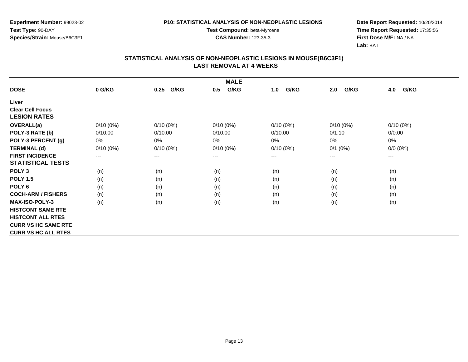**Experiment Number:** 99023-02**Test Type:** 90-DAY**Species/Strain:** Mouse/B6C3F1

**Test Compound:** beta-Myrcene**CAS Number:** 123-35-3

**Date Report Requested:** 10/20/2014 **Time Report Requested:** 17:35:56**First Dose M/F:** NA / NA**Lab:** BAT

| <b>DOSE</b>                | 0 G/KG      | G/KG<br>0.25 | G/KG<br>0.5 | G/KG<br>1.0 | G/KG<br>2.0 | 4.0<br>G/KG |
|----------------------------|-------------|--------------|-------------|-------------|-------------|-------------|
| Liver                      |             |              |             |             |             |             |
| <b>Clear Cell Focus</b>    |             |              |             |             |             |             |
| <b>LESION RATES</b>        |             |              |             |             |             |             |
| <b>OVERALL(a)</b>          | $0/10(0\%)$ | $0/10(0\%)$  | $0/10(0\%)$ | $0/10(0\%)$ | $0/10(0\%)$ | $0/10(0\%)$ |
| POLY-3 RATE (b)            | 0/10.00     | 0/10.00      | 0/10.00     | 0/10.00     | 0/1.10      | 0/0.00      |
| POLY-3 PERCENT (g)         | 0%          | 0%           | 0%          | 0%          | 0%          | $0\%$       |
| <b>TERMINAL (d)</b>        | $0/10(0\%)$ | $0/10(0\%)$  | $0/10(0\%)$ | $0/10(0\%)$ | $0/1$ (0%)  | $0/0 (0\%)$ |
| <b>FIRST INCIDENCE</b>     | ---         | $\cdots$     | $---$       | ---         | $---$       | ---         |
| <b>STATISTICAL TESTS</b>   |             |              |             |             |             |             |
| POLY <sub>3</sub>          | (n)         | (n)          | (n)         | (n)         | (n)         | (n)         |
| <b>POLY 1.5</b>            | (n)         | (n)          | (n)         | (n)         | (n)         | (n)         |
| POLY <sub>6</sub>          | (n)         | (n)          | (n)         | (n)         | (n)         | (n)         |
| <b>COCH-ARM / FISHERS</b>  | (n)         | (n)          | (n)         | (n)         | (n)         | (n)         |
| <b>MAX-ISO-POLY-3</b>      | (n)         | (n)          | (n)         | (n)         | (n)         | (n)         |
| <b>HISTCONT SAME RTE</b>   |             |              |             |             |             |             |
| <b>HISTCONT ALL RTES</b>   |             |              |             |             |             |             |
| <b>CURR VS HC SAME RTE</b> |             |              |             |             |             |             |
| <b>CURR VS HC ALL RTES</b> |             |              |             |             |             |             |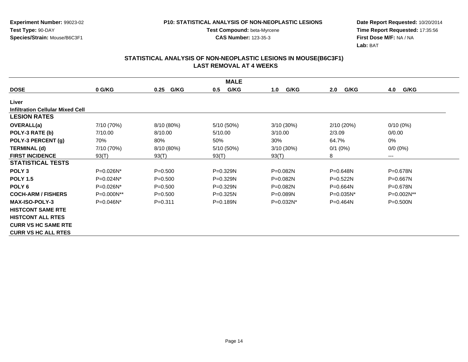**Experiment Number:** 99023-02**Test Type:** 90-DAY**Species/Strain:** Mouse/B6C3F1

**Test Compound:** beta-Myrcene**CAS Number:** 123-35-3

**Date Report Requested:** 10/20/2014 **Time Report Requested:** 17:35:56**First Dose M/F:** NA / NA**Lab:** BAT

|                                         |              |              | <b>MALE</b>  |              |              |              |
|-----------------------------------------|--------------|--------------|--------------|--------------|--------------|--------------|
| <b>DOSE</b>                             | 0 G/KG       | G/KG<br>0.25 | G/KG<br>0.5  | G/KG<br>1.0  | 2.0<br>G/KG  | G/KG<br>4.0  |
| Liver                                   |              |              |              |              |              |              |
| <b>Infiltration Cellular Mixed Cell</b> |              |              |              |              |              |              |
| <b>LESION RATES</b>                     |              |              |              |              |              |              |
| <b>OVERALL(a)</b>                       | 7/10 (70%)   | 8/10 (80%)   | 5/10 (50%)   | 3/10(30%)    | 2/10(20%)    | $0/10(0\%)$  |
| POLY-3 RATE (b)                         | 7/10.00      | 8/10.00      | 5/10.00      | 3/10.00      | 2/3.09       | 0/0.00       |
| POLY-3 PERCENT (g)                      | 70%          | 80%          | 50%          | 30%          | 64.7%        | 0%           |
| <b>TERMINAL (d)</b>                     | 7/10 (70%)   | 8/10 (80%)   | 5/10 (50%)   | $3/10(30\%)$ | $0/1$ (0%)   | $0/0 (0\%)$  |
| <b>FIRST INCIDENCE</b>                  | 93(T)        | 93(T)        | 93(T)        | 93(T)        | 8            | $--$         |
| <b>STATISTICAL TESTS</b>                |              |              |              |              |              |              |
| POLY <sub>3</sub>                       | P=0.026N*    | $P = 0.500$  | P=0.329N     | $P = 0.082N$ | $P = 0.648N$ | P=0.678N     |
| <b>POLY 1.5</b>                         | $P=0.024N^*$ | $P = 0.500$  | $P = 0.329N$ | $P = 0.082N$ | $P = 0.522N$ | $P = 0.667N$ |
| POLY <sub>6</sub>                       | $P=0.026N^*$ | $P = 0.500$  | P=0.329N     | P=0.082N     | $P = 0.664N$ | $P = 0.678N$ |
| <b>COCH-ARM / FISHERS</b>               | P=0.000N**   | $P = 0.500$  | $P = 0.325N$ | $P = 0.089N$ | $P=0.035N^*$ | P=0.002N**   |
| <b>MAX-ISO-POLY-3</b>                   | $P=0.046N^*$ | $P = 0.311$  | $P = 0.189N$ | $P=0.032N^*$ | $P=0.464N$   | $P = 0.500N$ |
| <b>HISTCONT SAME RTE</b>                |              |              |              |              |              |              |
| <b>HISTCONT ALL RTES</b>                |              |              |              |              |              |              |
| <b>CURR VS HC SAME RTE</b>              |              |              |              |              |              |              |
| <b>CURR VS HC ALL RTES</b>              |              |              |              |              |              |              |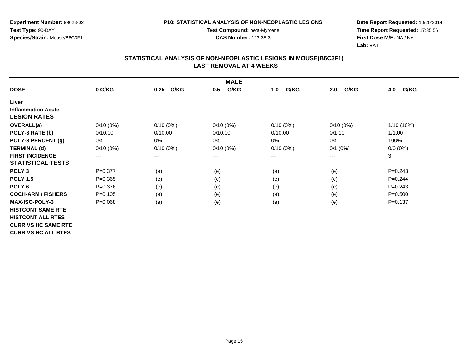**Experiment Number:** 99023-02**Test Type:** 90-DAY**Species/Strain:** Mouse/B6C3F1

**Test Compound:** beta-Myrcene**CAS Number:** 123-35-3

**Date Report Requested:** 10/20/2014 **Time Report Requested:** 17:35:56**First Dose M/F:** NA / NA**Lab:** BAT

| <b>MALE</b>                |             |              |             |             |             |             |  |  |
|----------------------------|-------------|--------------|-------------|-------------|-------------|-------------|--|--|
| <b>DOSE</b>                | 0 G/KG      | G/KG<br>0.25 | G/KG<br>0.5 | G/KG<br>1.0 | G/KG<br>2.0 | 4.0<br>G/KG |  |  |
| Liver                      |             |              |             |             |             |             |  |  |
| <b>Inflammation Acute</b>  |             |              |             |             |             |             |  |  |
| <b>LESION RATES</b>        |             |              |             |             |             |             |  |  |
| <b>OVERALL(a)</b>          | $0/10(0\%)$ | $0/10(0\%)$  | $0/10(0\%)$ | $0/10(0\%)$ | $0/10(0\%)$ | 1/10 (10%)  |  |  |
| POLY-3 RATE (b)            | 0/10.00     | 0/10.00      | 0/10.00     | 0/10.00     | 0/1.10      | 1/1.00      |  |  |
| POLY-3 PERCENT (g)         | 0%          | $0\%$        | $0\%$       | 0%          | 0%          | 100%        |  |  |
| <b>TERMINAL (d)</b>        | $0/10(0\%)$ | $0/10(0\%)$  | $0/10(0\%)$ | $0/10(0\%)$ | $0/1$ (0%)  | $0/0 (0\%)$ |  |  |
| <b>FIRST INCIDENCE</b>     | $---$       | $---$        | ---         | ---         | $---$       | 3           |  |  |
| <b>STATISTICAL TESTS</b>   |             |              |             |             |             |             |  |  |
| POLY <sub>3</sub>          | $P=0.377$   | (e)          | (e)         | (e)         | (e)         | $P=0.243$   |  |  |
| <b>POLY 1.5</b>            | $P = 0.365$ | (e)          | (e)         | (e)         | (e)         | $P=0.244$   |  |  |
| POLY <sub>6</sub>          | $P = 0.376$ | (e)          | (e)         | (e)         | (e)         | $P=0.243$   |  |  |
| <b>COCH-ARM / FISHERS</b>  | $P = 0.105$ | (e)          | (e)         | (e)         | (e)         | $P = 0.500$ |  |  |
| <b>MAX-ISO-POLY-3</b>      | $P = 0.068$ | (e)          | (e)         | (e)         | (e)         | $P = 0.137$ |  |  |
| <b>HISTCONT SAME RTE</b>   |             |              |             |             |             |             |  |  |
| <b>HISTCONT ALL RTES</b>   |             |              |             |             |             |             |  |  |
| <b>CURR VS HC SAME RTE</b> |             |              |             |             |             |             |  |  |
| <b>CURR VS HC ALL RTES</b> |             |              |             |             |             |             |  |  |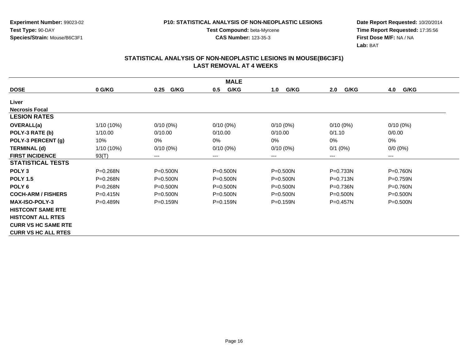**Experiment Number:** 99023-02**Test Type:** 90-DAY**Species/Strain:** Mouse/B6C3F1

**Test Compound:** beta-Myrcene**CAS Number:** 123-35-3

**Date Report Requested:** 10/20/2014 **Time Report Requested:** 17:35:56**First Dose M/F:** NA / NA**Lab:** BAT

|                            | <b>MALE</b>  |              |              |              |              |              |  |  |  |
|----------------------------|--------------|--------------|--------------|--------------|--------------|--------------|--|--|--|
| <b>DOSE</b>                | 0 G/KG       | G/KG<br>0.25 | G/KG<br>0.5  | G/KG<br>1.0  | G/KG<br>2.0  | G/KG<br>4.0  |  |  |  |
| Liver                      |              |              |              |              |              |              |  |  |  |
| <b>Necrosis Focal</b>      |              |              |              |              |              |              |  |  |  |
| <b>LESION RATES</b>        |              |              |              |              |              |              |  |  |  |
| OVERALL(a)                 | $1/10(10\%)$ | $0/10(0\%)$  | $0/10(0\%)$  | $0/10(0\%)$  | $0/10(0\%)$  | $0/10(0\%)$  |  |  |  |
| POLY-3 RATE (b)            | 1/10.00      | 0/10.00      | 0/10.00      | 0/10.00      | 0/1.10       | 0/0.00       |  |  |  |
| POLY-3 PERCENT (g)         | 10%          | $0\%$        | 0%           | 0%           | 0%           | 0%           |  |  |  |
| <b>TERMINAL (d)</b>        | $1/10(10\%)$ | $0/10(0\%)$  | $0/10(0\%)$  | $0/10(0\%)$  | $0/1$ (0%)   | $0/0 (0\%)$  |  |  |  |
| <b>FIRST INCIDENCE</b>     | 93(T)        | $---$        | ---          | ---          | ---          | $---$        |  |  |  |
| <b>STATISTICAL TESTS</b>   |              |              |              |              |              |              |  |  |  |
| POLY <sub>3</sub>          | P=0.268N     | $P = 0.500N$ | $P = 0.500N$ | $P = 0.500N$ | P=0.733N     | P=0.760N     |  |  |  |
| <b>POLY 1.5</b>            | P=0.268N     | $P = 0.500N$ | $P = 0.500N$ | $P = 0.500N$ | P=0.713N     | P=0.759N     |  |  |  |
| POLY <sub>6</sub>          | $P = 0.268N$ | $P = 0.500N$ | $P = 0.500N$ | $P = 0.500N$ | $P = 0.736N$ | $P = 0.760N$ |  |  |  |
| <b>COCH-ARM / FISHERS</b>  | $P = 0.415N$ | $P = 0.500N$ | $P = 0.500N$ | $P = 0.500N$ | $P = 0.500N$ | $P = 0.500N$ |  |  |  |
| <b>MAX-ISO-POLY-3</b>      | $P = 0.489N$ | $P = 0.159N$ | $P = 0.159N$ | $P = 0.159N$ | $P = 0.457N$ | $P = 0.500N$ |  |  |  |
| <b>HISTCONT SAME RTE</b>   |              |              |              |              |              |              |  |  |  |
| <b>HISTCONT ALL RTES</b>   |              |              |              |              |              |              |  |  |  |
| <b>CURR VS HC SAME RTE</b> |              |              |              |              |              |              |  |  |  |
| <b>CURR VS HC ALL RTES</b> |              |              |              |              |              |              |  |  |  |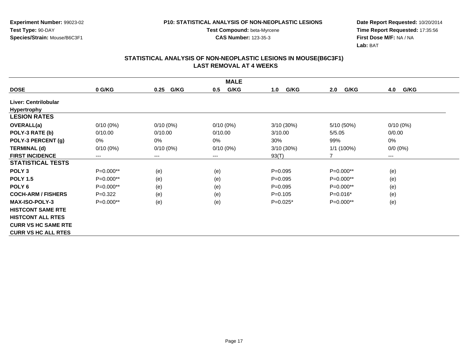**Experiment Number:** 99023-02**Test Type:** 90-DAY**Species/Strain:** Mouse/B6C3F1

**Test Compound:** beta-Myrcene**CAS Number:** 123-35-3

**Date Report Requested:** 10/20/2014 **Time Report Requested:** 17:35:56**First Dose M/F:** NA / NA**Lab:** BAT

|                            |             |                        | <b>MALE</b> |             |              |             |
|----------------------------|-------------|------------------------|-------------|-------------|--------------|-------------|
| <b>DOSE</b>                | 0 G/KG      | G/KG<br>0.25           | G/KG<br>0.5 | G/KG<br>1.0 | G/KG<br>2.0  | 4.0<br>G/KG |
| Liver: Centrilobular       |             |                        |             |             |              |             |
| <b>Hypertrophy</b>         |             |                        |             |             |              |             |
| <b>LESION RATES</b>        |             |                        |             |             |              |             |
| <b>OVERALL(a)</b>          | $0/10(0\%)$ | $0/10(0\%)$            | $0/10(0\%)$ | 3/10 (30%)  | 5/10 (50%)   | $0/10(0\%)$ |
| POLY-3 RATE (b)            | 0/10.00     | 0/10.00                | 0/10.00     | 3/10.00     | 5/5.05       | 0/0.00      |
| POLY-3 PERCENT (g)         | 0%          | 0%                     | 0%          | 30%         | 99%          | 0%          |
| <b>TERMINAL (d)</b>        | $0/10(0\%)$ | $0/10(0\%)$            | $0/10(0\%)$ | 3/10 (30%)  | $1/1(100\%)$ | $0/0 (0\%)$ |
| <b>FIRST INCIDENCE</b>     | ---         | $\qquad \qquad \cdots$ | $--$        | 93(T)       | 7            | $--$        |
| <b>STATISTICAL TESTS</b>   |             |                        |             |             |              |             |
| POLY <sub>3</sub>          | P=0.000**   | (e)                    | (e)         | $P=0.095$   | P=0.000**    | (e)         |
| <b>POLY 1.5</b>            | P=0.000**   | (e)                    | (e)         | $P=0.095$   | P=0.000**    | (e)         |
| POLY <sub>6</sub>          | P=0.000**   | (e)                    | (e)         | $P = 0.095$ | P=0.000**    | (e)         |
| <b>COCH-ARM / FISHERS</b>  | $P=0.322$   | (e)                    | (e)         | $P=0.105$   | $P=0.016*$   | (e)         |
| <b>MAX-ISO-POLY-3</b>      | P=0.000**   | (e)                    | (e)         | $P=0.025*$  | P=0.000**    | (e)         |
| <b>HISTCONT SAME RTE</b>   |             |                        |             |             |              |             |
| <b>HISTCONT ALL RTES</b>   |             |                        |             |             |              |             |
| <b>CURR VS HC SAME RTE</b> |             |                        |             |             |              |             |
| <b>CURR VS HC ALL RTES</b> |             |                        |             |             |              |             |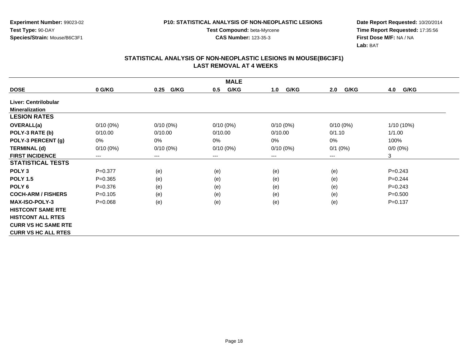**Experiment Number:** 99023-02**Test Type:** 90-DAY**Species/Strain:** Mouse/B6C3F1

**Test Compound:** beta-Myrcene**CAS Number:** 123-35-3

**Date Report Requested:** 10/20/2014 **Time Report Requested:** 17:35:56**First Dose M/F:** NA / NA**Lab:** BAT

|                            | <b>MALE</b> |                        |             |             |             |             |  |  |  |
|----------------------------|-------------|------------------------|-------------|-------------|-------------|-------------|--|--|--|
| <b>DOSE</b>                | 0 G/KG      | G/KG<br>0.25           | G/KG<br>0.5 | G/KG<br>1.0 | G/KG<br>2.0 | 4.0<br>G/KG |  |  |  |
| Liver: Centrilobular       |             |                        |             |             |             |             |  |  |  |
| <b>Mineralization</b>      |             |                        |             |             |             |             |  |  |  |
| <b>LESION RATES</b>        |             |                        |             |             |             |             |  |  |  |
| <b>OVERALL(a)</b>          | $0/10(0\%)$ | $0/10(0\%)$            | $0/10(0\%)$ | $0/10(0\%)$ | $0/10(0\%)$ | 1/10 (10%)  |  |  |  |
| POLY-3 RATE (b)            | 0/10.00     | 0/10.00                | 0/10.00     | 0/10.00     | 0/1.10      | 1/1.00      |  |  |  |
| POLY-3 PERCENT (g)         | 0%          | 0%                     | 0%          | 0%          | 0%          | 100%        |  |  |  |
| <b>TERMINAL (d)</b>        | $0/10(0\%)$ | $0/10(0\%)$            | $0/10(0\%)$ | $0/10(0\%)$ | $0/1$ (0%)  | $0/0 (0\%)$ |  |  |  |
| <b>FIRST INCIDENCE</b>     | ---         | $\qquad \qquad \cdots$ | $--$        | ---         | $---$       | 3           |  |  |  |
| <b>STATISTICAL TESTS</b>   |             |                        |             |             |             |             |  |  |  |
| POLY <sub>3</sub>          | $P=0.377$   | (e)                    | (e)         | (e)         | (e)         | $P = 0.243$ |  |  |  |
| <b>POLY 1.5</b>            | $P = 0.365$ | (e)                    | (e)         | (e)         | (e)         | $P=0.244$   |  |  |  |
| POLY <sub>6</sub>          | $P = 0.376$ | (e)                    | (e)         | (e)         | (e)         | $P=0.243$   |  |  |  |
| <b>COCH-ARM / FISHERS</b>  | $P=0.105$   | (e)                    | (e)         | (e)         | (e)         | $P = 0.500$ |  |  |  |
| <b>MAX-ISO-POLY-3</b>      | $P = 0.068$ | (e)                    | (e)         | (e)         | (e)         | $P = 0.137$ |  |  |  |
| <b>HISTCONT SAME RTE</b>   |             |                        |             |             |             |             |  |  |  |
| <b>HISTCONT ALL RTES</b>   |             |                        |             |             |             |             |  |  |  |
| <b>CURR VS HC SAME RTE</b> |             |                        |             |             |             |             |  |  |  |
| <b>CURR VS HC ALL RTES</b> |             |                        |             |             |             |             |  |  |  |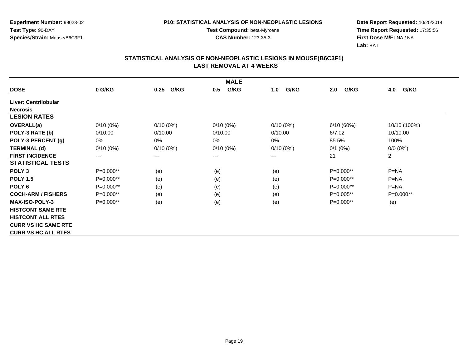**Experiment Number:** 99023-02**Test Type:** 90-DAY**Species/Strain:** Mouse/B6C3F1

**Test Compound:** beta-Myrcene**CAS Number:** 123-35-3

**Date Report Requested:** 10/20/2014 **Time Report Requested:** 17:35:56**First Dose M/F:** NA / NA**Lab:** BAT

|                            | <b>MALE</b> |                            |             |             |             |                |  |  |  |
|----------------------------|-------------|----------------------------|-------------|-------------|-------------|----------------|--|--|--|
| <b>DOSE</b>                | 0 G/KG      | G/KG<br>0.25               | G/KG<br>0.5 | G/KG<br>1.0 | G/KG<br>2.0 | G/KG<br>4.0    |  |  |  |
| Liver: Centrilobular       |             |                            |             |             |             |                |  |  |  |
| <b>Necrosis</b>            |             |                            |             |             |             |                |  |  |  |
| <b>LESION RATES</b>        |             |                            |             |             |             |                |  |  |  |
| <b>OVERALL(a)</b>          | $0/10(0\%)$ | $0/10(0\%)$                | $0/10(0\%)$ | $0/10(0\%)$ | 6/10(60%)   | 10/10 (100%)   |  |  |  |
| POLY-3 RATE (b)            | 0/10.00     | 0/10.00                    | 0/10.00     | 0/10.00     | 6/7.02      | 10/10.00       |  |  |  |
| POLY-3 PERCENT (g)         | 0%          | 0%                         | 0%          | 0%          | 85.5%       | 100%           |  |  |  |
| <b>TERMINAL (d)</b>        | $0/10(0\%)$ | $0/10(0\%)$                | $0/10(0\%)$ | $0/10(0\%)$ | $0/1$ (0%)  | $0/0 (0\%)$    |  |  |  |
| <b>FIRST INCIDENCE</b>     | $---$       | $\qquad \qquad - \qquad -$ | $--$        | ---         | 21          | $\overline{2}$ |  |  |  |
| <b>STATISTICAL TESTS</b>   |             |                            |             |             |             |                |  |  |  |
| POLY <sub>3</sub>          | P=0.000**   | (e)                        | (e)         | (e)         | $P=0.000**$ | $P=NA$         |  |  |  |
| <b>POLY 1.5</b>            | P=0.000**   | (e)                        | (e)         | (e)         | $P=0.000**$ | $P=NA$         |  |  |  |
| POLY 6                     | $P=0.000**$ | (e)                        | (e)         | (e)         | $P=0.000**$ | $P = NA$       |  |  |  |
| <b>COCH-ARM / FISHERS</b>  | $P=0.000**$ | (e)                        | (e)         | (e)         | $P=0.005**$ | $P=0.000**$    |  |  |  |
| <b>MAX-ISO-POLY-3</b>      | $P=0.000**$ | (e)                        | (e)         | (e)         | $P=0.000**$ | (e)            |  |  |  |
| <b>HISTCONT SAME RTE</b>   |             |                            |             |             |             |                |  |  |  |
| <b>HISTCONT ALL RTES</b>   |             |                            |             |             |             |                |  |  |  |
| <b>CURR VS HC SAME RTE</b> |             |                            |             |             |             |                |  |  |  |
| <b>CURR VS HC ALL RTES</b> |             |                            |             |             |             |                |  |  |  |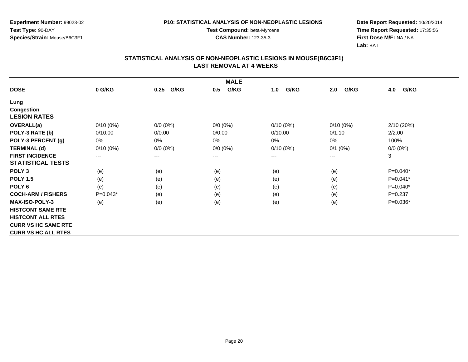**Experiment Number:** 99023-02**Test Type:** 90-DAY**Species/Strain:** Mouse/B6C3F1

**Test Compound:** beta-Myrcene**CAS Number:** 123-35-3

**Date Report Requested:** 10/20/2014 **Time Report Requested:** 17:35:56**First Dose M/F:** NA / NA**Lab:** BAT

|                            | <b>MALE</b> |              |             |             |             |             |  |  |  |
|----------------------------|-------------|--------------|-------------|-------------|-------------|-------------|--|--|--|
| <b>DOSE</b>                | 0 G/KG      | G/KG<br>0.25 | G/KG<br>0.5 | G/KG<br>1.0 | G/KG<br>2.0 | G/KG<br>4.0 |  |  |  |
| Lung                       |             |              |             |             |             |             |  |  |  |
| Congestion                 |             |              |             |             |             |             |  |  |  |
| <b>LESION RATES</b>        |             |              |             |             |             |             |  |  |  |
| OVERALL(a)                 | $0/10(0\%)$ | $0/0 (0\%)$  | $0/0 (0\%)$ | $0/10(0\%)$ | $0/10(0\%)$ | 2/10 (20%)  |  |  |  |
| POLY-3 RATE (b)            | 0/10.00     | 0/0.00       | 0/0.00      | 0/10.00     | 0/1.10      | 2/2.00      |  |  |  |
| POLY-3 PERCENT (g)         | 0%          | 0%           | 0%          | 0%          | $0\%$       | 100%        |  |  |  |
| <b>TERMINAL (d)</b>        | $0/10(0\%)$ | $0/0 (0\%)$  | $0/0 (0\%)$ | $0/10(0\%)$ | $0/1$ (0%)  | $0/0 (0\%)$ |  |  |  |
| <b>FIRST INCIDENCE</b>     | ---         | $\cdots$     | $---$       | ---         | $---$       | 3           |  |  |  |
| <b>STATISTICAL TESTS</b>   |             |              |             |             |             |             |  |  |  |
| POLY <sub>3</sub>          | (e)         | (e)          | (e)         | (e)         | (e)         | $P=0.040*$  |  |  |  |
| <b>POLY 1.5</b>            | (e)         | (e)          | (e)         | (e)         | (e)         | $P=0.041*$  |  |  |  |
| POLY <sub>6</sub>          | (e)         | (e)          | (e)         | (e)         | (e)         | $P=0.040*$  |  |  |  |
| <b>COCH-ARM / FISHERS</b>  | $P=0.043*$  | (e)          | (e)         | (e)         | (e)         | $P = 0.237$ |  |  |  |
| <b>MAX-ISO-POLY-3</b>      | (e)         | (e)          | (e)         | (e)         | (e)         | P=0.036*    |  |  |  |
| <b>HISTCONT SAME RTE</b>   |             |              |             |             |             |             |  |  |  |
| <b>HISTCONT ALL RTES</b>   |             |              |             |             |             |             |  |  |  |
| <b>CURR VS HC SAME RTE</b> |             |              |             |             |             |             |  |  |  |
| <b>CURR VS HC ALL RTES</b> |             |              |             |             |             |             |  |  |  |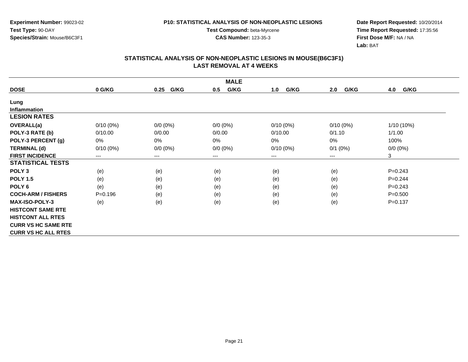**Experiment Number:** 99023-02**Test Type:** 90-DAY**Species/Strain:** Mouse/B6C3F1

**Test Compound:** beta-Myrcene**CAS Number:** 123-35-3

**Date Report Requested:** 10/20/2014 **Time Report Requested:** 17:35:56**First Dose M/F:** NA / NA**Lab:** BAT

| <b>MALE</b>                |             |                        |             |             |             |             |  |
|----------------------------|-------------|------------------------|-------------|-------------|-------------|-------------|--|
| <b>DOSE</b>                | 0 G/KG      | G/KG<br>0.25           | G/KG<br>0.5 | G/KG<br>1.0 | G/KG<br>2.0 | 4.0<br>G/KG |  |
| Lung                       |             |                        |             |             |             |             |  |
| <b>Inflammation</b>        |             |                        |             |             |             |             |  |
| <b>LESION RATES</b>        |             |                        |             |             |             |             |  |
| OVERALL(a)                 | $0/10(0\%)$ | $0/0 (0\%)$            | $0/0 (0\%)$ | $0/10(0\%)$ | $0/10(0\%)$ | 1/10 (10%)  |  |
| POLY-3 RATE (b)            | 0/10.00     | 0/0.00                 | 0/0.00      | 0/10.00     | 0/1.10      | 1/1.00      |  |
| POLY-3 PERCENT (g)         | 0%          | 0%                     | 0%          | 0%          | 0%          | 100%        |  |
| <b>TERMINAL (d)</b>        | $0/10(0\%)$ | $0/0 (0\%)$            | $0/0 (0\%)$ | $0/10(0\%)$ | $0/1$ (0%)  | $0/0 (0\%)$ |  |
| <b>FIRST INCIDENCE</b>     | $---$       | $\qquad \qquad \cdots$ | $--$        | ---         | ---         | 3           |  |
| <b>STATISTICAL TESTS</b>   |             |                        |             |             |             |             |  |
| POLY <sub>3</sub>          | (e)         | (e)                    | (e)         | (e)         | (e)         | $P = 0.243$ |  |
| <b>POLY 1.5</b>            | (e)         | (e)                    | (e)         | (e)         | (e)         | $P=0.244$   |  |
| POLY 6                     | (e)         | (e)                    | (e)         | (e)         | (e)         | $P = 0.243$ |  |
| <b>COCH-ARM / FISHERS</b>  | $P = 0.196$ | (e)                    | (e)         | (e)         | (e)         | $P = 0.500$ |  |
| <b>MAX-ISO-POLY-3</b>      | (e)         | (e)                    | (e)         | (e)         | (e)         | $P = 0.137$ |  |
| <b>HISTCONT SAME RTE</b>   |             |                        |             |             |             |             |  |
| <b>HISTCONT ALL RTES</b>   |             |                        |             |             |             |             |  |
| <b>CURR VS HC SAME RTE</b> |             |                        |             |             |             |             |  |
| <b>CURR VS HC ALL RTES</b> |             |                        |             |             |             |             |  |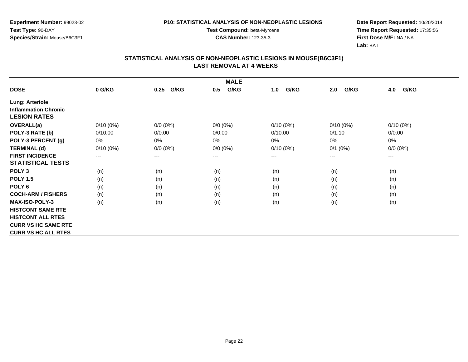**Experiment Number:** 99023-02**Test Type:** 90-DAY**Species/Strain:** Mouse/B6C3F1

**Test Compound:** beta-Myrcene**CAS Number:** 123-35-3

**Date Report Requested:** 10/20/2014 **Time Report Requested:** 17:35:56**First Dose M/F:** NA / NA**Lab:** BAT

|                             | <b>MALE</b> |              |             |             |             |             |  |  |  |
|-----------------------------|-------------|--------------|-------------|-------------|-------------|-------------|--|--|--|
| <b>DOSE</b>                 | 0 G/KG      | G/KG<br>0.25 | G/KG<br>0.5 | G/KG<br>1.0 | G/KG<br>2.0 | G/KG<br>4.0 |  |  |  |
| <b>Lung: Arteriole</b>      |             |              |             |             |             |             |  |  |  |
| <b>Inflammation Chronic</b> |             |              |             |             |             |             |  |  |  |
| <b>LESION RATES</b>         |             |              |             |             |             |             |  |  |  |
| OVERALL(a)                  | $0/10(0\%)$ | $0/0 (0\%)$  | $0/0 (0\%)$ | $0/10(0\%)$ | $0/10(0\%)$ | $0/10(0\%)$ |  |  |  |
| POLY-3 RATE (b)             | 0/10.00     | 0/0.00       | 0/0.00      | 0/10.00     | 0/1.10      | 0/0.00      |  |  |  |
| POLY-3 PERCENT (g)          | 0%          | 0%           | 0%          | $0\%$       | $0\%$       | $0\%$       |  |  |  |
| <b>TERMINAL (d)</b>         | $0/10(0\%)$ | $0/0 (0\%)$  | $0/0 (0\%)$ | $0/10(0\%)$ | $0/1$ (0%)  | $0/0 (0\%)$ |  |  |  |
| <b>FIRST INCIDENCE</b>      | ---         | $---$        | $---$       | ---         | $---$       | ---         |  |  |  |
| <b>STATISTICAL TESTS</b>    |             |              |             |             |             |             |  |  |  |
| POLY <sub>3</sub>           | (n)         | (n)          | (n)         | (n)         | (n)         | (n)         |  |  |  |
| <b>POLY 1.5</b>             | (n)         | (n)          | (n)         | (n)         | (n)         | (n)         |  |  |  |
| POLY <sub>6</sub>           | (n)         | (n)          | (n)         | (n)         | (n)         | (n)         |  |  |  |
| <b>COCH-ARM / FISHERS</b>   | (n)         | (n)          | (n)         | (n)         | (n)         | (n)         |  |  |  |
| <b>MAX-ISO-POLY-3</b>       | (n)         | (n)          | (n)         | (n)         | (n)         | (n)         |  |  |  |
| <b>HISTCONT SAME RTE</b>    |             |              |             |             |             |             |  |  |  |
| <b>HISTCONT ALL RTES</b>    |             |              |             |             |             |             |  |  |  |
| <b>CURR VS HC SAME RTE</b>  |             |              |             |             |             |             |  |  |  |
| <b>CURR VS HC ALL RTES</b>  |             |              |             |             |             |             |  |  |  |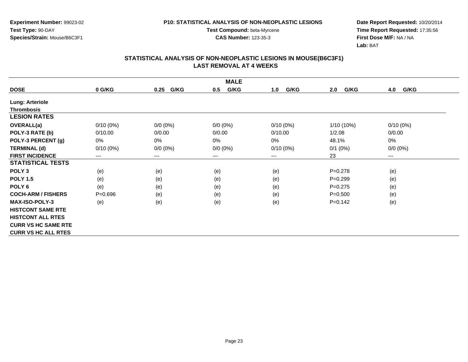**Experiment Number:** 99023-02**Test Type:** 90-DAY**Species/Strain:** Mouse/B6C3F1

**Test Compound:** beta-Myrcene**CAS Number:** 123-35-3

**Date Report Requested:** 10/20/2014 **Time Report Requested:** 17:35:56**First Dose M/F:** NA / NA**Lab:** BAT

|                            | <b>MALE</b> |                        |                        |             |              |                        |  |  |
|----------------------------|-------------|------------------------|------------------------|-------------|--------------|------------------------|--|--|
| <b>DOSE</b>                | 0 G/KG      | G/KG<br>0.25           | G/KG<br>0.5            | G/KG<br>1.0 | G/KG<br>2.0  | 4.0<br>G/KG            |  |  |
| <b>Lung: Arteriole</b>     |             |                        |                        |             |              |                        |  |  |
| <b>Thrombosis</b>          |             |                        |                        |             |              |                        |  |  |
| <b>LESION RATES</b>        |             |                        |                        |             |              |                        |  |  |
| OVERALL(a)                 | $0/10(0\%)$ | $0/0 (0\%)$            | $0/0 (0\%)$            | $0/10(0\%)$ | $1/10(10\%)$ | $0/10(0\%)$            |  |  |
| POLY-3 RATE (b)            | 0/10.00     | 0/0.00                 | 0/0.00                 | 0/10.00     | 1/2.08       | 0/0.00                 |  |  |
| POLY-3 PERCENT (g)         | 0%          | $0\%$                  | 0%                     | 0%          | 48.1%        | $0\%$                  |  |  |
| <b>TERMINAL (d)</b>        | $0/10(0\%)$ | $0/0 (0\%)$            | $0/0 (0\%)$            | $0/10(0\%)$ | $0/1$ (0%)   | $0/0 (0\%)$            |  |  |
| <b>FIRST INCIDENCE</b>     | ---         | $\qquad \qquad \cdots$ | $\qquad \qquad \cdots$ | ---         | 23           | $\qquad \qquad \cdots$ |  |  |
| <b>STATISTICAL TESTS</b>   |             |                        |                        |             |              |                        |  |  |
| POLY <sub>3</sub>          | (e)         | (e)                    | (e)                    | (e)         | $P=0.278$    | (e)                    |  |  |
| <b>POLY 1.5</b>            | (e)         | (e)                    | (e)                    | (e)         | $P=0.299$    | (e)                    |  |  |
| POLY 6                     | (e)         | (e)                    | (e)                    | (e)         | $P=0.275$    | (e)                    |  |  |
| <b>COCH-ARM / FISHERS</b>  | $P = 0.696$ | (e)                    | (e)                    | (e)         | $P = 0.500$  | (e)                    |  |  |
| <b>MAX-ISO-POLY-3</b>      | (e)         | (e)                    | (e)                    | (e)         | $P=0.142$    | (e)                    |  |  |
| <b>HISTCONT SAME RTE</b>   |             |                        |                        |             |              |                        |  |  |
| <b>HISTCONT ALL RTES</b>   |             |                        |                        |             |              |                        |  |  |
| <b>CURR VS HC SAME RTE</b> |             |                        |                        |             |              |                        |  |  |
| <b>CURR VS HC ALL RTES</b> |             |                        |                        |             |              |                        |  |  |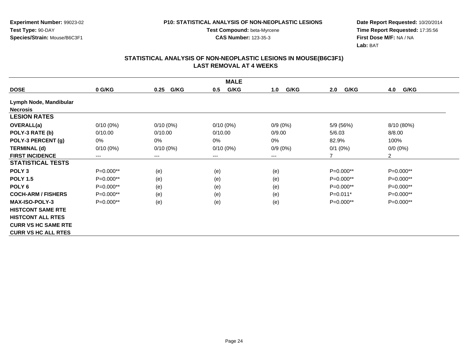**Experiment Number:** 99023-02**Test Type:** 90-DAY**Species/Strain:** Mouse/B6C3F1

**Test Compound:** beta-Myrcene**CAS Number:** 123-35-3

**Date Report Requested:** 10/20/2014 **Time Report Requested:** 17:35:56**First Dose M/F:** NA / NA**Lab:** BAT

|                            |             |              | <b>MALE</b> |             |             |                |
|----------------------------|-------------|--------------|-------------|-------------|-------------|----------------|
| <b>DOSE</b>                | 0 G/KG      | G/KG<br>0.25 | G/KG<br>0.5 | G/KG<br>1.0 | G/KG<br>2.0 | G/KG<br>4.0    |
| Lymph Node, Mandibular     |             |              |             |             |             |                |
| <b>Necrosis</b>            |             |              |             |             |             |                |
| <b>LESION RATES</b>        |             |              |             |             |             |                |
| <b>OVERALL(a)</b>          | $0/10(0\%)$ | $0/10(0\%)$  | $0/10(0\%)$ | $0/9(0\%)$  | 5/9 (56%)   | 8/10 (80%)     |
| POLY-3 RATE (b)            | 0/10.00     | 0/10.00      | 0/10.00     | 0/9.00      | 5/6.03      | 8/8.00         |
| POLY-3 PERCENT (g)         | 0%          | 0%           | 0%          | 0%          | 82.9%       | 100%           |
| <b>TERMINAL (d)</b>        | $0/10(0\%)$ | $0/10(0\%)$  | $0/10(0\%)$ | $0/9(0\%)$  | $0/1$ (0%)  | $0/0 (0\%)$    |
| <b>FIRST INCIDENCE</b>     | $---$       | $---$        | ---         | $---$       | 7           | $\overline{2}$ |
| <b>STATISTICAL TESTS</b>   |             |              |             |             |             |                |
| POLY <sub>3</sub>          | P=0.000**   | (e)          | (e)         | (e)         | $P=0.000**$ | P=0.000**      |
| <b>POLY 1.5</b>            | P=0.000**   | (e)          | (e)         | (e)         | $P=0.000**$ | P=0.000**      |
| POLY <sub>6</sub>          | $P=0.000**$ | (e)          | (e)         | (e)         | $P=0.000**$ | P=0.000**      |
| <b>COCH-ARM / FISHERS</b>  | P=0.000**   | (e)          | (e)         | (e)         | $P=0.011*$  | P=0.000**      |
| <b>MAX-ISO-POLY-3</b>      | $P=0.000**$ | (e)          | (e)         | (e)         | $P=0.000**$ | $P=0.000**$    |
| <b>HISTCONT SAME RTE</b>   |             |              |             |             |             |                |
| <b>HISTCONT ALL RTES</b>   |             |              |             |             |             |                |
| <b>CURR VS HC SAME RTE</b> |             |              |             |             |             |                |
| <b>CURR VS HC ALL RTES</b> |             |              |             |             |             |                |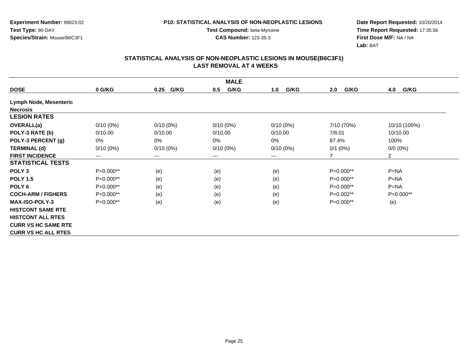**Experiment Number:** 99023-02**Test Type:** 90-DAY**Species/Strain:** Mouse/B6C3F1

**Test Compound:** beta-Myrcene**CAS Number:** 123-35-3

**Date Report Requested:** 10/20/2014 **Time Report Requested:** 17:35:56**First Dose M/F:** NA / NA**Lab:** BAT

|                            |             |              | <b>MALE</b> |             |             |                |
|----------------------------|-------------|--------------|-------------|-------------|-------------|----------------|
| <b>DOSE</b>                | 0 G/KG      | G/KG<br>0.25 | G/KG<br>0.5 | G/KG<br>1.0 | G/KG<br>2.0 | G/KG<br>4.0    |
| Lymph Node, Mesenteric     |             |              |             |             |             |                |
| <b>Necrosis</b>            |             |              |             |             |             |                |
| <b>LESION RATES</b>        |             |              |             |             |             |                |
| <b>OVERALL(a)</b>          | $0/10(0\%)$ | $0/10(0\%)$  | $0/10(0\%)$ | $0/10(0\%)$ | 7/10 (70%)  | 10/10 (100%)   |
| POLY-3 RATE (b)            | 0/10.00     | 0/10.00      | 0/10.00     | 0/10.00     | 7/8.01      | 10/10.00       |
| POLY-3 PERCENT (g)         | 0%          | $0\%$        | 0%          | 0%          | 87.4%       | 100%           |
| <b>TERMINAL (d)</b>        | $0/10(0\%)$ | $0/10(0\%)$  | $0/10(0\%)$ | $0/10(0\%)$ | $0/1$ (0%)  | $0/0 (0\%)$    |
| <b>FIRST INCIDENCE</b>     | $---$       | $---$        | ---         | ---         | 7           | $\overline{2}$ |
| <b>STATISTICAL TESTS</b>   |             |              |             |             |             |                |
| POLY <sub>3</sub>          | $P=0.000**$ | (e)          | (e)         | (e)         | P=0.000**   | $P=NA$         |
| <b>POLY 1.5</b>            | P=0.000**   | (e)          | (e)         | (e)         | P=0.000**   | $P = NA$       |
| POLY <sub>6</sub>          | P=0.000**   | (e)          | (e)         | (e)         | P=0.000**   | $P = NA$       |
| <b>COCH-ARM / FISHERS</b>  | P=0.000**   | (e)          | (e)         | (e)         | P=0.002**   | P=0.000**      |
| <b>MAX-ISO-POLY-3</b>      | $P=0.000**$ | (e)          | (e)         | (e)         | $P=0.000**$ | (e)            |
| <b>HISTCONT SAME RTE</b>   |             |              |             |             |             |                |
| <b>HISTCONT ALL RTES</b>   |             |              |             |             |             |                |
| <b>CURR VS HC SAME RTE</b> |             |              |             |             |             |                |
| <b>CURR VS HC ALL RTES</b> |             |              |             |             |             |                |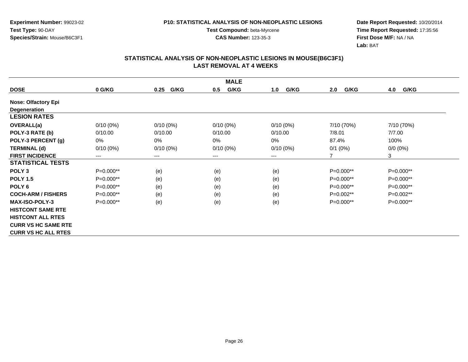**Experiment Number:** 99023-02**Test Type:** 90-DAY**Species/Strain:** Mouse/B6C3F1

**Test Compound:** beta-Myrcene**CAS Number:** 123-35-3

**Date Report Requested:** 10/20/2014 **Time Report Requested:** 17:35:56**First Dose M/F:** NA / NA**Lab:** BAT

|                            | <b>MALE</b> |                            |             |             |             |             |  |  |
|----------------------------|-------------|----------------------------|-------------|-------------|-------------|-------------|--|--|
| <b>DOSE</b>                | 0 G/KG      | G/KG<br>0.25               | G/KG<br>0.5 | G/KG<br>1.0 | G/KG<br>2.0 | G/KG<br>4.0 |  |  |
| <b>Nose: Olfactory Epi</b> |             |                            |             |             |             |             |  |  |
| Degeneration               |             |                            |             |             |             |             |  |  |
| <b>LESION RATES</b>        |             |                            |             |             |             |             |  |  |
| <b>OVERALL(a)</b>          | $0/10(0\%)$ | $0/10(0\%)$                | $0/10(0\%)$ | $0/10(0\%)$ | 7/10 (70%)  | 7/10 (70%)  |  |  |
| POLY-3 RATE (b)            | 0/10.00     | 0/10.00                    | 0/10.00     | 0/10.00     | 7/8.01      | 7/7.00      |  |  |
| POLY-3 PERCENT (g)         | 0%          | 0%                         | 0%          | 0%          | 87.4%       | 100%        |  |  |
| <b>TERMINAL (d)</b>        | $0/10(0\%)$ | $0/10(0\%)$                | $0/10(0\%)$ | $0/10(0\%)$ | $0/1$ (0%)  | $0/0 (0\%)$ |  |  |
| <b>FIRST INCIDENCE</b>     | $---$       | $\qquad \qquad - \qquad -$ | $--$        | ---         | 7           | 3           |  |  |
| <b>STATISTICAL TESTS</b>   |             |                            |             |             |             |             |  |  |
| POLY <sub>3</sub>          | P=0.000**   | (e)                        | (e)         | (e)         | $P=0.000**$ | P=0.000**   |  |  |
| <b>POLY 1.5</b>            | P=0.000**   | (e)                        | (e)         | (e)         | $P=0.000**$ | $P=0.000**$ |  |  |
| POLY 6                     | $P=0.000**$ | (e)                        | (e)         | (e)         | $P=0.000**$ | P=0.000**   |  |  |
| <b>COCH-ARM / FISHERS</b>  | $P=0.000**$ | (e)                        | (e)         | (e)         | $P=0.002**$ | $P=0.002**$ |  |  |
| <b>MAX-ISO-POLY-3</b>      | $P=0.000**$ | (e)                        | (e)         | (e)         | P=0.000**   | P=0.000**   |  |  |
| <b>HISTCONT SAME RTE</b>   |             |                            |             |             |             |             |  |  |
| <b>HISTCONT ALL RTES</b>   |             |                            |             |             |             |             |  |  |
| <b>CURR VS HC SAME RTE</b> |             |                            |             |             |             |             |  |  |
| <b>CURR VS HC ALL RTES</b> |             |                            |             |             |             |             |  |  |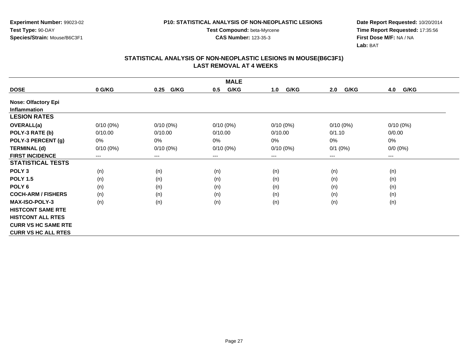**Experiment Number:** 99023-02**Test Type:** 90-DAY**Species/Strain:** Mouse/B6C3F1

**Test Compound:** beta-Myrcene**CAS Number:** 123-35-3

**Date Report Requested:** 10/20/2014 **Time Report Requested:** 17:35:56**First Dose M/F:** NA / NA**Lab:** BAT

|                            | <b>MALE</b> |                            |             |             |             |             |  |  |
|----------------------------|-------------|----------------------------|-------------|-------------|-------------|-------------|--|--|
| <b>DOSE</b>                | 0 G/KG      | G/KG<br>0.25               | G/KG<br>0.5 | G/KG<br>1.0 | G/KG<br>2.0 | G/KG<br>4.0 |  |  |
| <b>Nose: Olfactory Epi</b> |             |                            |             |             |             |             |  |  |
| <b>Inflammation</b>        |             |                            |             |             |             |             |  |  |
| <b>LESION RATES</b>        |             |                            |             |             |             |             |  |  |
| OVERALL(a)                 | $0/10(0\%)$ | $0/10(0\%)$                | $0/10(0\%)$ | $0/10(0\%)$ | $0/10(0\%)$ | $0/10(0\%)$ |  |  |
| POLY-3 RATE (b)            | 0/10.00     | 0/10.00                    | 0/10.00     | 0/10.00     | 0/1.10      | 0/0.00      |  |  |
| POLY-3 PERCENT (g)         | 0%          | 0%                         | 0%          | 0%          | 0%          | 0%          |  |  |
| <b>TERMINAL (d)</b>        | $0/10(0\%)$ | $0/10(0\%)$                | $0/10(0\%)$ | $0/10(0\%)$ | $0/1$ (0%)  | $0/0 (0\%)$ |  |  |
| <b>FIRST INCIDENCE</b>     | $---$       | $\qquad \qquad - \qquad -$ | $--$        | ---         | ---         | $--$        |  |  |
| <b>STATISTICAL TESTS</b>   |             |                            |             |             |             |             |  |  |
| POLY <sub>3</sub>          | (n)         | (n)                        | (n)         | (n)         | (n)         | (n)         |  |  |
| <b>POLY 1.5</b>            | (n)         | (n)                        | (n)         | (n)         | (n)         | (n)         |  |  |
| POLY 6                     | (n)         | (n)                        | (n)         | (n)         | (n)         | (n)         |  |  |
| <b>COCH-ARM / FISHERS</b>  | (n)         | (n)                        | (n)         | (n)         | (n)         | (n)         |  |  |
| <b>MAX-ISO-POLY-3</b>      | (n)         | (n)                        | (n)         | (n)         | (n)         | (n)         |  |  |
| <b>HISTCONT SAME RTE</b>   |             |                            |             |             |             |             |  |  |
| <b>HISTCONT ALL RTES</b>   |             |                            |             |             |             |             |  |  |
| <b>CURR VS HC SAME RTE</b> |             |                            |             |             |             |             |  |  |
| <b>CURR VS HC ALL RTES</b> |             |                            |             |             |             |             |  |  |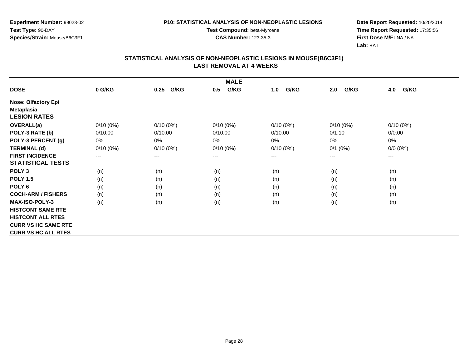**Experiment Number:** 99023-02**Test Type:** 90-DAY**Species/Strain:** Mouse/B6C3F1

**Test Compound:** beta-Myrcene**CAS Number:** 123-35-3

**Date Report Requested:** 10/20/2014 **Time Report Requested:** 17:35:56**First Dose M/F:** NA / NA**Lab:** BAT

|                            | <b>MALE</b> |                            |             |             |             |             |  |  |
|----------------------------|-------------|----------------------------|-------------|-------------|-------------|-------------|--|--|
| <b>DOSE</b>                | 0 G/KG      | G/KG<br>0.25               | G/KG<br>0.5 | G/KG<br>1.0 | G/KG<br>2.0 | G/KG<br>4.0 |  |  |
| <b>Nose: Olfactory Epi</b> |             |                            |             |             |             |             |  |  |
| <b>Metaplasia</b>          |             |                            |             |             |             |             |  |  |
| <b>LESION RATES</b>        |             |                            |             |             |             |             |  |  |
| <b>OVERALL(a)</b>          | $0/10(0\%)$ | $0/10(0\%)$                | $0/10(0\%)$ | $0/10(0\%)$ | $0/10(0\%)$ | $0/10(0\%)$ |  |  |
| POLY-3 RATE (b)            | 0/10.00     | 0/10.00                    | 0/10.00     | 0/10.00     | 0/1.10      | 0/0.00      |  |  |
| POLY-3 PERCENT (g)         | 0%          | 0%                         | 0%          | 0%          | 0%          | 0%          |  |  |
| <b>TERMINAL (d)</b>        | $0/10(0\%)$ | $0/10(0\%)$                | $0/10(0\%)$ | $0/10(0\%)$ | $0/1$ (0%)  | $0/0 (0\%)$ |  |  |
| <b>FIRST INCIDENCE</b>     | $---$       | $\qquad \qquad - \qquad -$ | $--$        | ---         | ---         | $--$        |  |  |
| <b>STATISTICAL TESTS</b>   |             |                            |             |             |             |             |  |  |
| POLY <sub>3</sub>          | (n)         | (n)                        | (n)         | (n)         | (n)         | (n)         |  |  |
| <b>POLY 1.5</b>            | (n)         | (n)                        | (n)         | (n)         | (n)         | (n)         |  |  |
| POLY 6                     | (n)         | (n)                        | (n)         | (n)         | (n)         | (n)         |  |  |
| <b>COCH-ARM / FISHERS</b>  | (n)         | (n)                        | (n)         | (n)         | (n)         | (n)         |  |  |
| <b>MAX-ISO-POLY-3</b>      | (n)         | (n)                        | (n)         | (n)         | (n)         | (n)         |  |  |
| <b>HISTCONT SAME RTE</b>   |             |                            |             |             |             |             |  |  |
| <b>HISTCONT ALL RTES</b>   |             |                            |             |             |             |             |  |  |
| <b>CURR VS HC SAME RTE</b> |             |                            |             |             |             |             |  |  |
| <b>CURR VS HC ALL RTES</b> |             |                            |             |             |             |             |  |  |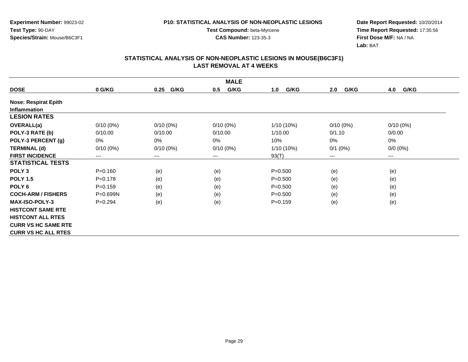**Experiment Number:** 99023-02**Test Type:** 90-DAY**Species/Strain:** Mouse/B6C3F1

**Test Compound:** beta-Myrcene**CAS Number:** 123-35-3

**Date Report Requested:** 10/20/2014 **Time Report Requested:** 17:35:56**First Dose M/F:** NA / NA**Lab:** BAT

|                             | <b>MALE</b>  |              |             |              |             |             |  |  |  |
|-----------------------------|--------------|--------------|-------------|--------------|-------------|-------------|--|--|--|
| <b>DOSE</b>                 | 0 G/KG       | G/KG<br>0.25 | G/KG<br>0.5 | G/KG<br>1.0  | G/KG<br>2.0 | G/KG<br>4.0 |  |  |  |
| <b>Nose: Respirat Epith</b> |              |              |             |              |             |             |  |  |  |
| <b>Inflammation</b>         |              |              |             |              |             |             |  |  |  |
| <b>LESION RATES</b>         |              |              |             |              |             |             |  |  |  |
| <b>OVERALL(a)</b>           | $0/10(0\%)$  | $0/10(0\%)$  | $0/10(0\%)$ | $1/10(10\%)$ | $0/10(0\%)$ | $0/10(0\%)$ |  |  |  |
| POLY-3 RATE (b)             | 0/10.00      | 0/10.00      | 0/10.00     | 1/10.00      | 0/1.10      | 0/0.00      |  |  |  |
| POLY-3 PERCENT (g)          | 0%           | 0%           | 0%          | 10%          | 0%          | 0%          |  |  |  |
| <b>TERMINAL (d)</b>         | $0/10(0\%)$  | $0/10(0\%)$  | $0/10(0\%)$ | 1/10 (10%)   | $0/1$ (0%)  | $0/0 (0\%)$ |  |  |  |
| <b>FIRST INCIDENCE</b>      | $---$        | $---$        | ---         | 93(T)        | ---         | $--$        |  |  |  |
| <b>STATISTICAL TESTS</b>    |              |              |             |              |             |             |  |  |  |
| POLY <sub>3</sub>           | $P = 0.160$  | (e)          | (e)         | $P = 0.500$  | (e)         | (e)         |  |  |  |
| <b>POLY 1.5</b>             | $P = 0.178$  | (e)          | (e)         | $P = 0.500$  | (e)         | (e)         |  |  |  |
| POLY <sub>6</sub>           | $P=0.159$    | (e)          | (e)         | $P = 0.500$  | (e)         | (e)         |  |  |  |
| <b>COCH-ARM / FISHERS</b>   | $P = 0.699N$ | (e)          | (e)         | $P = 0.500$  | (e)         | (e)         |  |  |  |
| <b>MAX-ISO-POLY-3</b>       | $P=0.294$    | (e)          | (e)         | $P=0.159$    | (e)         | (e)         |  |  |  |
| <b>HISTCONT SAME RTE</b>    |              |              |             |              |             |             |  |  |  |
| <b>HISTCONT ALL RTES</b>    |              |              |             |              |             |             |  |  |  |
| <b>CURR VS HC SAME RTE</b>  |              |              |             |              |             |             |  |  |  |
| <b>CURR VS HC ALL RTES</b>  |              |              |             |              |             |             |  |  |  |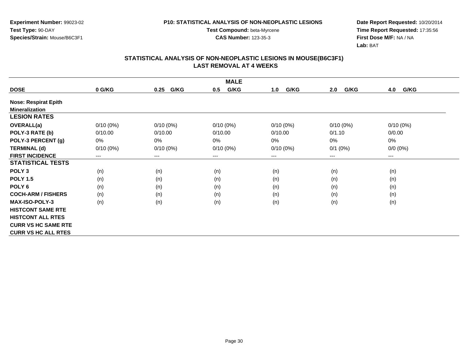**Experiment Number:** 99023-02**Test Type:** 90-DAY**Species/Strain:** Mouse/B6C3F1

**Test Compound:** beta-Myrcene**CAS Number:** 123-35-3

**Date Report Requested:** 10/20/2014 **Time Report Requested:** 17:35:56**First Dose M/F:** NA / NA**Lab:** BAT

|                             | <b>MALE</b> |              |             |             |             |             |  |  |
|-----------------------------|-------------|--------------|-------------|-------------|-------------|-------------|--|--|
| <b>DOSE</b>                 | 0 G/KG      | G/KG<br>0.25 | G/KG<br>0.5 | G/KG<br>1.0 | G/KG<br>2.0 | 4.0<br>G/KG |  |  |
| <b>Nose: Respirat Epith</b> |             |              |             |             |             |             |  |  |
| <b>Mineralization</b>       |             |              |             |             |             |             |  |  |
| <b>LESION RATES</b>         |             |              |             |             |             |             |  |  |
| OVERALL(a)                  | $0/10(0\%)$ | $0/10(0\%)$  | $0/10(0\%)$ | $0/10(0\%)$ | $0/10(0\%)$ | $0/10(0\%)$ |  |  |
| POLY-3 RATE (b)             | 0/10.00     | 0/10.00      | 0/10.00     | 0/10.00     | 0/1.10      | 0/0.00      |  |  |
| POLY-3 PERCENT (g)          | 0%          | 0%           | 0%          | 0%          | 0%          | $0\%$       |  |  |
| <b>TERMINAL (d)</b>         | $0/10(0\%)$ | $0/10(0\%)$  | $0/10(0\%)$ | $0/10(0\%)$ | $0/1$ (0%)  | $0/0 (0\%)$ |  |  |
| <b>FIRST INCIDENCE</b>      | ---         | $---$        | $---$       | ---         | ---         | $---$       |  |  |
| <b>STATISTICAL TESTS</b>    |             |              |             |             |             |             |  |  |
| POLY <sub>3</sub>           | (n)         | (n)          | (n)         | (n)         | (n)         | (n)         |  |  |
| <b>POLY 1.5</b>             | (n)         | (n)          | (n)         | (n)         | (n)         | (n)         |  |  |
| POLY 6                      | (n)         | (n)          | (n)         | (n)         | (n)         | (n)         |  |  |
| <b>COCH-ARM / FISHERS</b>   | (n)         | (n)          | (n)         | (n)         | (n)         | (n)         |  |  |
| <b>MAX-ISO-POLY-3</b>       | (n)         | (n)          | (n)         | (n)         | (n)         | (n)         |  |  |
| <b>HISTCONT SAME RTE</b>    |             |              |             |             |             |             |  |  |
| <b>HISTCONT ALL RTES</b>    |             |              |             |             |             |             |  |  |
| <b>CURR VS HC SAME RTE</b>  |             |              |             |             |             |             |  |  |
| <b>CURR VS HC ALL RTES</b>  |             |              |             |             |             |             |  |  |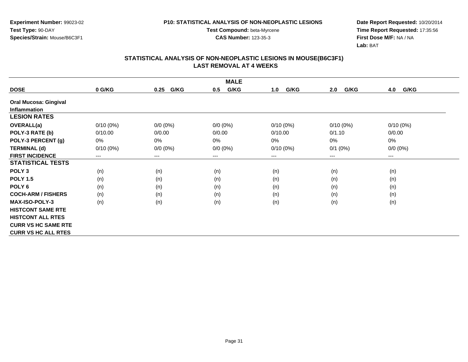**Experiment Number:** 99023-02**Test Type:** 90-DAY**Species/Strain:** Mouse/B6C3F1

**Test Compound:** beta-Myrcene**CAS Number:** 123-35-3

**Date Report Requested:** 10/20/2014 **Time Report Requested:** 17:35:56**First Dose M/F:** NA / NA**Lab:** BAT

|                              | <b>MALE</b> |                            |             |             |             |             |  |  |
|------------------------------|-------------|----------------------------|-------------|-------------|-------------|-------------|--|--|
| <b>DOSE</b>                  | 0 G/KG      | G/KG<br>0.25               | G/KG<br>0.5 | G/KG<br>1.0 | G/KG<br>2.0 | G/KG<br>4.0 |  |  |
| <b>Oral Mucosa: Gingival</b> |             |                            |             |             |             |             |  |  |
| Inflammation                 |             |                            |             |             |             |             |  |  |
| <b>LESION RATES</b>          |             |                            |             |             |             |             |  |  |
| OVERALL(a)                   | $0/10(0\%)$ | $0/0 (0\%)$                | $0/0 (0\%)$ | $0/10(0\%)$ | $0/10(0\%)$ | $0/10(0\%)$ |  |  |
| POLY-3 RATE (b)              | 0/10.00     | 0/0.00                     | 0/0.00      | 0/10.00     | 0/1.10      | 0/0.00      |  |  |
| POLY-3 PERCENT (g)           | 0%          | 0%                         | 0%          | 0%          | 0%          | 0%          |  |  |
| <b>TERMINAL (d)</b>          | $0/10(0\%)$ | $0/0 (0\%)$                | $0/0 (0\%)$ | $0/10(0\%)$ | $0/1$ (0%)  | $0/0 (0\%)$ |  |  |
| <b>FIRST INCIDENCE</b>       | $---$       | $\qquad \qquad - \qquad -$ | $--$        | ---         | ---         | $--$        |  |  |
| <b>STATISTICAL TESTS</b>     |             |                            |             |             |             |             |  |  |
| POLY <sub>3</sub>            | (n)         | (n)                        | (n)         | (n)         | (n)         | (n)         |  |  |
| <b>POLY 1.5</b>              | (n)         | (n)                        | (n)         | (n)         | (n)         | (n)         |  |  |
| POLY 6                       | (n)         | (n)                        | (n)         | (n)         | (n)         | (n)         |  |  |
| <b>COCH-ARM / FISHERS</b>    | (n)         | (n)                        | (n)         | (n)         | (n)         | (n)         |  |  |
| <b>MAX-ISO-POLY-3</b>        | (n)         | (n)                        | (n)         | (n)         | (n)         | (n)         |  |  |
| <b>HISTCONT SAME RTE</b>     |             |                            |             |             |             |             |  |  |
| <b>HISTCONT ALL RTES</b>     |             |                            |             |             |             |             |  |  |
| <b>CURR VS HC SAME RTE</b>   |             |                            |             |             |             |             |  |  |
| <b>CURR VS HC ALL RTES</b>   |             |                            |             |             |             |             |  |  |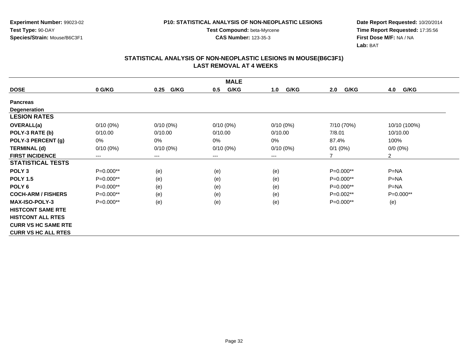**Experiment Number:** 99023-02**Test Type:** 90-DAY**Species/Strain:** Mouse/B6C3F1

**Test Compound:** beta-Myrcene**CAS Number:** 123-35-3

**Date Report Requested:** 10/20/2014 **Time Report Requested:** 17:35:56**First Dose M/F:** NA / NA**Lab:** BAT

| <b>MALE</b>                |                            |              |             |             |             |                |  |  |
|----------------------------|----------------------------|--------------|-------------|-------------|-------------|----------------|--|--|
| <b>DOSE</b>                | 0 G/KG                     | G/KG<br>0.25 | G/KG<br>0.5 | G/KG<br>1.0 | G/KG<br>2.0 | G/KG<br>4.0    |  |  |
| <b>Pancreas</b>            |                            |              |             |             |             |                |  |  |
| <b>Degeneration</b>        |                            |              |             |             |             |                |  |  |
| <b>LESION RATES</b>        |                            |              |             |             |             |                |  |  |
| <b>OVERALL(a)</b>          | $0/10(0\%)$                | $0/10(0\%)$  | $0/10(0\%)$ | $0/10(0\%)$ | 7/10 (70%)  | 10/10 (100%)   |  |  |
| POLY-3 RATE (b)            | 0/10.00                    | 0/10.00      | 0/10.00     | 0/10.00     | 7/8.01      | 10/10.00       |  |  |
| POLY-3 PERCENT (g)         | 0%                         | $0\%$        | 0%          | 0%          | 87.4%       | 100%           |  |  |
| <b>TERMINAL (d)</b>        | $0/10(0\%)$                | $0/10(0\%)$  | $0/10(0\%)$ | $0/10(0\%)$ | $0/1$ (0%)  | $0/0(0\%)$     |  |  |
| <b>FIRST INCIDENCE</b>     | $\qquad \qquad - \qquad -$ | $---$        | ---         | ---         | 7           | $\overline{2}$ |  |  |
| <b>STATISTICAL TESTS</b>   |                            |              |             |             |             |                |  |  |
| POLY <sub>3</sub>          | $P=0.000**$                | (e)          | (e)         | (e)         | $P=0.000**$ | $P=NA$         |  |  |
| <b>POLY 1.5</b>            | $P=0.000**$                | (e)          | (e)         | (e)         | $P=0.000**$ | $P = NA$       |  |  |
| POLY <sub>6</sub>          | $P=0.000**$                | (e)          | (e)         | (e)         | $P=0.000**$ | $P = NA$       |  |  |
| <b>COCH-ARM / FISHERS</b>  | $P=0.000**$                | (e)          | (e)         | (e)         | $P=0.002**$ | P=0.000**      |  |  |
| <b>MAX-ISO-POLY-3</b>      | $P=0.000**$                | (e)          | (e)         | (e)         | P=0.000**   | (e)            |  |  |
| <b>HISTCONT SAME RTE</b>   |                            |              |             |             |             |                |  |  |
| <b>HISTCONT ALL RTES</b>   |                            |              |             |             |             |                |  |  |
| <b>CURR VS HC SAME RTE</b> |                            |              |             |             |             |                |  |  |
| <b>CURR VS HC ALL RTES</b> |                            |              |             |             |             |                |  |  |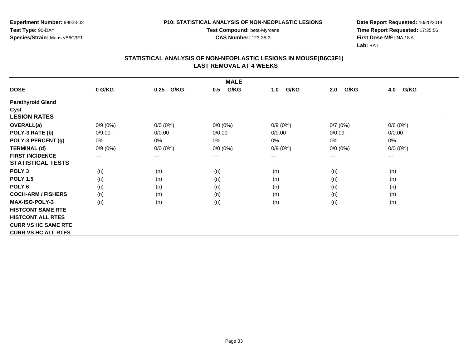**Experiment Number:** 99023-02**Test Type:** 90-DAY**Species/Strain:** Mouse/B6C3F1

**Test Compound:** beta-Myrcene**CAS Number:** 123-35-3

**Date Report Requested:** 10/20/2014 **Time Report Requested:** 17:35:56**First Dose M/F:** NA / NA**Lab:** BAT

|                            | <b>MALE</b>                |              |             |             |             |             |  |  |  |
|----------------------------|----------------------------|--------------|-------------|-------------|-------------|-------------|--|--|--|
| <b>DOSE</b>                | 0 G/KG                     | G/KG<br>0.25 | G/KG<br>0.5 | G/KG<br>1.0 | G/KG<br>2.0 | G/KG<br>4.0 |  |  |  |
| <b>Parathyroid Gland</b>   |                            |              |             |             |             |             |  |  |  |
| Cyst                       |                            |              |             |             |             |             |  |  |  |
| <b>LESION RATES</b>        |                            |              |             |             |             |             |  |  |  |
| <b>OVERALL(a)</b>          | $0/9(0\%)$                 | $0/0 (0\%)$  | $0/0 (0\%)$ | $0/9(0\%)$  | 0/7(0%)     | 0/6(0%)     |  |  |  |
| POLY-3 RATE (b)            | 0/9.00                     | 0/0.00       | 0/0.00      | 0/9.00      | 0/0.09      | 0/0.00      |  |  |  |
| POLY-3 PERCENT (g)         | 0%                         | 0%           | $0\%$       | 0%          | 0%          | $0\%$       |  |  |  |
| <b>TERMINAL (d)</b>        | $0/9(0\%)$                 | $0/0 (0\%)$  | $0/0 (0\%)$ | $0/9(0\%)$  | $0/0 (0\%)$ | $0/0 (0\%)$ |  |  |  |
| <b>FIRST INCIDENCE</b>     | $\qquad \qquad - \qquad -$ | $--$         | ---         | ---         | $---$       | $---$       |  |  |  |
| <b>STATISTICAL TESTS</b>   |                            |              |             |             |             |             |  |  |  |
| POLY <sub>3</sub>          | (n)                        | (n)          | (n)         | (n)         | (n)         | (n)         |  |  |  |
| <b>POLY 1.5</b>            | (n)                        | (n)          | (n)         | (n)         | (n)         | (n)         |  |  |  |
| POLY <sub>6</sub>          | (n)                        | (n)          | (n)         | (n)         | (n)         | (n)         |  |  |  |
| <b>COCH-ARM / FISHERS</b>  | (n)                        | (n)          | (n)         | (n)         | (n)         | (n)         |  |  |  |
| <b>MAX-ISO-POLY-3</b>      | (n)                        | (n)          | (n)         | (n)         | (n)         | (n)         |  |  |  |
| <b>HISTCONT SAME RTE</b>   |                            |              |             |             |             |             |  |  |  |
| <b>HISTCONT ALL RTES</b>   |                            |              |             |             |             |             |  |  |  |
| <b>CURR VS HC SAME RTE</b> |                            |              |             |             |             |             |  |  |  |
| <b>CURR VS HC ALL RTES</b> |                            |              |             |             |             |             |  |  |  |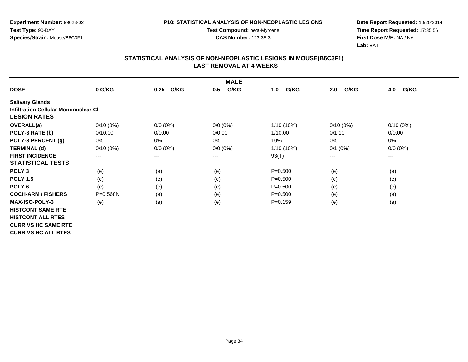**Experiment Number:** 99023-02**Test Type:** 90-DAY**Species/Strain:** Mouse/B6C3F1

**Test Compound:** beta-Myrcene**CAS Number:** 123-35-3

**Date Report Requested:** 10/20/2014 **Time Report Requested:** 17:35:56**First Dose M/F:** NA / NA**Lab:** BAT

|                                      | <b>MALE</b>  |              |             |              |              |             |  |  |  |
|--------------------------------------|--------------|--------------|-------------|--------------|--------------|-------------|--|--|--|
| <b>DOSE</b>                          | 0 G/KG       | G/KG<br>0.25 | G/KG<br>0.5 | G/KG<br>1.0  | G/KG<br>2.0  | G/KG<br>4.0 |  |  |  |
| <b>Salivary Glands</b>               |              |              |             |              |              |             |  |  |  |
| Infiltration Cellular Mononuclear CI |              |              |             |              |              |             |  |  |  |
| <b>LESION RATES</b>                  |              |              |             |              |              |             |  |  |  |
| <b>OVERALL(a)</b>                    | $0/10(0\%)$  | $0/0 (0\%)$  | $0/0 (0\%)$ | $1/10(10\%)$ | $0/10(0\%)$  | $0/10(0\%)$ |  |  |  |
| POLY-3 RATE (b)                      | 0/10.00      | 0/0.00       | 0/0.00      | 1/10.00      | 0/1.10       | 0/0.00      |  |  |  |
| POLY-3 PERCENT (g)                   | 0%           | 0%           | 0%          | 10%          | 0%           | $0\%$       |  |  |  |
| <b>TERMINAL (d)</b>                  | $0/10(0\%)$  | $0/0 (0\%)$  | $0/0 (0\%)$ | 1/10 (10%)   | $0/1$ $(0%)$ | $0/0 (0\%)$ |  |  |  |
| <b>FIRST INCIDENCE</b>               | $--$         | $---$        | ---         | 93(T)        | $---$        | $---$       |  |  |  |
| <b>STATISTICAL TESTS</b>             |              |              |             |              |              |             |  |  |  |
| POLY <sub>3</sub>                    | (e)          | (e)          | (e)         | $P = 0.500$  | (e)          | (e)         |  |  |  |
| <b>POLY 1.5</b>                      | (e)          | (e)          | (e)         | $P = 0.500$  | (e)          | (e)         |  |  |  |
| POLY <sub>6</sub>                    | (e)          | (e)          | (e)         | $P = 0.500$  | (e)          | (e)         |  |  |  |
| <b>COCH-ARM / FISHERS</b>            | $P = 0.568N$ | (e)          | (e)         | $P = 0.500$  | (e)          | (e)         |  |  |  |
| <b>MAX-ISO-POLY-3</b>                | (e)          | (e)          | (e)         | $P = 0.159$  | (e)          | (e)         |  |  |  |
| <b>HISTCONT SAME RTE</b>             |              |              |             |              |              |             |  |  |  |
| <b>HISTCONT ALL RTES</b>             |              |              |             |              |              |             |  |  |  |
| <b>CURR VS HC SAME RTE</b>           |              |              |             |              |              |             |  |  |  |
| <b>CURR VS HC ALL RTES</b>           |              |              |             |              |              |             |  |  |  |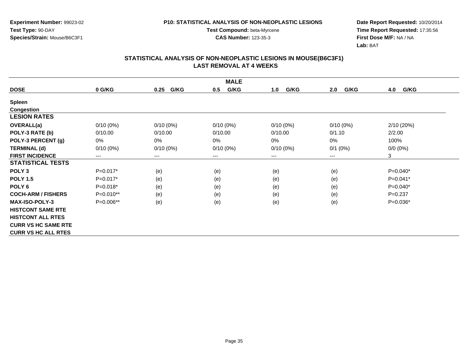**Experiment Number:** 99023-02**Test Type:** 90-DAY**Species/Strain:** Mouse/B6C3F1

**Test Compound:** beta-Myrcene**CAS Number:** 123-35-3

**Date Report Requested:** 10/20/2014 **Time Report Requested:** 17:35:56**First Dose M/F:** NA / NA**Lab:** BAT

|                            | <b>MALE</b> |                        |             |             |             |             |  |  |  |
|----------------------------|-------------|------------------------|-------------|-------------|-------------|-------------|--|--|--|
| <b>DOSE</b>                | 0 G/KG      | G/KG<br>0.25           | G/KG<br>0.5 | G/KG<br>1.0 | G/KG<br>2.0 | G/KG<br>4.0 |  |  |  |
| <b>Spleen</b>              |             |                        |             |             |             |             |  |  |  |
| <b>Congestion</b>          |             |                        |             |             |             |             |  |  |  |
| <b>LESION RATES</b>        |             |                        |             |             |             |             |  |  |  |
| OVERALL(a)                 | $0/10(0\%)$ | $0/10(0\%)$            | $0/10(0\%)$ | $0/10(0\%)$ | $0/10(0\%)$ | 2/10 (20%)  |  |  |  |
| POLY-3 RATE (b)            | 0/10.00     | 0/10.00                | 0/10.00     | 0/10.00     | 0/1.10      | 2/2.00      |  |  |  |
| POLY-3 PERCENT (g)         | 0%          | 0%                     | 0%          | 0%          | 0%          | 100%        |  |  |  |
| <b>TERMINAL (d)</b>        | $0/10(0\%)$ | $0/10(0\%)$            | $0/10(0\%)$ | $0/10(0\%)$ | $0/1$ (0%)  | $0/0 (0\%)$ |  |  |  |
| <b>FIRST INCIDENCE</b>     | ---         | $\qquad \qquad \cdots$ | $--$        | ---         | ---         | 3           |  |  |  |
| <b>STATISTICAL TESTS</b>   |             |                        |             |             |             |             |  |  |  |
| POLY <sub>3</sub>          | $P=0.017*$  | (e)                    | (e)         | (e)         | (e)         | $P=0.040*$  |  |  |  |
| <b>POLY 1.5</b>            | $P=0.017*$  | (e)                    | (e)         | (e)         | (e)         | $P=0.041*$  |  |  |  |
| POLY <sub>6</sub>          | $P=0.018*$  | (e)                    | (e)         | (e)         | (e)         | $P=0.040*$  |  |  |  |
| <b>COCH-ARM / FISHERS</b>  | P=0.010**   | (e)                    | (e)         | (e)         | (e)         | $P = 0.237$ |  |  |  |
| <b>MAX-ISO-POLY-3</b>      | P=0.006**   | (e)                    | (e)         | (e)         | (e)         | $P=0.036*$  |  |  |  |
| <b>HISTCONT SAME RTE</b>   |             |                        |             |             |             |             |  |  |  |
| <b>HISTCONT ALL RTES</b>   |             |                        |             |             |             |             |  |  |  |
| <b>CURR VS HC SAME RTE</b> |             |                        |             |             |             |             |  |  |  |
| <b>CURR VS HC ALL RTES</b> |             |                        |             |             |             |             |  |  |  |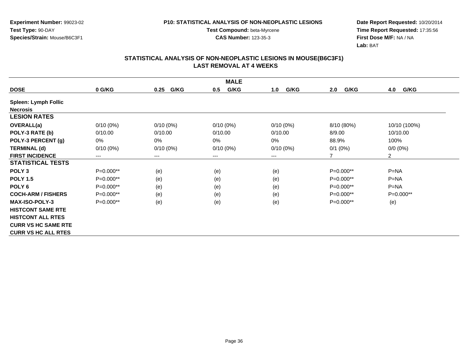**Experiment Number:** 99023-02**Test Type:** 90-DAY**Species/Strain:** Mouse/B6C3F1

**Test Compound:** beta-Myrcene**CAS Number:** 123-35-3

**Date Report Requested:** 10/20/2014 **Time Report Requested:** 17:35:56**First Dose M/F:** NA / NA**Lab:** BAT

|                             | <b>MALE</b>            |                        |             |                        |             |                |  |  |  |
|-----------------------------|------------------------|------------------------|-------------|------------------------|-------------|----------------|--|--|--|
| <b>DOSE</b>                 | 0 G/KG                 | G/KG<br>0.25           | G/KG<br>0.5 | G/KG<br>1.0            | G/KG<br>2.0 | 4.0<br>G/KG    |  |  |  |
| <b>Spleen: Lymph Follic</b> |                        |                        |             |                        |             |                |  |  |  |
| <b>Necrosis</b>             |                        |                        |             |                        |             |                |  |  |  |
| <b>LESION RATES</b>         |                        |                        |             |                        |             |                |  |  |  |
| OVERALL(a)                  | $0/10(0\%)$            | $0/10(0\%)$            | $0/10(0\%)$ | $0/10(0\%)$            | 8/10 (80%)  | 10/10 (100%)   |  |  |  |
| POLY-3 RATE (b)             | 0/10.00                | 0/10.00                | 0/10.00     | 0/10.00                | 8/9.00      | 10/10.00       |  |  |  |
| POLY-3 PERCENT (g)          | 0%                     | 0%                     | $0\%$       | $0\%$                  | 88.9%       | 100%           |  |  |  |
| <b>TERMINAL (d)</b>         | $0/10(0\%)$            | $0/10(0\%)$            | $0/10(0\%)$ | $0/10(0\%)$            | $0/1$ (0%)  | $0/0 (0\%)$    |  |  |  |
| <b>FIRST INCIDENCE</b>      | $\qquad \qquad \cdots$ | $\qquad \qquad \cdots$ | $--$        | $\qquad \qquad \cdots$ |             | $\overline{2}$ |  |  |  |
| <b>STATISTICAL TESTS</b>    |                        |                        |             |                        |             |                |  |  |  |
| POLY <sub>3</sub>           | P=0.000**              | (e)                    | (e)         | (e)                    | $P=0.000**$ | $P=NA$         |  |  |  |
| <b>POLY 1.5</b>             | $P=0.000**$            | (e)                    | (e)         | (e)                    | $P=0.000**$ | $P=NA$         |  |  |  |
| POLY <sub>6</sub>           | $P=0.000**$            | (e)                    | (e)         | (e)                    | $P=0.000**$ | $P=NA$         |  |  |  |
| <b>COCH-ARM / FISHERS</b>   | $P=0.000**$            | (e)                    | (e)         | (e)                    | $P=0.000**$ | $P=0.000**$    |  |  |  |
| <b>MAX-ISO-POLY-3</b>       | $P=0.000**$            | (e)                    | (e)         | (e)                    | $P=0.000**$ | (e)            |  |  |  |
| <b>HISTCONT SAME RTE</b>    |                        |                        |             |                        |             |                |  |  |  |
| <b>HISTCONT ALL RTES</b>    |                        |                        |             |                        |             |                |  |  |  |
| <b>CURR VS HC SAME RTE</b>  |                        |                        |             |                        |             |                |  |  |  |
| <b>CURR VS HC ALL RTES</b>  |                        |                        |             |                        |             |                |  |  |  |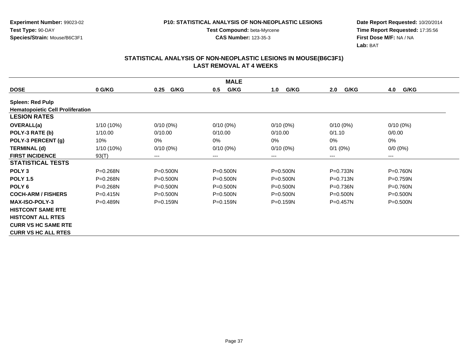**Experiment Number:** 99023-02**Test Type:** 90-DAY**Species/Strain:** Mouse/B6C3F1

**Test Compound:** beta-Myrcene**CAS Number:** 123-35-3

**Date Report Requested:** 10/20/2014 **Time Report Requested:** 17:35:56**First Dose M/F:** NA / NA**Lab:** BAT

|                                         | <b>MALE</b>  |              |              |              |              |                            |  |  |  |
|-----------------------------------------|--------------|--------------|--------------|--------------|--------------|----------------------------|--|--|--|
| <b>DOSE</b>                             | 0 G/KG       | G/KG<br>0.25 | G/KG<br>0.5  | G/KG<br>1.0  | G/KG<br>2.0  | G/KG<br>4.0                |  |  |  |
| <b>Spleen: Red Pulp</b>                 |              |              |              |              |              |                            |  |  |  |
| <b>Hematopoietic Cell Proliferation</b> |              |              |              |              |              |                            |  |  |  |
| <b>LESION RATES</b>                     |              |              |              |              |              |                            |  |  |  |
| <b>OVERALL(a)</b>                       | $1/10(10\%)$ | $0/10(0\%)$  | $0/10(0\%)$  | $0/10(0\%)$  | $0/10(0\%)$  | $0/10(0\%)$                |  |  |  |
| POLY-3 RATE (b)                         | 1/10.00      | 0/10.00      | 0/10.00      | 0/10.00      | 0/1.10       | 0/0.00                     |  |  |  |
| POLY-3 PERCENT (g)                      | 10%          | 0%           | $0\%$        | 0%           | 0%           | 0%                         |  |  |  |
| <b>TERMINAL (d)</b>                     | $1/10(10\%)$ | $0/10(0\%)$  | $0/10(0\%)$  | $0/10(0\%)$  | $0/1$ (0%)   | $0/0 (0\%)$                |  |  |  |
| <b>FIRST INCIDENCE</b>                  | 93(T)        | $---$        | ---          | ---          | ---          | $\qquad \qquad - \qquad -$ |  |  |  |
| <b>STATISTICAL TESTS</b>                |              |              |              |              |              |                            |  |  |  |
| POLY <sub>3</sub>                       | $P = 0.268N$ | $P = 0.500N$ | $P = 0.500N$ | $P = 0.500N$ | $P = 0.733N$ | $P = 0.760N$               |  |  |  |
| <b>POLY 1.5</b>                         | $P = 0.268N$ | $P = 0.500N$ | $P = 0.500N$ | $P = 0.500N$ | $P = 0.713N$ | $P = 0.759N$               |  |  |  |
| POLY <sub>6</sub>                       | $P = 0.268N$ | $P = 0.500N$ | $P = 0.500N$ | $P = 0.500N$ | $P = 0.736N$ | $P = 0.760N$               |  |  |  |
| <b>COCH-ARM / FISHERS</b>               | $P = 0.415N$ | $P = 0.500N$ | P=0.500N     | $P = 0.500N$ | $P = 0.500N$ | $P = 0.500N$               |  |  |  |
| <b>MAX-ISO-POLY-3</b>                   | $P = 0.489N$ | $P=0.159N$   | P=0.159N     | $P = 0.159N$ | $P = 0.457N$ | $P = 0.500N$               |  |  |  |
| <b>HISTCONT SAME RTE</b>                |              |              |              |              |              |                            |  |  |  |
| <b>HISTCONT ALL RTES</b>                |              |              |              |              |              |                            |  |  |  |
| <b>CURR VS HC SAME RTE</b>              |              |              |              |              |              |                            |  |  |  |
| <b>CURR VS HC ALL RTES</b>              |              |              |              |              |              |                            |  |  |  |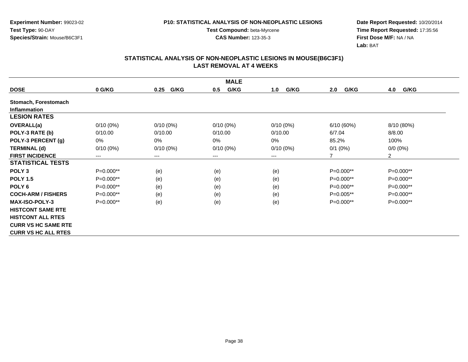**Experiment Number:** 99023-02**Test Type:** 90-DAY**Species/Strain:** Mouse/B6C3F1

**Test Compound:** beta-Myrcene**CAS Number:** 123-35-3

**Date Report Requested:** 10/20/2014 **Time Report Requested:** 17:35:56**First Dose M/F:** NA / NA**Lab:** BAT

|                            |             |              | <b>MALE</b> |             |             |                |
|----------------------------|-------------|--------------|-------------|-------------|-------------|----------------|
| <b>DOSE</b>                | 0 G/KG      | G/KG<br>0.25 | G/KG<br>0.5 | G/KG<br>1.0 | G/KG<br>2.0 | G/KG<br>4.0    |
| Stomach, Forestomach       |             |              |             |             |             |                |
| <b>Inflammation</b>        |             |              |             |             |             |                |
| <b>LESION RATES</b>        |             |              |             |             |             |                |
| OVERALL(a)                 | $0/10(0\%)$ | $0/10(0\%)$  | $0/10(0\%)$ | $0/10(0\%)$ | 6/10(60%)   | 8/10 (80%)     |
| POLY-3 RATE (b)            | 0/10.00     | 0/10.00      | 0/10.00     | 0/10.00     | 6/7.04      | 8/8.00         |
| POLY-3 PERCENT (g)         | 0%          | 0%           | 0%          | $0\%$       | 85.2%       | 100%           |
| <b>TERMINAL (d)</b>        | $0/10(0\%)$ | $0/10(0\%)$  | $0/10(0\%)$ | $0/10(0\%)$ | $0/1$ (0%)  | $0/0 (0\%)$    |
| <b>FIRST INCIDENCE</b>     | $---$       | $---$        | ---         | ---         | 7           | $\overline{2}$ |
| <b>STATISTICAL TESTS</b>   |             |              |             |             |             |                |
| POLY <sub>3</sub>          | P=0.000**   | (e)          | (e)         | (e)         | $P=0.000**$ | P=0.000**      |
| <b>POLY 1.5</b>            | P=0.000**   | (e)          | (e)         | (e)         | $P=0.000**$ | P=0.000**      |
| POLY <sub>6</sub>          | P=0.000**   | (e)          | (e)         | (e)         | $P=0.000**$ | P=0.000**      |
| <b>COCH-ARM / FISHERS</b>  | $P=0.000**$ | (e)          | (e)         | (e)         | $P=0.005**$ | P=0.000**      |
| <b>MAX-ISO-POLY-3</b>      | P=0.000**   | (e)          | (e)         | (e)         | P=0.000**   | P=0.000**      |
| <b>HISTCONT SAME RTE</b>   |             |              |             |             |             |                |
| <b>HISTCONT ALL RTES</b>   |             |              |             |             |             |                |
| <b>CURR VS HC SAME RTE</b> |             |              |             |             |             |                |
| <b>CURR VS HC ALL RTES</b> |             |              |             |             |             |                |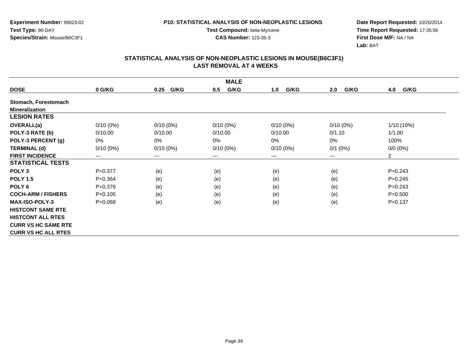**Experiment Number:** 99023-02**Test Type:** 90-DAY**Species/Strain:** Mouse/B6C3F1

**Test Compound:** beta-Myrcene**CAS Number:** 123-35-3

**Date Report Requested:** 10/20/2014 **Time Report Requested:** 17:35:56**First Dose M/F:** NA / NA**Lab:** BAT

|                            |             |                        | <b>MALE</b> |             |             |                |
|----------------------------|-------------|------------------------|-------------|-------------|-------------|----------------|
| <b>DOSE</b>                | 0 G/KG      | G/KG<br>0.25           | G/KG<br>0.5 | G/KG<br>1.0 | G/KG<br>2.0 | G/KG<br>4.0    |
| Stomach, Forestomach       |             |                        |             |             |             |                |
| <b>Mineralization</b>      |             |                        |             |             |             |                |
| <b>LESION RATES</b>        |             |                        |             |             |             |                |
| <b>OVERALL(a)</b>          | $0/10(0\%)$ | $0/10(0\%)$            | $0/10(0\%)$ | $0/10(0\%)$ | $0/10(0\%)$ | 1/10 (10%)     |
| POLY-3 RATE (b)            | 0/10.00     | 0/10.00                | 0/10.00     | 0/10.00     | 0/1.10      | 1/1.00         |
| POLY-3 PERCENT (g)         | 0%          | 0%                     | 0%          | 0%          | 0%          | 100%           |
| <b>TERMINAL (d)</b>        | $0/10(0\%)$ | $0/10(0\%)$            | $0/10(0\%)$ | $0/10(0\%)$ | $0/1$ (0%)  | $0/0 (0\%)$    |
| <b>FIRST INCIDENCE</b>     | $---$       | $\qquad \qquad \cdots$ | $--$        | ---         | $---$       | $\overline{2}$ |
| <b>STATISTICAL TESTS</b>   |             |                        |             |             |             |                |
| POLY <sub>3</sub>          | $P=0.377$   | (e)                    | (e)         | (e)         | (e)         | $P = 0.243$    |
| <b>POLY 1.5</b>            | $P = 0.364$ | (e)                    | (e)         | (e)         | (e)         | $P = 0.245$    |
| POLY <sub>6</sub>          | $P = 0.376$ | (e)                    | (e)         | (e)         | (e)         | $P=0.243$      |
| <b>COCH-ARM / FISHERS</b>  | $P = 0.105$ | (e)                    | (e)         | (e)         | (e)         | $P = 0.500$    |
| <b>MAX-ISO-POLY-3</b>      | $P = 0.068$ | (e)                    | (e)         | (e)         | (e)         | $P = 0.137$    |
| <b>HISTCONT SAME RTE</b>   |             |                        |             |             |             |                |
| <b>HISTCONT ALL RTES</b>   |             |                        |             |             |             |                |
| <b>CURR VS HC SAME RTE</b> |             |                        |             |             |             |                |
| <b>CURR VS HC ALL RTES</b> |             |                        |             |             |             |                |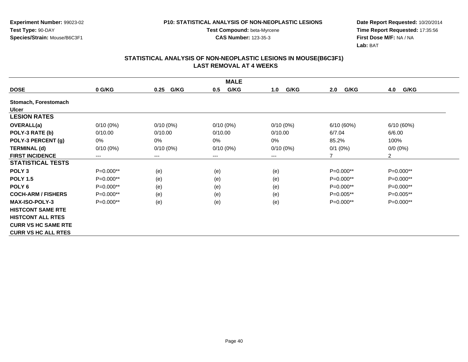**Experiment Number:** 99023-02**Test Type:** 90-DAY**Species/Strain:** Mouse/B6C3F1

**Test Compound:** beta-Myrcene**CAS Number:** 123-35-3

**Date Report Requested:** 10/20/2014 **Time Report Requested:** 17:35:56**First Dose M/F:** NA / NA**Lab:** BAT

|                            | <b>MALE</b>            |              |             |             |                |                |  |  |  |
|----------------------------|------------------------|--------------|-------------|-------------|----------------|----------------|--|--|--|
| <b>DOSE</b>                | 0 G/KG                 | G/KG<br>0.25 | G/KG<br>0.5 | G/KG<br>1.0 | G/KG<br>2.0    | G/KG<br>4.0    |  |  |  |
| Stomach, Forestomach       |                        |              |             |             |                |                |  |  |  |
| <b>Ulcer</b>               |                        |              |             |             |                |                |  |  |  |
| <b>LESION RATES</b>        |                        |              |             |             |                |                |  |  |  |
| <b>OVERALL(a)</b>          | $0/10(0\%)$            | $0/10(0\%)$  | $0/10(0\%)$ | $0/10(0\%)$ | 6/10(60%)      | 6/10(60%)      |  |  |  |
| POLY-3 RATE (b)            | 0/10.00                | 0/10.00      | 0/10.00     | 0/10.00     | 6/7.04         | 6/6.00         |  |  |  |
| POLY-3 PERCENT (g)         | 0%                     | 0%           | 0%          | 0%          | 85.2%          | 100%           |  |  |  |
| <b>TERMINAL (d)</b>        | $0/10(0\%)$            | $0/10(0\%)$  | $0/10(0\%)$ | $0/10(0\%)$ | $0/1$ (0%)     | $0/0 (0\%)$    |  |  |  |
| <b>FIRST INCIDENCE</b>     | $\qquad \qquad \cdots$ | $---$        | ---         | ---         | $\overline{7}$ | $\overline{2}$ |  |  |  |
| <b>STATISTICAL TESTS</b>   |                        |              |             |             |                |                |  |  |  |
| POLY <sub>3</sub>          | $P=0.000**$            | (e)          | (e)         | (e)         | P=0.000**      | P=0.000**      |  |  |  |
| <b>POLY 1.5</b>            | P=0.000**              | (e)          | (e)         | (e)         | P=0.000**      | P=0.000**      |  |  |  |
| POLY <sub>6</sub>          | P=0.000**              | (e)          | (e)         | (e)         | P=0.000**      | P=0.000**      |  |  |  |
| <b>COCH-ARM / FISHERS</b>  | P=0.000**              | (e)          | (e)         | (e)         | P=0.005**      | P=0.005**      |  |  |  |
| <b>MAX-ISO-POLY-3</b>      | $P=0.000**$            | (e)          | (e)         | (e)         | $P=0.000**$    | $P=0.000**$    |  |  |  |
| <b>HISTCONT SAME RTE</b>   |                        |              |             |             |                |                |  |  |  |
| <b>HISTCONT ALL RTES</b>   |                        |              |             |             |                |                |  |  |  |
| <b>CURR VS HC SAME RTE</b> |                        |              |             |             |                |                |  |  |  |
| <b>CURR VS HC ALL RTES</b> |                        |              |             |             |                |                |  |  |  |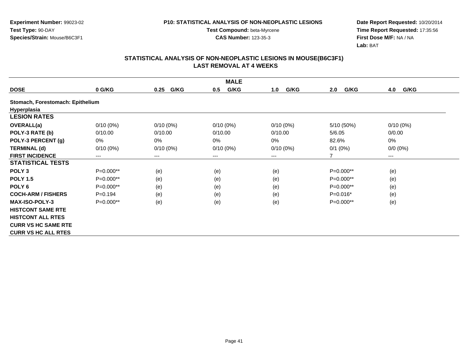**Experiment Number:** 99023-02**Test Type:** 90-DAY**Species/Strain:** Mouse/B6C3F1

**Test Compound:** beta-Myrcene**CAS Number:** 123-35-3

**Date Report Requested:** 10/20/2014 **Time Report Requested:** 17:35:56**First Dose M/F:** NA / NA**Lab:** BAT

|                                  |             |              | <b>MALE</b> |             |             |             |
|----------------------------------|-------------|--------------|-------------|-------------|-------------|-------------|
| <b>DOSE</b>                      | 0 G/KG      | G/KG<br>0.25 | G/KG<br>0.5 | G/KG<br>1.0 | G/KG<br>2.0 | G/KG<br>4.0 |
| Stomach, Forestomach: Epithelium |             |              |             |             |             |             |
| Hyperplasia                      |             |              |             |             |             |             |
| <b>LESION RATES</b>              |             |              |             |             |             |             |
| <b>OVERALL(a)</b>                | $0/10(0\%)$ | $0/10(0\%)$  | $0/10(0\%)$ | $0/10(0\%)$ | 5/10 (50%)  | $0/10(0\%)$ |
| POLY-3 RATE (b)                  | 0/10.00     | 0/10.00      | 0/10.00     | 0/10.00     | 5/6.05      | 0/0.00      |
| POLY-3 PERCENT (g)               | 0%          | 0%           | 0%          | 0%          | 82.6%       | 0%          |
| <b>TERMINAL (d)</b>              | $0/10(0\%)$ | $0/10(0\%)$  | $0/10(0\%)$ | $0/10(0\%)$ | $0/1$ (0%)  | $0/0 (0\%)$ |
| <b>FIRST INCIDENCE</b>           | $---$       | $---$        | ---         | ---         | 7           | $---$       |
| <b>STATISTICAL TESTS</b>         |             |              |             |             |             |             |
| POLY <sub>3</sub>                | P=0.000**   | (e)          | (e)         | (e)         | $P=0.000**$ | (e)         |
| <b>POLY 1.5</b>                  | P=0.000**   | (e)          | (e)         | (e)         | $P=0.000**$ | (e)         |
| POLY <sub>6</sub>                | P=0.000**   | (e)          | (e)         | (e)         | $P=0.000**$ | (e)         |
| <b>COCH-ARM / FISHERS</b>        | $P = 0.194$ | (e)          | (e)         | (e)         | $P=0.016*$  | (e)         |
| <b>MAX-ISO-POLY-3</b>            | P=0.000**   | (e)          | (e)         | (e)         | P=0.000**   | (e)         |
| <b>HISTCONT SAME RTE</b>         |             |              |             |             |             |             |
| <b>HISTCONT ALL RTES</b>         |             |              |             |             |             |             |
| <b>CURR VS HC SAME RTE</b>       |             |              |             |             |             |             |
| <b>CURR VS HC ALL RTES</b>       |             |              |             |             |             |             |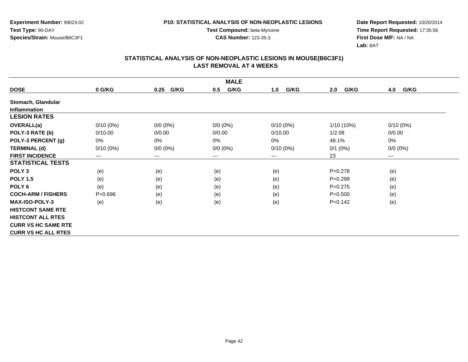**Experiment Number:** 99023-02**Test Type:** 90-DAY**Species/Strain:** Mouse/B6C3F1

**Test Compound:** beta-Myrcene**CAS Number:** 123-35-3

**Date Report Requested:** 10/20/2014 **Time Report Requested:** 17:35:56**First Dose M/F:** NA / NA**Lab:** BAT

|                            | <b>MALE</b> |                        |             |             |             |             |  |  |
|----------------------------|-------------|------------------------|-------------|-------------|-------------|-------------|--|--|
| <b>DOSE</b>                | 0 G/KG      | G/KG<br>0.25           | G/KG<br>0.5 | G/KG<br>1.0 | G/KG<br>2.0 | 4.0<br>G/KG |  |  |
| Stomach, Glandular         |             |                        |             |             |             |             |  |  |
| <b>Inflammation</b>        |             |                        |             |             |             |             |  |  |
| <b>LESION RATES</b>        |             |                        |             |             |             |             |  |  |
| <b>OVERALL(a)</b>          | $0/10(0\%)$ | 0/0 (0%)               | $0/0 (0\%)$ | $0/10(0\%)$ | 1/10 (10%)  | $0/10(0\%)$ |  |  |
| POLY-3 RATE (b)            | 0/10.00     | 0/0.00                 | 0/0.00      | 0/10.00     | 1/2.08      | 0/0.00      |  |  |
| POLY-3 PERCENT (g)         | 0%          | 0%                     | 0%          | 0%          | 48.1%       | 0%          |  |  |
| <b>TERMINAL (d)</b>        | $0/10(0\%)$ | $0/0 (0\%)$            | $0/0 (0\%)$ | $0/10(0\%)$ | $0/1$ (0%)  | $0/0 (0\%)$ |  |  |
| <b>FIRST INCIDENCE</b>     | $---$       | $\qquad \qquad \cdots$ | $---$       | ---         | 23          | $\cdots$    |  |  |
| <b>STATISTICAL TESTS</b>   |             |                        |             |             |             |             |  |  |
| POLY <sub>3</sub>          | (e)         | (e)                    | (e)         | (e)         | $P = 0.278$ | (e)         |  |  |
| <b>POLY 1.5</b>            | (e)         | (e)                    | (e)         | (e)         | $P = 0.299$ | (e)         |  |  |
| POLY <sub>6</sub>          | (e)         | (e)                    | (e)         | (e)         | $P = 0.275$ | (e)         |  |  |
| <b>COCH-ARM / FISHERS</b>  | $P = 0.696$ | (e)                    | (e)         | (e)         | $P = 0.500$ | (e)         |  |  |
| <b>MAX-ISO-POLY-3</b>      | (e)         | (e)                    | (e)         | (e)         | $P=0.142$   | (e)         |  |  |
| <b>HISTCONT SAME RTE</b>   |             |                        |             |             |             |             |  |  |
| <b>HISTCONT ALL RTES</b>   |             |                        |             |             |             |             |  |  |
| <b>CURR VS HC SAME RTE</b> |             |                        |             |             |             |             |  |  |
| <b>CURR VS HC ALL RTES</b> |             |                        |             |             |             |             |  |  |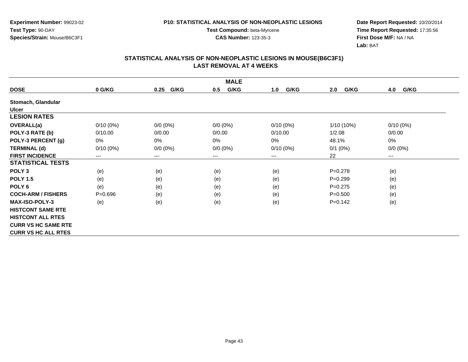**Experiment Number:** 99023-02**Test Type:** 90-DAY**Species/Strain:** Mouse/B6C3F1

**Test Compound:** beta-Myrcene**CAS Number:** 123-35-3

**Date Report Requested:** 10/20/2014 **Time Report Requested:** 17:35:56**First Dose M/F:** NA / NA**Lab:** BAT

|                            | <b>MALE</b> |                        |             |             |              |             |  |  |
|----------------------------|-------------|------------------------|-------------|-------------|--------------|-------------|--|--|
| <b>DOSE</b>                | 0 G/KG      | G/KG<br>0.25           | G/KG<br>0.5 | G/KG<br>1.0 | G/KG<br>2.0  | 4.0<br>G/KG |  |  |
| Stomach, Glandular         |             |                        |             |             |              |             |  |  |
| <b>Ulcer</b>               |             |                        |             |             |              |             |  |  |
| <b>LESION RATES</b>        |             |                        |             |             |              |             |  |  |
| OVERALL(a)                 | $0/10(0\%)$ | $0/0 (0\%)$            | $0/0 (0\%)$ | $0/10(0\%)$ | $1/10(10\%)$ | $0/10(0\%)$ |  |  |
| POLY-3 RATE (b)            | 0/10.00     | 0/0.00                 | 0/0.00      | 0/10.00     | 1/2.08       | 0/0.00      |  |  |
| POLY-3 PERCENT (g)         | 0%          | $0\%$                  | $0\%$       | 0%          | 48.1%        | 0%          |  |  |
| <b>TERMINAL (d)</b>        | $0/10(0\%)$ | $0/0 (0\%)$            | $0/0 (0\%)$ | $0/10(0\%)$ | $0/1$ (0%)   | $0/0 (0\%)$ |  |  |
| <b>FIRST INCIDENCE</b>     | ---         | $\qquad \qquad \cdots$ | $---$       | ---         | 22           | $---$       |  |  |
| <b>STATISTICAL TESTS</b>   |             |                        |             |             |              |             |  |  |
| POLY <sub>3</sub>          | (e)         | (e)                    | (e)         | (e)         | $P = 0.278$  | (e)         |  |  |
| <b>POLY 1.5</b>            | (e)         | (e)                    | (e)         | (e)         | $P = 0.299$  | (e)         |  |  |
| POLY 6                     | (e)         | (e)                    | (e)         | (e)         | $P = 0.275$  | (e)         |  |  |
| <b>COCH-ARM / FISHERS</b>  | $P = 0.696$ | (e)                    | (e)         | (e)         | $P = 0.500$  | (e)         |  |  |
| <b>MAX-ISO-POLY-3</b>      | (e)         | (e)                    | (e)         | (e)         | $P=0.142$    | (e)         |  |  |
| <b>HISTCONT SAME RTE</b>   |             |                        |             |             |              |             |  |  |
| <b>HISTCONT ALL RTES</b>   |             |                        |             |             |              |             |  |  |
| <b>CURR VS HC SAME RTE</b> |             |                        |             |             |              |             |  |  |
| <b>CURR VS HC ALL RTES</b> |             |                        |             |             |              |             |  |  |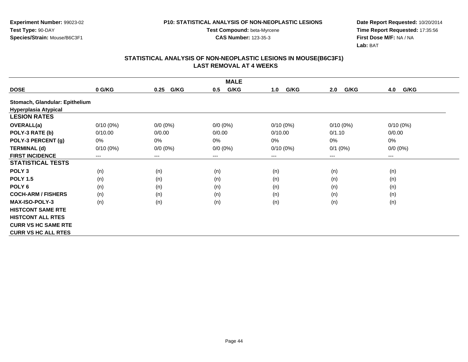**Experiment Number:** 99023-02**Test Type:** 90-DAY**Species/Strain:** Mouse/B6C3F1

**Test Compound:** beta-Myrcene**CAS Number:** 123-35-3

**Date Report Requested:** 10/20/2014 **Time Report Requested:** 17:35:56**First Dose M/F:** NA / NA**Lab:** BAT

|                                |             |                        | <b>MALE</b> |             |             |                        |
|--------------------------------|-------------|------------------------|-------------|-------------|-------------|------------------------|
| <b>DOSE</b>                    | 0 G/KG      | G/KG<br>0.25           | G/KG<br>0.5 | G/KG<br>1.0 | G/KG<br>2.0 | G/KG<br>4.0            |
| Stomach, Glandular: Epithelium |             |                        |             |             |             |                        |
| <b>Hyperplasia Atypical</b>    |             |                        |             |             |             |                        |
| <b>LESION RATES</b>            |             |                        |             |             |             |                        |
| <b>OVERALL(a)</b>              | $0/10(0\%)$ | $0/0 (0\%)$            | $0/0 (0\%)$ | $0/10(0\%)$ | $0/10(0\%)$ | $0/10(0\%)$            |
| POLY-3 RATE (b)                | 0/10.00     | 0/0.00                 | 0/0.00      | 0/10.00     | 0/1.10      | 0/0.00                 |
| POLY-3 PERCENT (g)             | 0%          | 0%                     | 0%          | 0%          | 0%          | 0%                     |
| <b>TERMINAL (d)</b>            | $0/10(0\%)$ | $0/0 (0\%)$            | $0/0 (0\%)$ | $0/10(0\%)$ | $0/1$ (0%)  | $0/0 (0\%)$            |
| <b>FIRST INCIDENCE</b>         | ---         | $\qquad \qquad \cdots$ | $---$       | ---         | $---$       | $\qquad \qquad \cdots$ |
| <b>STATISTICAL TESTS</b>       |             |                        |             |             |             |                        |
| POLY <sub>3</sub>              | (n)         | (n)                    | (n)         | (n)         | (n)         | (n)                    |
| <b>POLY 1.5</b>                | (n)         | (n)                    | (n)         | (n)         | (n)         | (n)                    |
| POLY <sub>6</sub>              | (n)         | (n)                    | (n)         | (n)         | (n)         | (n)                    |
| <b>COCH-ARM / FISHERS</b>      | (n)         | (n)                    | (n)         | (n)         | (n)         | (n)                    |
| <b>MAX-ISO-POLY-3</b>          | (n)         | (n)                    | (n)         | (n)         | (n)         | (n)                    |
| <b>HISTCONT SAME RTE</b>       |             |                        |             |             |             |                        |
| <b>HISTCONT ALL RTES</b>       |             |                        |             |             |             |                        |
| <b>CURR VS HC SAME RTE</b>     |             |                        |             |             |             |                        |
| <b>CURR VS HC ALL RTES</b>     |             |                        |             |             |             |                        |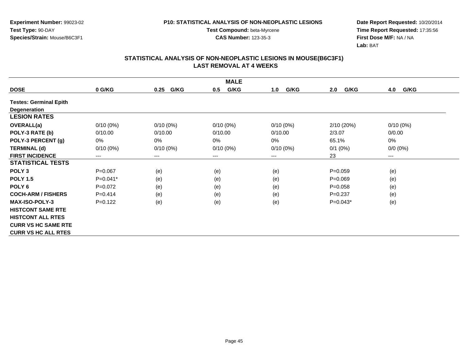**Experiment Number:** 99023-02**Test Type:** 90-DAY**Species/Strain:** Mouse/B6C3F1

**Test Compound:** beta-Myrcene**CAS Number:** 123-35-3

**Date Report Requested:** 10/20/2014 **Time Report Requested:** 17:35:56**First Dose M/F:** NA / NA**Lab:** BAT

|                               |             |              | <b>MALE</b> |             |             |             |
|-------------------------------|-------------|--------------|-------------|-------------|-------------|-------------|
| <b>DOSE</b>                   | 0 G/KG      | G/KG<br>0.25 | G/KG<br>0.5 | G/KG<br>1.0 | G/KG<br>2.0 | G/KG<br>4.0 |
| <b>Testes: Germinal Epith</b> |             |              |             |             |             |             |
| Degeneration                  |             |              |             |             |             |             |
| <b>LESION RATES</b>           |             |              |             |             |             |             |
| OVERALL(a)                    | $0/10(0\%)$ | $0/10(0\%)$  | $0/10(0\%)$ | $0/10(0\%)$ | 2/10 (20%)  | $0/10(0\%)$ |
| POLY-3 RATE (b)               | 0/10.00     | 0/10.00      | 0/10.00     | 0/10.00     | 2/3.07      | 0/0.00      |
| POLY-3 PERCENT (g)            | 0%          | 0%           | 0%          | 0%          | 65.1%       | 0%          |
| <b>TERMINAL (d)</b>           | $0/10(0\%)$ | $0/10(0\%)$  | $0/10(0\%)$ | $0/10(0\%)$ | $0/1$ (0%)  | $0/0 (0\%)$ |
| <b>FIRST INCIDENCE</b>        | $---$       | $\cdots$     | $--$        | ---         | 23          | $---$       |
| <b>STATISTICAL TESTS</b>      |             |              |             |             |             |             |
| POLY <sub>3</sub>             | $P = 0.067$ | (e)          | (e)         | (e)         | $P = 0.059$ | (e)         |
| <b>POLY 1.5</b>               | $P=0.041*$  | (e)          | (e)         | (e)         | $P = 0.069$ | (e)         |
| POLY <sub>6</sub>             | $P=0.072$   | (e)          | (e)         | (e)         | $P = 0.058$ | (e)         |
| <b>COCH-ARM / FISHERS</b>     | $P = 0.414$ | (e)          | (e)         | (e)         | $P=0.237$   | (e)         |
| <b>MAX-ISO-POLY-3</b>         | $P = 0.122$ | (e)          | (e)         | (e)         | $P=0.043*$  | (e)         |
| <b>HISTCONT SAME RTE</b>      |             |              |             |             |             |             |
| <b>HISTCONT ALL RTES</b>      |             |              |             |             |             |             |
| <b>CURR VS HC SAME RTE</b>    |             |              |             |             |             |             |
| <b>CURR VS HC ALL RTES</b>    |             |              |             |             |             |             |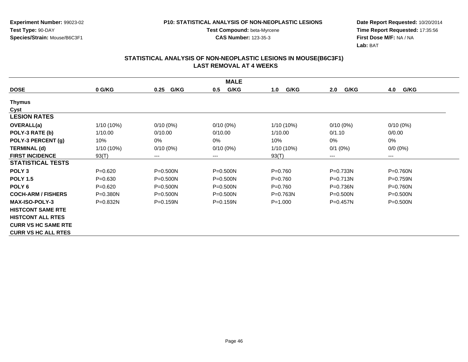**Experiment Number:** 99023-02**Test Type:** 90-DAY**Species/Strain:** Mouse/B6C3F1

**Test Compound:** beta-Myrcene**CAS Number:** 123-35-3

**Date Report Requested:** 10/20/2014 **Time Report Requested:** 17:35:56**First Dose M/F:** NA / NA**Lab:** BAT

|                            | <b>MALE</b>  |              |              |              |              |              |  |  |  |
|----------------------------|--------------|--------------|--------------|--------------|--------------|--------------|--|--|--|
| <b>DOSE</b>                | 0 G/KG       | G/KG<br>0.25 | G/KG<br>0.5  | G/KG<br>1.0  | G/KG<br>2.0  | G/KG<br>4.0  |  |  |  |
| <b>Thymus</b>              |              |              |              |              |              |              |  |  |  |
| Cyst                       |              |              |              |              |              |              |  |  |  |
| <b>LESION RATES</b>        |              |              |              |              |              |              |  |  |  |
| OVERALL(a)                 | $1/10(10\%)$ | $0/10(0\%)$  | $0/10(0\%)$  | 1/10 (10%)   | $0/10(0\%)$  | $0/10(0\%)$  |  |  |  |
| POLY-3 RATE (b)            | 1/10.00      | 0/10.00      | 0/10.00      | 1/10.00      | 0/1.10       | 0/0.00       |  |  |  |
| POLY-3 PERCENT (g)         | 10%          | $0\%$        | 0%           | 10%          | 0%           | 0%           |  |  |  |
| <b>TERMINAL (d)</b>        | $1/10(10\%)$ | $0/10(0\%)$  | $0/10(0\%)$  | 1/10 (10%)   | $0/1$ (0%)   | $0/0 (0\%)$  |  |  |  |
| <b>FIRST INCIDENCE</b>     | 93(T)        | $---$        | ---          | 93(T)        | ---          | $---$        |  |  |  |
| <b>STATISTICAL TESTS</b>   |              |              |              |              |              |              |  |  |  |
| POLY <sub>3</sub>          | $P = 0.620$  | $P = 0.500N$ | $P = 0.500N$ | $P = 0.760$  | P=0.733N     | P=0.760N     |  |  |  |
| <b>POLY 1.5</b>            | $P = 0.630$  | $P = 0.500N$ | $P = 0.500N$ | $P = 0.760$  | P=0.713N     | P=0.759N     |  |  |  |
| POLY <sub>6</sub>          | $P = 0.620$  | $P = 0.500N$ | $P = 0.500N$ | $P = 0.760$  | $P = 0.736N$ | $P = 0.760N$ |  |  |  |
| <b>COCH-ARM / FISHERS</b>  | $P = 0.380N$ | $P = 0.500N$ | $P = 0.500N$ | $P = 0.763N$ | $P = 0.500N$ | $P = 0.500N$ |  |  |  |
| <b>MAX-ISO-POLY-3</b>      | $P = 0.832N$ | $P = 0.159N$ | $P = 0.159N$ | $P = 1.000$  | $P = 0.457N$ | $P = 0.500N$ |  |  |  |
| <b>HISTCONT SAME RTE</b>   |              |              |              |              |              |              |  |  |  |
| <b>HISTCONT ALL RTES</b>   |              |              |              |              |              |              |  |  |  |
| <b>CURR VS HC SAME RTE</b> |              |              |              |              |              |              |  |  |  |
| <b>CURR VS HC ALL RTES</b> |              |              |              |              |              |              |  |  |  |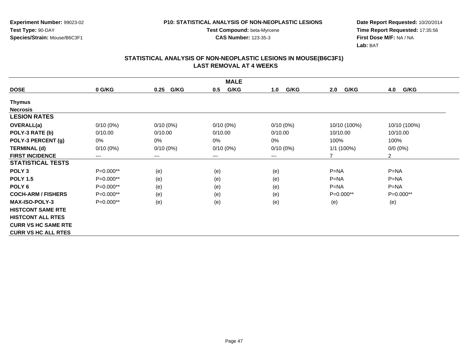**Experiment Number:** 99023-02**Test Type:** 90-DAY**Species/Strain:** Mouse/B6C3F1

**Test Compound:** beta-Myrcene**CAS Number:** 123-35-3

**Date Report Requested:** 10/20/2014 **Time Report Requested:** 17:35:56**First Dose M/F:** NA / NA**Lab:** BAT

| <b>MALE</b>                |             |                            |             |             |              |                |  |  |
|----------------------------|-------------|----------------------------|-------------|-------------|--------------|----------------|--|--|
| <b>DOSE</b>                | 0 G/KG      | G/KG<br>0.25               | G/KG<br>0.5 | G/KG<br>1.0 | G/KG<br>2.0  | 4.0<br>G/KG    |  |  |
| Thymus                     |             |                            |             |             |              |                |  |  |
| <b>Necrosis</b>            |             |                            |             |             |              |                |  |  |
| <b>LESION RATES</b>        |             |                            |             |             |              |                |  |  |
| OVERALL(a)                 | $0/10(0\%)$ | $0/10(0\%)$                | $0/10(0\%)$ | $0/10(0\%)$ | 10/10 (100%) | 10/10 (100%)   |  |  |
| POLY-3 RATE (b)            | 0/10.00     | 0/10.00                    | 0/10.00     | 0/10.00     | 10/10.00     | 10/10.00       |  |  |
| POLY-3 PERCENT (g)         | 0%          | 0%                         | 0%          | 0%          | 100%         | 100%           |  |  |
| <b>TERMINAL (d)</b>        | $0/10(0\%)$ | $0/10(0\%)$                | $0/10(0\%)$ | $0/10(0\%)$ | $1/1$ (100%) | $0/0 (0\%)$    |  |  |
| <b>FIRST INCIDENCE</b>     | ---         | $\qquad \qquad - \qquad -$ | $--$        | ---         | 7            | $\overline{2}$ |  |  |
| <b>STATISTICAL TESTS</b>   |             |                            |             |             |              |                |  |  |
| POLY <sub>3</sub>          | P=0.000**   | (e)                        | (e)         | (e)         | $P=NA$       | $P = NA$       |  |  |
| <b>POLY 1.5</b>            | P=0.000**   | (e)                        | (e)         | (e)         | $P = NA$     | $P=NA$         |  |  |
| POLY <sub>6</sub>          | P=0.000**   | (e)                        | (e)         | (e)         | $P = NA$     | $P = NA$       |  |  |
| <b>COCH-ARM / FISHERS</b>  | P=0.000**   | (e)                        | (e)         | (e)         | $P=0.000**$  | $P=0.000**$    |  |  |
| <b>MAX-ISO-POLY-3</b>      | P=0.000**   | (e)                        | (e)         | (e)         | (e)          | (e)            |  |  |
| <b>HISTCONT SAME RTE</b>   |             |                            |             |             |              |                |  |  |
| <b>HISTCONT ALL RTES</b>   |             |                            |             |             |              |                |  |  |
| <b>CURR VS HC SAME RTE</b> |             |                            |             |             |              |                |  |  |
| <b>CURR VS HC ALL RTES</b> |             |                            |             |             |              |                |  |  |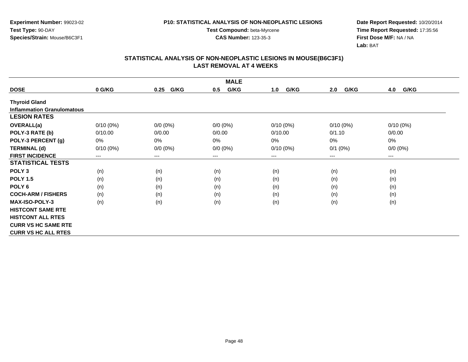**Experiment Number:** 99023-02**Test Type:** 90-DAY**Species/Strain:** Mouse/B6C3F1

**Test Compound:** beta-Myrcene**CAS Number:** 123-35-3

**Date Report Requested:** 10/20/2014 **Time Report Requested:** 17:35:56**First Dose M/F:** NA / NA**Lab:** BAT

|                                   | <b>MALE</b> |              |             |             |             |             |  |  |  |
|-----------------------------------|-------------|--------------|-------------|-------------|-------------|-------------|--|--|--|
| <b>DOSE</b>                       | 0 G/KG      | G/KG<br>0.25 | G/KG<br>0.5 | G/KG<br>1.0 | G/KG<br>2.0 | G/KG<br>4.0 |  |  |  |
| <b>Thyroid Gland</b>              |             |              |             |             |             |             |  |  |  |
| <b>Inflammation Granulomatous</b> |             |              |             |             |             |             |  |  |  |
| <b>LESION RATES</b>               |             |              |             |             |             |             |  |  |  |
| OVERALL(a)                        | $0/10(0\%)$ | $0/0 (0\%)$  | $0/0 (0\%)$ | $0/10(0\%)$ | $0/10(0\%)$ | $0/10(0\%)$ |  |  |  |
| POLY-3 RATE (b)                   | 0/10.00     | 0/0.00       | 0/0.00      | 0/10.00     | 0/1.10      | 0/0.00      |  |  |  |
| POLY-3 PERCENT (g)                | 0%          | 0%           | 0%          | 0%          | 0%          | 0%          |  |  |  |
| <b>TERMINAL (d)</b>               | $0/10(0\%)$ | $0/0 (0\%)$  | $0/0 (0\%)$ | $0/10(0\%)$ | $0/1$ (0%)  | $0/0 (0\%)$ |  |  |  |
| <b>FIRST INCIDENCE</b>            | $---$       | $---$        | ---         | ---         | ---         | $---$       |  |  |  |
| <b>STATISTICAL TESTS</b>          |             |              |             |             |             |             |  |  |  |
| POLY <sub>3</sub>                 | (n)         | (n)          | (n)         | (n)         | (n)         | (n)         |  |  |  |
| <b>POLY 1.5</b>                   | (n)         | (n)          | (n)         | (n)         | (n)         | (n)         |  |  |  |
| POLY <sub>6</sub>                 | (n)         | (n)          | (n)         | (n)         | (n)         | (n)         |  |  |  |
| <b>COCH-ARM / FISHERS</b>         | (n)         | (n)          | (n)         | (n)         | (n)         | (n)         |  |  |  |
| <b>MAX-ISO-POLY-3</b>             | (n)         | (n)          | (n)         | (n)         | (n)         | (n)         |  |  |  |
| <b>HISTCONT SAME RTE</b>          |             |              |             |             |             |             |  |  |  |
| <b>HISTCONT ALL RTES</b>          |             |              |             |             |             |             |  |  |  |
| <b>CURR VS HC SAME RTE</b>        |             |              |             |             |             |             |  |  |  |
| <b>CURR VS HC ALL RTES</b>        |             |              |             |             |             |             |  |  |  |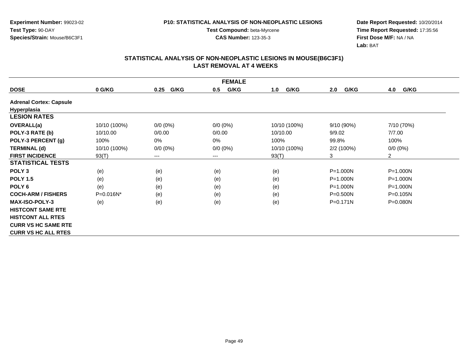**Experiment Number:** 99023-02**Test Type:** 90-DAY**Species/Strain:** Mouse/B6C3F1

**Test Compound:** beta-Myrcene**CAS Number:** 123-35-3

**Date Report Requested:** 10/20/2014 **Time Report Requested:** 17:35:56**First Dose M/F:** NA / NA**Lab:** BAT

|                                | <b>FEMALE</b> |              |             |              |              |                |  |  |  |
|--------------------------------|---------------|--------------|-------------|--------------|--------------|----------------|--|--|--|
| <b>DOSE</b>                    | 0 G/KG        | G/KG<br>0.25 | G/KG<br>0.5 | G/KG<br>1.0  | G/KG<br>2.0  | G/KG<br>4.0    |  |  |  |
| <b>Adrenal Cortex: Capsule</b> |               |              |             |              |              |                |  |  |  |
| Hyperplasia                    |               |              |             |              |              |                |  |  |  |
| <b>LESION RATES</b>            |               |              |             |              |              |                |  |  |  |
| <b>OVERALL(a)</b>              | 10/10 (100%)  | $0/0 (0\%)$  | $0/0 (0\%)$ | 10/10 (100%) | 9/10(90%)    | 7/10 (70%)     |  |  |  |
| POLY-3 RATE (b)                | 10/10.00      | 0/0.00       | 0/0.00      | 10/10.00     | 9/9.02       | 7/7.00         |  |  |  |
| POLY-3 PERCENT (g)             | 100%          | 0%           | 0%          | 100%         | 99.8%        | 100%           |  |  |  |
| <b>TERMINAL (d)</b>            | 10/10 (100%)  | $0/0 (0\%)$  | $0/0 (0\%)$ | 10/10 (100%) | 2/2(100%)    | $0/0 (0\%)$    |  |  |  |
| <b>FIRST INCIDENCE</b>         | 93(T)         | $---$        | ---         | 93(T)        | 3            | $\overline{2}$ |  |  |  |
| <b>STATISTICAL TESTS</b>       |               |              |             |              |              |                |  |  |  |
| POLY <sub>3</sub>              | (e)           | (e)          | (e)         | (e)          | $P = 1.000N$ | $P = 1.000N$   |  |  |  |
| <b>POLY 1.5</b>                | (e)           | (e)          | (e)         | (e)          | P=1.000N     | $P = 1.000N$   |  |  |  |
| POLY <sub>6</sub>              | (e)           | (e)          | (e)         | (e)          | P=1.000N     | $P = 1.000N$   |  |  |  |
| <b>COCH-ARM / FISHERS</b>      | $P=0.016N^*$  | (e)          | (e)         | (e)          | $P = 0.500N$ | $P = 0.105N$   |  |  |  |
| <b>MAX-ISO-POLY-3</b>          | (e)           | (e)          | (e)         | (e)          | $P = 0.171N$ | $P = 0.080N$   |  |  |  |
| <b>HISTCONT SAME RTE</b>       |               |              |             |              |              |                |  |  |  |
| <b>HISTCONT ALL RTES</b>       |               |              |             |              |              |                |  |  |  |
| <b>CURR VS HC SAME RTE</b>     |               |              |             |              |              |                |  |  |  |
| <b>CURR VS HC ALL RTES</b>     |               |              |             |              |              |                |  |  |  |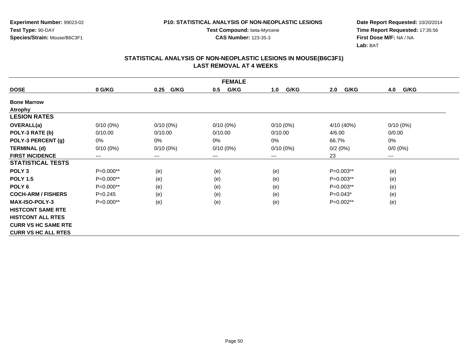**Experiment Number:** 99023-02**Test Type:** 90-DAY**Species/Strain:** Mouse/B6C3F1

**Test Compound:** beta-Myrcene**CAS Number:** 123-35-3

**Date Report Requested:** 10/20/2014 **Time Report Requested:** 17:35:56**First Dose M/F:** NA / NA**Lab:** BAT

| <b>FEMALE</b>              |             |                        |             |             |             |             |  |  |
|----------------------------|-------------|------------------------|-------------|-------------|-------------|-------------|--|--|
| <b>DOSE</b>                | 0 G/KG      | G/KG<br>0.25           | G/KG<br>0.5 | G/KG<br>1.0 | G/KG<br>2.0 | 4.0<br>G/KG |  |  |
| <b>Bone Marrow</b>         |             |                        |             |             |             |             |  |  |
| <b>Atrophy</b>             |             |                        |             |             |             |             |  |  |
| <b>LESION RATES</b>        |             |                        |             |             |             |             |  |  |
| <b>OVERALL(a)</b>          | $0/10(0\%)$ | $0/10(0\%)$            | $0/10(0\%)$ | $0/10(0\%)$ | 4/10 (40%)  | $0/10(0\%)$ |  |  |
| POLY-3 RATE (b)            | 0/10.00     | 0/10.00                | 0/10.00     | 0/10.00     | 4/6.00      | 0/0.00      |  |  |
| POLY-3 PERCENT (g)         | 0%          | 0%                     | 0%          | 0%          | 66.7%       | 0%          |  |  |
| <b>TERMINAL (d)</b>        | $0/10(0\%)$ | $0/10(0\%)$            | $0/10(0\%)$ | $0/10(0\%)$ | 0/2(0%)     | $0/0 (0\%)$ |  |  |
| <b>FIRST INCIDENCE</b>     | ---         | $\qquad \qquad \cdots$ | $---$       | ---         | 23          | $\cdots$    |  |  |
| <b>STATISTICAL TESTS</b>   |             |                        |             |             |             |             |  |  |
| POLY <sub>3</sub>          | P=0.000**   | (e)                    | (e)         | (e)         | $P=0.003**$ | (e)         |  |  |
| <b>POLY 1.5</b>            | P=0.000**   | (e)                    | (e)         | (e)         | $P=0.003**$ | (e)         |  |  |
| POLY <sub>6</sub>          | $P=0.000**$ | (e)                    | (e)         | (e)         | P=0.003**   | (e)         |  |  |
| <b>COCH-ARM / FISHERS</b>  | $P = 0.245$ | (e)                    | (e)         | (e)         | $P=0.043*$  | (e)         |  |  |
| <b>MAX-ISO-POLY-3</b>      | P=0.000**   | (e)                    | (e)         | (e)         | P=0.002**   | (e)         |  |  |
| <b>HISTCONT SAME RTE</b>   |             |                        |             |             |             |             |  |  |
| <b>HISTCONT ALL RTES</b>   |             |                        |             |             |             |             |  |  |
| <b>CURR VS HC SAME RTE</b> |             |                        |             |             |             |             |  |  |
| <b>CURR VS HC ALL RTES</b> |             |                        |             |             |             |             |  |  |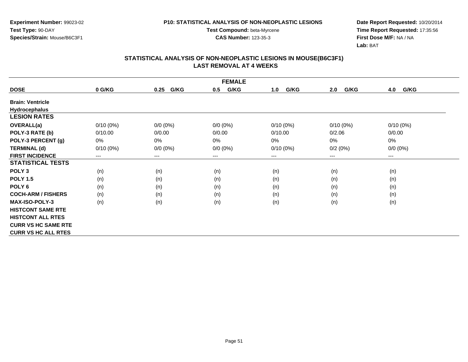**Experiment Number:** 99023-02**Test Type:** 90-DAY**Species/Strain:** Mouse/B6C3F1

**Test Compound:** beta-Myrcene**CAS Number:** 123-35-3

**Date Report Requested:** 10/20/2014 **Time Report Requested:** 17:35:56**First Dose M/F:** NA / NA**Lab:** BAT

| <b>FEMALE</b>              |             |              |             |             |             |             |  |  |
|----------------------------|-------------|--------------|-------------|-------------|-------------|-------------|--|--|
| <b>DOSE</b>                | 0 G/KG      | G/KG<br>0.25 | G/KG<br>0.5 | G/KG<br>1.0 | G/KG<br>2.0 | G/KG<br>4.0 |  |  |
| <b>Brain: Ventricle</b>    |             |              |             |             |             |             |  |  |
| <b>Hydrocephalus</b>       |             |              |             |             |             |             |  |  |
| <b>LESION RATES</b>        |             |              |             |             |             |             |  |  |
| <b>OVERALL(a)</b>          | $0/10(0\%)$ | $0/0 (0\%)$  | $0/0 (0\%)$ | $0/10(0\%)$ | $0/10(0\%)$ | $0/10(0\%)$ |  |  |
| POLY-3 RATE (b)            | 0/10.00     | 0/0.00       | 0/0.00      | 0/10.00     | 0/2.06      | 0/0.00      |  |  |
| POLY-3 PERCENT (g)         | 0%          | 0%           | 0%          | 0%          | 0%          | 0%          |  |  |
| <b>TERMINAL (d)</b>        | $0/10(0\%)$ | $0/0 (0\%)$  | $0/0 (0\%)$ | $0/10(0\%)$ | 0/2(0%)     | $0/0 (0\%)$ |  |  |
| <b>FIRST INCIDENCE</b>     | ---         | $---$        | $---$       | ---         | ---         | $---$       |  |  |
| <b>STATISTICAL TESTS</b>   |             |              |             |             |             |             |  |  |
| POLY <sub>3</sub>          | (n)         | (n)          | (n)         | (n)         | (n)         | (n)         |  |  |
| <b>POLY 1.5</b>            | (n)         | (n)          | (n)         | (n)         | (n)         | (n)         |  |  |
| POLY <sub>6</sub>          | (n)         | (n)          | (n)         | (n)         | (n)         | (n)         |  |  |
| <b>COCH-ARM / FISHERS</b>  | (n)         | (n)          | (n)         | (n)         | (n)         | (n)         |  |  |
| <b>MAX-ISO-POLY-3</b>      | (n)         | (n)          | (n)         | (n)         | (n)         | (n)         |  |  |
| <b>HISTCONT SAME RTE</b>   |             |              |             |             |             |             |  |  |
| <b>HISTCONT ALL RTES</b>   |             |              |             |             |             |             |  |  |
| <b>CURR VS HC SAME RTE</b> |             |              |             |             |             |             |  |  |
| <b>CURR VS HC ALL RTES</b> |             |              |             |             |             |             |  |  |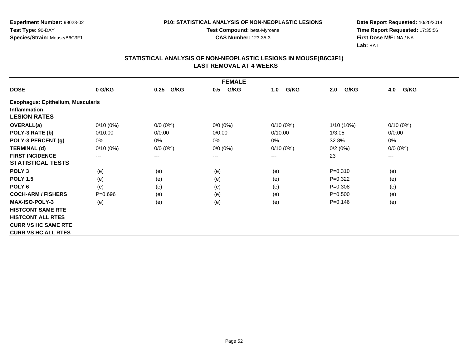**Experiment Number:** 99023-02**Test Type:** 90-DAY**Species/Strain:** Mouse/B6C3F1

**Test Compound:** beta-Myrcene**CAS Number:** 123-35-3

**Date Report Requested:** 10/20/2014 **Time Report Requested:** 17:35:56**First Dose M/F:** NA / NA**Lab:** BAT

|                                          | <b>FEMALE</b> |                        |             |             |              |             |  |  |  |
|------------------------------------------|---------------|------------------------|-------------|-------------|--------------|-------------|--|--|--|
| <b>DOSE</b>                              | 0 G/KG        | G/KG<br>0.25           | G/KG<br>0.5 | G/KG<br>1.0 | G/KG<br>2.0  | G/KG<br>4.0 |  |  |  |
| <b>Esophagus: Epithelium, Muscularis</b> |               |                        |             |             |              |             |  |  |  |
| <b>Inflammation</b>                      |               |                        |             |             |              |             |  |  |  |
| <b>LESION RATES</b>                      |               |                        |             |             |              |             |  |  |  |
| <b>OVERALL(a)</b>                        | $0/10(0\%)$   | $0/0 (0\%)$            | $0/0 (0\%)$ | $0/10(0\%)$ | $1/10(10\%)$ | $0/10(0\%)$ |  |  |  |
| POLY-3 RATE (b)                          | 0/10.00       | 0/0.00                 | 0/0.00      | 0/10.00     | 1/3.05       | 0/0.00      |  |  |  |
| POLY-3 PERCENT (g)                       | 0%            | 0%                     | 0%          | $0\%$       | 32.8%        | 0%          |  |  |  |
| <b>TERMINAL (d)</b>                      | $0/10(0\%)$   | $0/0 (0\%)$            | $0/0 (0\%)$ | $0/10(0\%)$ | 0/2(0%)      | $0/0 (0\%)$ |  |  |  |
| <b>FIRST INCIDENCE</b>                   | ---           | $\qquad \qquad \cdots$ | $---$       | ---         | 23           | ---         |  |  |  |
| <b>STATISTICAL TESTS</b>                 |               |                        |             |             |              |             |  |  |  |
| POLY <sub>3</sub>                        | (e)           | (e)                    | (e)         | (e)         | $P = 0.310$  | (e)         |  |  |  |
| <b>POLY 1.5</b>                          | (e)           | (e)                    | (e)         | (e)         | $P=0.322$    | (e)         |  |  |  |
| POLY <sub>6</sub>                        | (e)           | (e)                    | (e)         | (e)         | $P = 0.308$  | (e)         |  |  |  |
| <b>COCH-ARM / FISHERS</b>                | $P = 0.696$   | (e)                    | (e)         | (e)         | $P = 0.500$  | (e)         |  |  |  |
| <b>MAX-ISO-POLY-3</b>                    | (e)           | (e)                    | (e)         | (e)         | $P = 0.146$  | (e)         |  |  |  |
| <b>HISTCONT SAME RTE</b>                 |               |                        |             |             |              |             |  |  |  |
| <b>HISTCONT ALL RTES</b>                 |               |                        |             |             |              |             |  |  |  |
| <b>CURR VS HC SAME RTE</b>               |               |                        |             |             |              |             |  |  |  |
| <b>CURR VS HC ALL RTES</b>               |               |                        |             |             |              |             |  |  |  |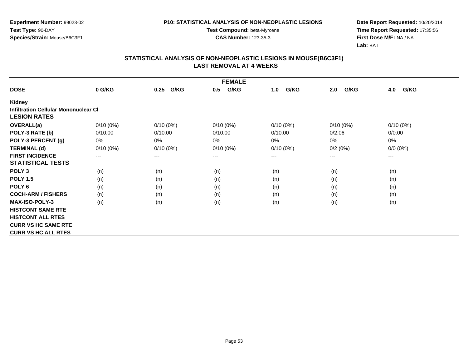**Experiment Number:** 99023-02**Test Type:** 90-DAY**Species/Strain:** Mouse/B6C3F1

**Test Compound:** beta-Myrcene**CAS Number:** 123-35-3

**Date Report Requested:** 10/20/2014 **Time Report Requested:** 17:35:56**First Dose M/F:** NA / NA**Lab:** BAT

| <b>FEMALE</b>                               |                        |              |             |             |             |                      |  |  |
|---------------------------------------------|------------------------|--------------|-------------|-------------|-------------|----------------------|--|--|
| <b>DOSE</b>                                 | 0 G/KG                 | G/KG<br>0.25 | G/KG<br>0.5 | G/KG<br>1.0 | G/KG<br>2.0 | G/KG<br>4.0          |  |  |
| Kidney                                      |                        |              |             |             |             |                      |  |  |
| <b>Infiltration Cellular Mononuclear CI</b> |                        |              |             |             |             |                      |  |  |
| <b>LESION RATES</b>                         |                        |              |             |             |             |                      |  |  |
| <b>OVERALL(a)</b>                           | $0/10(0\%)$            | $0/10(0\%)$  | $0/10(0\%)$ | $0/10(0\%)$ | $0/10(0\%)$ | $0/10(0\%)$          |  |  |
| POLY-3 RATE (b)                             | 0/10.00                | 0/10.00      | 0/10.00     | 0/10.00     | 0/2.06      | 0/0.00               |  |  |
| POLY-3 PERCENT (g)                          | 0%                     | 0%           | 0%          | $0\%$       | 0%          | 0%                   |  |  |
| <b>TERMINAL (d)</b>                         | $0/10(0\%)$            | $0/10(0\%)$  | $0/10(0\%)$ | $0/10(0\%)$ | 0/2(0%)     | $0/0 (0\%)$          |  |  |
| <b>FIRST INCIDENCE</b>                      | $\qquad \qquad \cdots$ | $---$        | ---         | ---         | ---         | $\scriptstyle\cdots$ |  |  |
| <b>STATISTICAL TESTS</b>                    |                        |              |             |             |             |                      |  |  |
| POLY <sub>3</sub>                           | (n)                    | (n)          | (n)         | (n)         | (n)         | (n)                  |  |  |
| <b>POLY 1.5</b>                             | (n)                    | (n)          | (n)         | (n)         | (n)         | (n)                  |  |  |
| POLY <sub>6</sub>                           | (n)                    | (n)          | (n)         | (n)         | (n)         | (n)                  |  |  |
| <b>COCH-ARM / FISHERS</b>                   | (n)                    | (n)          | (n)         | (n)         | (n)         | (n)                  |  |  |
| <b>MAX-ISO-POLY-3</b>                       | (n)                    | (n)          | (n)         | (n)         | (n)         | (n)                  |  |  |
| <b>HISTCONT SAME RTE</b>                    |                        |              |             |             |             |                      |  |  |
| <b>HISTCONT ALL RTES</b>                    |                        |              |             |             |             |                      |  |  |
| <b>CURR VS HC SAME RTE</b>                  |                        |              |             |             |             |                      |  |  |
| <b>CURR VS HC ALL RTES</b>                  |                        |              |             |             |             |                      |  |  |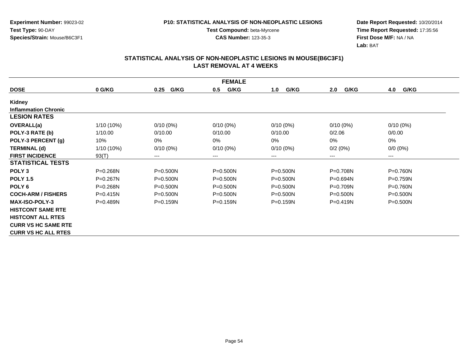**Experiment Number:** 99023-02**Test Type:** 90-DAY**Species/Strain:** Mouse/B6C3F1

**Test Compound:** beta-Myrcene**CAS Number:** 123-35-3

**Date Report Requested:** 10/20/2014 **Time Report Requested:** 17:35:56**First Dose M/F:** NA / NA**Lab:** BAT

| <b>FEMALE</b>               |              |              |              |              |              |              |  |  |
|-----------------------------|--------------|--------------|--------------|--------------|--------------|--------------|--|--|
| <b>DOSE</b>                 | 0 G/KG       | G/KG<br>0.25 | G/KG<br>0.5  | G/KG<br>1.0  | 2.0<br>G/KG  | 4.0<br>G/KG  |  |  |
| Kidney                      |              |              |              |              |              |              |  |  |
| <b>Inflammation Chronic</b> |              |              |              |              |              |              |  |  |
| <b>LESION RATES</b>         |              |              |              |              |              |              |  |  |
| OVERALL(a)                  | 1/10 (10%)   | $0/10(0\%)$  | $0/10(0\%)$  | $0/10(0\%)$  | $0/10(0\%)$  | $0/10(0\%)$  |  |  |
| POLY-3 RATE (b)             | 1/10.00      | 0/10.00      | 0/10.00      | 0/10.00      | 0/2.06       | 0/0.00       |  |  |
| POLY-3 PERCENT (g)          | 10%          | 0%           | 0%           | 0%           | 0%           | 0%           |  |  |
| <b>TERMINAL (d)</b>         | $1/10(10\%)$ | $0/10(0\%)$  | $0/10(0\%)$  | $0/10(0\%)$  | 0/2(0%)      | $0/0 (0\%)$  |  |  |
| <b>FIRST INCIDENCE</b>      | 93(T)        | ---          | $---$        | ---          | $---$        | $--$         |  |  |
| <b>STATISTICAL TESTS</b>    |              |              |              |              |              |              |  |  |
| POLY <sub>3</sub>           | $P = 0.268N$ | $P = 0.500N$ | $P = 0.500N$ | $P = 0.500N$ | P=0.708N     | $P = 0.760N$ |  |  |
| <b>POLY 1.5</b>             | $P = 0.267N$ | $P = 0.500N$ | $P = 0.500N$ | $P = 0.500N$ | $P = 0.694N$ | $P=0.759N$   |  |  |
| POLY <sub>6</sub>           | P=0.268N     | $P = 0.500N$ | $P = 0.500N$ | $P = 0.500N$ | P=0.709N     | $P = 0.760N$ |  |  |
| <b>COCH-ARM / FISHERS</b>   | $P = 0.415N$ | $P = 0.500N$ | $P = 0.500N$ | $P = 0.500N$ | $P = 0.500N$ | $P = 0.500N$ |  |  |
| <b>MAX-ISO-POLY-3</b>       | $P = 0.489N$ | $P = 0.159N$ | $P = 0.159N$ | $P = 0.159N$ | $P=0.419N$   | $P = 0.500N$ |  |  |
| <b>HISTCONT SAME RTE</b>    |              |              |              |              |              |              |  |  |
| <b>HISTCONT ALL RTES</b>    |              |              |              |              |              |              |  |  |
| <b>CURR VS HC SAME RTE</b>  |              |              |              |              |              |              |  |  |
| <b>CURR VS HC ALL RTES</b>  |              |              |              |              |              |              |  |  |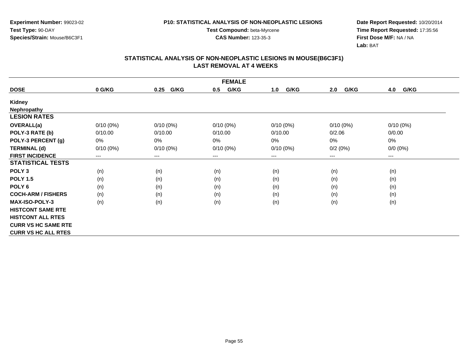**Experiment Number:** 99023-02**Test Type:** 90-DAY**Species/Strain:** Mouse/B6C3F1

**Test Compound:** beta-Myrcene**CAS Number:** 123-35-3

**Date Report Requested:** 10/20/2014 **Time Report Requested:** 17:35:56**First Dose M/F:** NA / NA**Lab:** BAT

| <b>FEMALE</b>              |             |                        |             |             |             |             |  |  |
|----------------------------|-------------|------------------------|-------------|-------------|-------------|-------------|--|--|
| <b>DOSE</b>                | 0 G/KG      | G/KG<br>0.25           | G/KG<br>0.5 | G/KG<br>1.0 | G/KG<br>2.0 | G/KG<br>4.0 |  |  |
| <b>Kidney</b>              |             |                        |             |             |             |             |  |  |
| <b>Nephropathy</b>         |             |                        |             |             |             |             |  |  |
| <b>LESION RATES</b>        |             |                        |             |             |             |             |  |  |
| <b>OVERALL(a)</b>          | $0/10(0\%)$ | $0/10(0\%)$            | $0/10(0\%)$ | $0/10(0\%)$ | $0/10(0\%)$ | $0/10(0\%)$ |  |  |
| POLY-3 RATE (b)            | 0/10.00     | 0/10.00                | 0/10.00     | 0/10.00     | 0/2.06      | 0/0.00      |  |  |
| POLY-3 PERCENT (g)         | 0%          | 0%                     | 0%          | 0%          | 0%          | 0%          |  |  |
| <b>TERMINAL (d)</b>        | $0/10(0\%)$ | $0/10(0\%)$            | $0/10(0\%)$ | $0/10(0\%)$ | 0/2(0%)     | $0/0 (0\%)$ |  |  |
| <b>FIRST INCIDENCE</b>     | ---         | $\qquad \qquad \cdots$ | $--$        | ---         | ---         | ---         |  |  |
| <b>STATISTICAL TESTS</b>   |             |                        |             |             |             |             |  |  |
| POLY <sub>3</sub>          | (n)         | (n)                    | (n)         | (n)         | (n)         | (n)         |  |  |
| <b>POLY 1.5</b>            | (n)         | (n)                    | (n)         | (n)         | (n)         | (n)         |  |  |
| POLY <sub>6</sub>          | (n)         | (n)                    | (n)         | (n)         | (n)         | (n)         |  |  |
| <b>COCH-ARM / FISHERS</b>  | (n)         | (n)                    | (n)         | (n)         | (n)         | (n)         |  |  |
| <b>MAX-ISO-POLY-3</b>      | (n)         | (n)                    | (n)         | (n)         | (n)         | (n)         |  |  |
| <b>HISTCONT SAME RTE</b>   |             |                        |             |             |             |             |  |  |
| <b>HISTCONT ALL RTES</b>   |             |                        |             |             |             |             |  |  |
| <b>CURR VS HC SAME RTE</b> |             |                        |             |             |             |             |  |  |
| <b>CURR VS HC ALL RTES</b> |             |                        |             |             |             |             |  |  |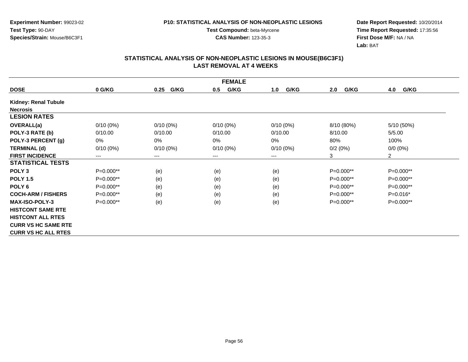**Experiment Number:** 99023-02**Test Type:** 90-DAY**Species/Strain:** Mouse/B6C3F1

**Test Compound:** beta-Myrcene**CAS Number:** 123-35-3

**Date Report Requested:** 10/20/2014 **Time Report Requested:** 17:35:56**First Dose M/F:** NA / NA**Lab:** BAT

| <b>FEMALE</b>               |             |              |             |             |             |                |  |  |
|-----------------------------|-------------|--------------|-------------|-------------|-------------|----------------|--|--|
| <b>DOSE</b>                 | 0 G/KG      | G/KG<br>0.25 | G/KG<br>0.5 | G/KG<br>1.0 | G/KG<br>2.0 | G/KG<br>4.0    |  |  |
| <b>Kidney: Renal Tubule</b> |             |              |             |             |             |                |  |  |
| <b>Necrosis</b>             |             |              |             |             |             |                |  |  |
| <b>LESION RATES</b>         |             |              |             |             |             |                |  |  |
| <b>OVERALL(a)</b>           | $0/10(0\%)$ | $0/10(0\%)$  | $0/10(0\%)$ | $0/10(0\%)$ | 8/10 (80%)  | 5/10 (50%)     |  |  |
| POLY-3 RATE (b)             | 0/10.00     | 0/10.00      | 0/10.00     | 0/10.00     | 8/10.00     | 5/5.00         |  |  |
| POLY-3 PERCENT (g)          | 0%          | $0\%$        | 0%          | 0%          | 80%         | 100%           |  |  |
| <b>TERMINAL (d)</b>         | $0/10(0\%)$ | $0/10(0\%)$  | $0/10(0\%)$ | $0/10(0\%)$ | 0/2(0%)     | $0/0 (0\%)$    |  |  |
| <b>FIRST INCIDENCE</b>      | $---$       | $---$        | ---         | ---         | 3           | $\overline{2}$ |  |  |
| <b>STATISTICAL TESTS</b>    |             |              |             |             |             |                |  |  |
| POLY <sub>3</sub>           | $P=0.000**$ | (e)          | (e)         | (e)         | $P=0.000**$ | P=0.000**      |  |  |
| <b>POLY 1.5</b>             | $P=0.000**$ | (e)          | (e)         | (e)         | $P=0.000**$ | P=0.000**      |  |  |
| POLY <sub>6</sub>           | P=0.000**   | (e)          | (e)         | (e)         | $P=0.000**$ | P=0.000**      |  |  |
| <b>COCH-ARM / FISHERS</b>   | P=0.000**   | (e)          | (e)         | (e)         | $P=0.000**$ | $P=0.016*$     |  |  |
| <b>MAX-ISO-POLY-3</b>       | $P=0.000**$ | (e)          | (e)         | (e)         | $P=0.000**$ | $P=0.000**$    |  |  |
| <b>HISTCONT SAME RTE</b>    |             |              |             |             |             |                |  |  |
| <b>HISTCONT ALL RTES</b>    |             |              |             |             |             |                |  |  |
| <b>CURR VS HC SAME RTE</b>  |             |              |             |             |             |                |  |  |
| <b>CURR VS HC ALL RTES</b>  |             |              |             |             |             |                |  |  |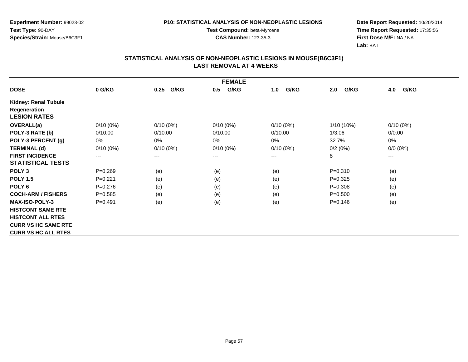**Experiment Number:** 99023-02**Test Type:** 90-DAY**Species/Strain:** Mouse/B6C3F1

**Test Compound:** beta-Myrcene**CAS Number:** 123-35-3

**Date Report Requested:** 10/20/2014 **Time Report Requested:** 17:35:56**First Dose M/F:** NA / NA**Lab:** BAT

|                            | <b>FEMALE</b> |                        |             |             |              |                        |  |  |  |
|----------------------------|---------------|------------------------|-------------|-------------|--------------|------------------------|--|--|--|
| <b>DOSE</b>                | 0 G/KG        | G/KG<br>0.25           | G/KG<br>0.5 | G/KG<br>1.0 | G/KG<br>2.0  | G/KG<br>4.0            |  |  |  |
| Kidney: Renal Tubule       |               |                        |             |             |              |                        |  |  |  |
| Regeneration               |               |                        |             |             |              |                        |  |  |  |
| <b>LESION RATES</b>        |               |                        |             |             |              |                        |  |  |  |
| <b>OVERALL(a)</b>          | $0/10(0\%)$   | $0/10(0\%)$            | $0/10(0\%)$ | $0/10(0\%)$ | $1/10(10\%)$ | $0/10(0\%)$            |  |  |  |
| POLY-3 RATE (b)            | 0/10.00       | 0/10.00                | 0/10.00     | 0/10.00     | 1/3.06       | 0/0.00                 |  |  |  |
| POLY-3 PERCENT (g)         | 0%            | 0%                     | 0%          | 0%          | 32.7%        | 0%                     |  |  |  |
| <b>TERMINAL (d)</b>        | $0/10(0\%)$   | $0/10(0\%)$            | $0/10(0\%)$ | $0/10(0\%)$ | 0/2(0%)      | $0/0 (0\%)$            |  |  |  |
| <b>FIRST INCIDENCE</b>     | ---           | $\qquad \qquad \cdots$ | $--$        | ---         | 8            | $\qquad \qquad \cdots$ |  |  |  |
| <b>STATISTICAL TESTS</b>   |               |                        |             |             |              |                        |  |  |  |
| POLY <sub>3</sub>          | $P = 0.269$   | (e)                    | (e)         | (e)         | $P = 0.310$  | (e)                    |  |  |  |
| <b>POLY 1.5</b>            | $P=0.221$     | (e)                    | (e)         | (e)         | $P=0.325$    | (e)                    |  |  |  |
| POLY <sub>6</sub>          | $P=0.276$     | (e)                    | (e)         | (e)         | $P = 0.308$  | (e)                    |  |  |  |
| <b>COCH-ARM / FISHERS</b>  | $P = 0.585$   | (e)                    | (e)         | (e)         | $P = 0.500$  | (e)                    |  |  |  |
| <b>MAX-ISO-POLY-3</b>      | $P = 0.491$   | (e)                    | (e)         | (e)         | $P = 0.146$  | (e)                    |  |  |  |
| <b>HISTCONT SAME RTE</b>   |               |                        |             |             |              |                        |  |  |  |
| <b>HISTCONT ALL RTES</b>   |               |                        |             |             |              |                        |  |  |  |
| <b>CURR VS HC SAME RTE</b> |               |                        |             |             |              |                        |  |  |  |
| <b>CURR VS HC ALL RTES</b> |               |                        |             |             |              |                        |  |  |  |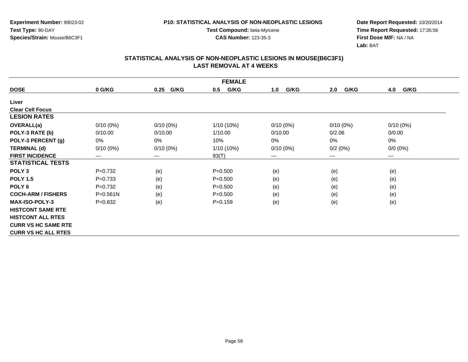**Experiment Number:** 99023-02**Test Type:** 90-DAY**Species/Strain:** Mouse/B6C3F1

**Test Compound:** beta-Myrcene**CAS Number:** 123-35-3

**Date Report Requested:** 10/20/2014 **Time Report Requested:** 17:35:56**First Dose M/F:** NA / NA**Lab:** BAT

| <b>FEMALE</b>              |              |              |             |             |             |                        |  |  |
|----------------------------|--------------|--------------|-------------|-------------|-------------|------------------------|--|--|
| <b>DOSE</b>                | 0 G/KG       | G/KG<br>0.25 | G/KG<br>0.5 | G/KG<br>1.0 | G/KG<br>2.0 | G/KG<br>4.0            |  |  |
| Liver                      |              |              |             |             |             |                        |  |  |
| <b>Clear Cell Focus</b>    |              |              |             |             |             |                        |  |  |
| <b>LESION RATES</b>        |              |              |             |             |             |                        |  |  |
| OVERALL(a)                 | $0/10(0\%)$  | $0/10(0\%)$  | 1/10 (10%)  | $0/10(0\%)$ | $0/10(0\%)$ | $0/10(0\%)$            |  |  |
| POLY-3 RATE (b)            | 0/10.00      | 0/10.00      | 1/10.00     | 0/10.00     | 0/2.06      | 0/0.00                 |  |  |
| POLY-3 PERCENT (g)         | 0%           | 0%           | 10%         | 0%          | 0%          | 0%                     |  |  |
| <b>TERMINAL (d)</b>        | $0/10(0\%)$  | $0/10(0\%)$  | 1/10 (10%)  | $0/10(0\%)$ | 0/2(0%)     | $0/0 (0\%)$            |  |  |
| <b>FIRST INCIDENCE</b>     | $---$        | $---$        | 93(T)       | ---         | ---         | $\qquad \qquad \cdots$ |  |  |
| <b>STATISTICAL TESTS</b>   |              |              |             |             |             |                        |  |  |
| POLY <sub>3</sub>          | $P=0.732$    | (e)          | $P = 0.500$ | (e)         | (e)         | (e)                    |  |  |
| <b>POLY 1.5</b>            | $P=0.733$    | (e)          | $P = 0.500$ | (e)         | (e)         | (e)                    |  |  |
| POLY <sub>6</sub>          | $P=0.732$    | (e)          | $P = 0.500$ | (e)         | (e)         | (e)                    |  |  |
| <b>COCH-ARM / FISHERS</b>  | $P = 0.561N$ | (e)          | $P = 0.500$ | (e)         | (e)         | (e)                    |  |  |
| <b>MAX-ISO-POLY-3</b>      | $P=0.832$    | (e)          | $P=0.159$   | (e)         | (e)         | (e)                    |  |  |
| <b>HISTCONT SAME RTE</b>   |              |              |             |             |             |                        |  |  |
| <b>HISTCONT ALL RTES</b>   |              |              |             |             |             |                        |  |  |
| <b>CURR VS HC SAME RTE</b> |              |              |             |             |             |                        |  |  |
| <b>CURR VS HC ALL RTES</b> |              |              |             |             |             |                        |  |  |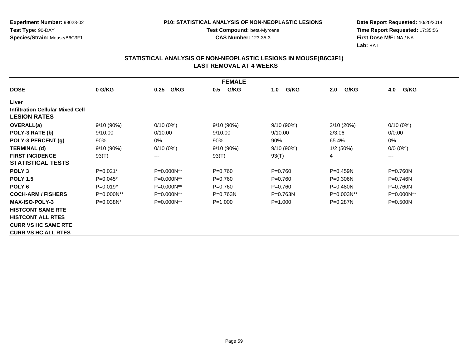**Experiment Number:** 99023-02**Test Type:** 90-DAY**Species/Strain:** Mouse/B6C3F1

**Test Compound:** beta-Myrcene**CAS Number:** 123-35-3

**Date Report Requested:** 10/20/2014 **Time Report Requested:** 17:35:56**First Dose M/F:** NA / NA**Lab:** BAT

| <b>FEMALE</b>                           |            |              |              |              |              |                 |  |  |
|-----------------------------------------|------------|--------------|--------------|--------------|--------------|-----------------|--|--|
| <b>DOSE</b>                             | 0 G/KG     | G/KG<br>0.25 | G/KG<br>0.5  | G/KG<br>1.0  | 2.0<br>G/KG  | 4.0<br>G/KG     |  |  |
| Liver                                   |            |              |              |              |              |                 |  |  |
| <b>Infiltration Cellular Mixed Cell</b> |            |              |              |              |              |                 |  |  |
| <b>LESION RATES</b>                     |            |              |              |              |              |                 |  |  |
|                                         |            |              |              |              |              |                 |  |  |
| <b>OVERALL(a)</b>                       | 9/10(90%)  | $0/10(0\%)$  | 9/10(90%)    | $9/10(90\%)$ | 2/10 (20%)   | $0/10(0\%)$     |  |  |
| POLY-3 RATE (b)                         | 9/10.00    | 0/10.00      | 9/10.00      | 9/10.00      | 2/3.06       | 0/0.00          |  |  |
| POLY-3 PERCENT (g)                      | 90%        | 0%           | 90%          | 90%          | 65.4%        | $0\%$           |  |  |
| <b>TERMINAL (d)</b>                     | 9/10 (90%) | $0/10(0\%)$  | 9/10 (90%)   | $9/10(90\%)$ | 1/2(50%)     | $0/0 (0\%)$     |  |  |
| <b>FIRST INCIDENCE</b>                  | 93(T)      | ---          | 93(T)        | 93(T)        | 4            | $---$           |  |  |
| <b>STATISTICAL TESTS</b>                |            |              |              |              |              |                 |  |  |
| POLY <sub>3</sub>                       | $P=0.021*$ | P=0.000N**   | $P = 0.760$  | $P=0.760$    | $P = 0.459N$ | $P=0.760N$      |  |  |
| <b>POLY 1.5</b>                         | $P=0.045*$ | P=0.000N**   | $P = 0.760$  | $P=0.760$    | $P = 0.306N$ | $P=0.746N$      |  |  |
| POLY <sub>6</sub>                       | $P=0.019*$ | P=0.000N**   | $P = 0.760$  | $P=0.760$    | $P = 0.480N$ | $P = 0.760N$    |  |  |
| <b>COCH-ARM / FISHERS</b>               | P=0.000N** | P=0.000N**   | $P = 0.763N$ | $P = 0.763N$ | $P=0.003N**$ | $P=0.000N^{**}$ |  |  |
| <b>MAX-ISO-POLY-3</b>                   | P=0.038N*  | P=0.000N**   | $P = 1.000$  | $P = 1.000$  | P=0.287N     | $P = 0.500N$    |  |  |
| <b>HISTCONT SAME RTE</b>                |            |              |              |              |              |                 |  |  |
| <b>HISTCONT ALL RTES</b>                |            |              |              |              |              |                 |  |  |
| <b>CURR VS HC SAME RTE</b>              |            |              |              |              |              |                 |  |  |
| <b>CURR VS HC ALL RTES</b>              |            |              |              |              |              |                 |  |  |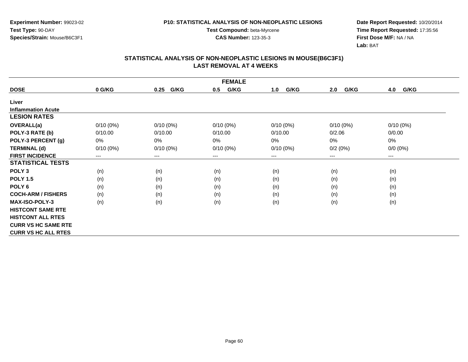**Experiment Number:** 99023-02**Test Type:** 90-DAY**Species/Strain:** Mouse/B6C3F1

**Test Compound:** beta-Myrcene**CAS Number:** 123-35-3

**Date Report Requested:** 10/20/2014 **Time Report Requested:** 17:35:56**First Dose M/F:** NA / NA**Lab:** BAT

| <b>FEMALE</b>              |                            |              |             |             |             |             |  |  |
|----------------------------|----------------------------|--------------|-------------|-------------|-------------|-------------|--|--|
| <b>DOSE</b>                | 0 G/KG                     | G/KG<br>0.25 | G/KG<br>0.5 | G/KG<br>1.0 | G/KG<br>2.0 | 4.0<br>G/KG |  |  |
| Liver                      |                            |              |             |             |             |             |  |  |
| <b>Inflammation Acute</b>  |                            |              |             |             |             |             |  |  |
| <b>LESION RATES</b>        |                            |              |             |             |             |             |  |  |
| <b>OVERALL(a)</b>          | $0/10(0\%)$                | $0/10(0\%)$  | $0/10(0\%)$ | $0/10(0\%)$ | $0/10(0\%)$ | $0/10(0\%)$ |  |  |
| POLY-3 RATE (b)            | 0/10.00                    | 0/10.00      | 0/10.00     | 0/10.00     | 0/2.06      | 0/0.00      |  |  |
| POLY-3 PERCENT (g)         | 0%                         | $0\%$        | 0%          | $0\%$       | 0%          | 0%          |  |  |
| <b>TERMINAL (d)</b>        | $0/10(0\%)$                | $0/10(0\%)$  | $0/10(0\%)$ | $0/10(0\%)$ | 0/2(0%)     | $0/0 (0\%)$ |  |  |
| <b>FIRST INCIDENCE</b>     | $\qquad \qquad - \qquad -$ | $--$         | ---         | ---         | $---$       | $---$       |  |  |
| <b>STATISTICAL TESTS</b>   |                            |              |             |             |             |             |  |  |
| POLY <sub>3</sub>          | (n)                        | (n)          | (n)         | (n)         | (n)         | (n)         |  |  |
| <b>POLY 1.5</b>            | (n)                        | (n)          | (n)         | (n)         | (n)         | (n)         |  |  |
| POLY <sub>6</sub>          | (n)                        | (n)          | (n)         | (n)         | (n)         | (n)         |  |  |
| <b>COCH-ARM / FISHERS</b>  | (n)                        | (n)          | (n)         | (n)         | (n)         | (n)         |  |  |
| <b>MAX-ISO-POLY-3</b>      | (n)                        | (n)          | (n)         | (n)         | (n)         | (n)         |  |  |
| <b>HISTCONT SAME RTE</b>   |                            |              |             |             |             |             |  |  |
| <b>HISTCONT ALL RTES</b>   |                            |              |             |             |             |             |  |  |
| <b>CURR VS HC SAME RTE</b> |                            |              |             |             |             |             |  |  |
| <b>CURR VS HC ALL RTES</b> |                            |              |             |             |             |             |  |  |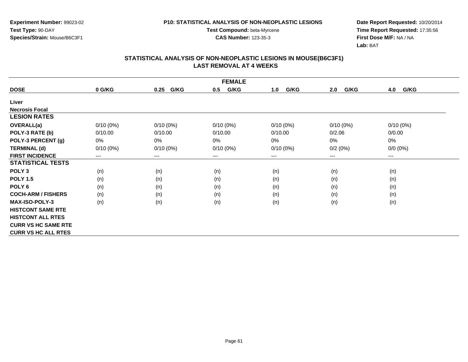**Experiment Number:** 99023-02**Test Type:** 90-DAY**Species/Strain:** Mouse/B6C3F1

**Test Compound:** beta-Myrcene**CAS Number:** 123-35-3

**Date Report Requested:** 10/20/2014 **Time Report Requested:** 17:35:56**First Dose M/F:** NA / NA**Lab:** BAT

| <b>FEMALE</b>              |             |                        |             |             |                            |             |  |  |
|----------------------------|-------------|------------------------|-------------|-------------|----------------------------|-------------|--|--|
| <b>DOSE</b>                | 0 G/KG      | G/KG<br>0.25           | G/KG<br>0.5 | G/KG<br>1.0 | G/KG<br>2.0                | 4.0<br>G/KG |  |  |
| Liver                      |             |                        |             |             |                            |             |  |  |
| <b>Necrosis Focal</b>      |             |                        |             |             |                            |             |  |  |
| <b>LESION RATES</b>        |             |                        |             |             |                            |             |  |  |
| OVERALL(a)                 | $0/10(0\%)$ | $0/10(0\%)$            | $0/10(0\%)$ | $0/10(0\%)$ | $0/10(0\%)$                | $0/10(0\%)$ |  |  |
| POLY-3 RATE (b)            | 0/10.00     | 0/10.00                | 0/10.00     | 0/10.00     | 0/2.06                     | 0/0.00      |  |  |
| POLY-3 PERCENT (g)         | 0%          | $0\%$                  | 0%          | 0%          | 0%                         | 0%          |  |  |
| <b>TERMINAL (d)</b>        | $0/10(0\%)$ | $0/10(0\%)$            | $0/10(0\%)$ | $0/10(0\%)$ | 0/2(0%)                    | $0/0 (0\%)$ |  |  |
| <b>FIRST INCIDENCE</b>     | ---         | $\qquad \qquad \cdots$ | $---$       | ---         | $\qquad \qquad - \qquad -$ | $\cdots$    |  |  |
| <b>STATISTICAL TESTS</b>   |             |                        |             |             |                            |             |  |  |
| POLY <sub>3</sub>          | (n)         | (n)                    | (n)         | (n)         | (n)                        | (n)         |  |  |
| <b>POLY 1.5</b>            | (n)         | (n)                    | (n)         | (n)         | (n)                        | (n)         |  |  |
| POLY 6                     | (n)         | (n)                    | (n)         | (n)         | (n)                        | (n)         |  |  |
| <b>COCH-ARM / FISHERS</b>  | (n)         | (n)                    | (n)         | (n)         | (n)                        | (n)         |  |  |
| <b>MAX-ISO-POLY-3</b>      | (n)         | (n)                    | (n)         | (n)         | (n)                        | (n)         |  |  |
| <b>HISTCONT SAME RTE</b>   |             |                        |             |             |                            |             |  |  |
| <b>HISTCONT ALL RTES</b>   |             |                        |             |             |                            |             |  |  |
| <b>CURR VS HC SAME RTE</b> |             |                        |             |             |                            |             |  |  |
| <b>CURR VS HC ALL RTES</b> |             |                        |             |             |                            |             |  |  |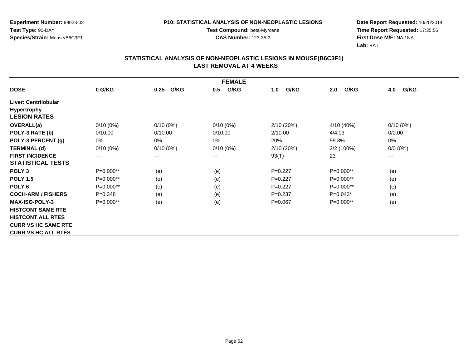**Experiment Number:** 99023-02**Test Type:** 90-DAY**Species/Strain:** Mouse/B6C3F1

**Test Compound:** beta-Myrcene**CAS Number:** 123-35-3

**Date Report Requested:** 10/20/2014 **Time Report Requested:** 17:35:56**First Dose M/F:** NA / NA**Lab:** BAT

| <b>FEMALE</b>              |             |              |             |             |             |             |  |  |
|----------------------------|-------------|--------------|-------------|-------------|-------------|-------------|--|--|
| <b>DOSE</b>                | 0 G/KG      | G/KG<br>0.25 | G/KG<br>0.5 | G/KG<br>1.0 | G/KG<br>2.0 | G/KG<br>4.0 |  |  |
| Liver: Centrilobular       |             |              |             |             |             |             |  |  |
| <b>Hypertrophy</b>         |             |              |             |             |             |             |  |  |
| <b>LESION RATES</b>        |             |              |             |             |             |             |  |  |
| <b>OVERALL(a)</b>          | $0/10(0\%)$ | $0/10(0\%)$  | $0/10(0\%)$ | 2/10(20%)   | 4/10 (40%)  | $0/10(0\%)$ |  |  |
| POLY-3 RATE (b)            | 0/10.00     | 0/10.00      | 0/10.00     | 2/10.00     | 4/4.03      | 0/0.00      |  |  |
| POLY-3 PERCENT (g)         | 0%          | 0%           | 0%          | 20%         | 99.3%       | 0%          |  |  |
| <b>TERMINAL (d)</b>        | $0/10(0\%)$ | $0/10(0\%)$  | $0/10(0\%)$ | 2/10(20%)   | 2/2(100%)   | $0/0 (0\%)$ |  |  |
| <b>FIRST INCIDENCE</b>     | ---         | $\cdots$     | $---$       | 93(T)       | 23          | ---         |  |  |
| <b>STATISTICAL TESTS</b>   |             |              |             |             |             |             |  |  |
| POLY <sub>3</sub>          | P=0.000**   | (e)          | (e)         | $P=0.227$   | P=0.000**   | (e)         |  |  |
| <b>POLY 1.5</b>            | P=0.000**   | (e)          | (e)         | $P=0.227$   | P=0.000**   | (e)         |  |  |
| POLY <sub>6</sub>          | P=0.000**   | (e)          | (e)         | $P=0.227$   | P=0.000**   | (e)         |  |  |
| <b>COCH-ARM / FISHERS</b>  | $P = 0.348$ | (e)          | (e)         | $P = 0.237$ | $P=0.043*$  | (e)         |  |  |
| <b>MAX-ISO-POLY-3</b>      | $P=0.000**$ | (e)          | (e)         | $P = 0.067$ | $P=0.000**$ | (e)         |  |  |
| <b>HISTCONT SAME RTE</b>   |             |              |             |             |             |             |  |  |
| <b>HISTCONT ALL RTES</b>   |             |              |             |             |             |             |  |  |
| <b>CURR VS HC SAME RTE</b> |             |              |             |             |             |             |  |  |
| <b>CURR VS HC ALL RTES</b> |             |              |             |             |             |             |  |  |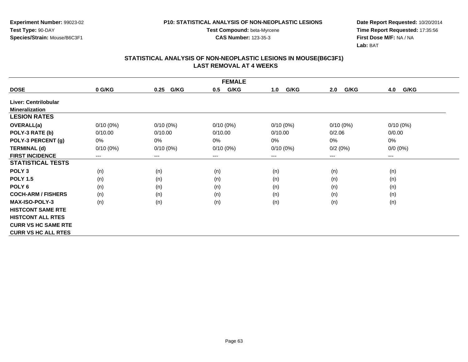**Experiment Number:** 99023-02**Test Type:** 90-DAY**Species/Strain:** Mouse/B6C3F1

**Test Compound:** beta-Myrcene**CAS Number:** 123-35-3

**Date Report Requested:** 10/20/2014 **Time Report Requested:** 17:35:56**First Dose M/F:** NA / NA**Lab:** BAT

| <b>FEMALE</b>              |             |                        |             |             |             |                        |  |  |
|----------------------------|-------------|------------------------|-------------|-------------|-------------|------------------------|--|--|
| <b>DOSE</b>                | 0 G/KG      | G/KG<br>0.25           | G/KG<br>0.5 | G/KG<br>1.0 | G/KG<br>2.0 | G/KG<br>4.0            |  |  |
| Liver: Centrilobular       |             |                        |             |             |             |                        |  |  |
| <b>Mineralization</b>      |             |                        |             |             |             |                        |  |  |
| <b>LESION RATES</b>        |             |                        |             |             |             |                        |  |  |
| <b>OVERALL(a)</b>          | $0/10(0\%)$ | $0/10(0\%)$            | $0/10(0\%)$ | $0/10(0\%)$ | $0/10(0\%)$ | $0/10(0\%)$            |  |  |
| POLY-3 RATE (b)            | 0/10.00     | 0/10.00                | 0/10.00     | 0/10.00     | 0/2.06      | 0/0.00                 |  |  |
| POLY-3 PERCENT (g)         | 0%          | $0\%$                  | 0%          | $0\%$       | 0%          | $0\%$                  |  |  |
| <b>TERMINAL (d)</b>        | $0/10(0\%)$ | $0/10(0\%)$            | $0/10(0\%)$ | $0/10(0\%)$ | 0/2(0%)     | $0/0 (0\%)$            |  |  |
| <b>FIRST INCIDENCE</b>     | ---         | $\qquad \qquad \cdots$ | $\cdots$    | ---         | $---$       | $\qquad \qquad \cdots$ |  |  |
| <b>STATISTICAL TESTS</b>   |             |                        |             |             |             |                        |  |  |
| POLY <sub>3</sub>          | (n)         | (n)                    | (n)         | (n)         | (n)         | (n)                    |  |  |
| <b>POLY 1.5</b>            | (n)         | (n)                    | (n)         | (n)         | (n)         | (n)                    |  |  |
| POLY <sub>6</sub>          | (n)         | (n)                    | (n)         | (n)         | (n)         | (n)                    |  |  |
| <b>COCH-ARM / FISHERS</b>  | (n)         | (n)                    | (n)         | (n)         | (n)         | (n)                    |  |  |
| <b>MAX-ISO-POLY-3</b>      | (n)         | (n)                    | (n)         | (n)         | (n)         | (n)                    |  |  |
| <b>HISTCONT SAME RTE</b>   |             |                        |             |             |             |                        |  |  |
| <b>HISTCONT ALL RTES</b>   |             |                        |             |             |             |                        |  |  |
| <b>CURR VS HC SAME RTE</b> |             |                        |             |             |             |                        |  |  |
| <b>CURR VS HC ALL RTES</b> |             |                        |             |             |             |                        |  |  |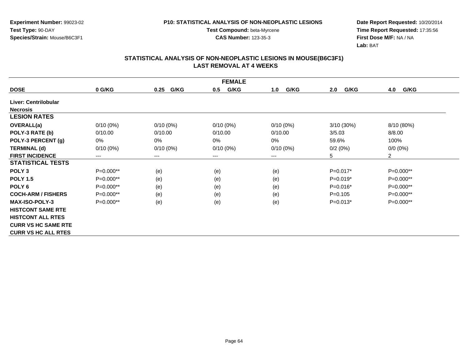**Experiment Number:** 99023-02**Test Type:** 90-DAY**Species/Strain:** Mouse/B6C3F1

**Test Compound:** beta-Myrcene**CAS Number:** 123-35-3

**Date Report Requested:** 10/20/2014 **Time Report Requested:** 17:35:56**First Dose M/F:** NA / NA**Lab:** BAT

| <b>FEMALE</b>              |             |              |             |             |             |                |  |  |
|----------------------------|-------------|--------------|-------------|-------------|-------------|----------------|--|--|
| <b>DOSE</b>                | 0 G/KG      | G/KG<br>0.25 | G/KG<br>0.5 | G/KG<br>1.0 | G/KG<br>2.0 | G/KG<br>4.0    |  |  |
| Liver: Centrilobular       |             |              |             |             |             |                |  |  |
| <b>Necrosis</b>            |             |              |             |             |             |                |  |  |
| <b>LESION RATES</b>        |             |              |             |             |             |                |  |  |
| OVERALL(a)                 | $0/10(0\%)$ | $0/10(0\%)$  | $0/10(0\%)$ | $0/10(0\%)$ | 3/10(30%)   | 8/10 (80%)     |  |  |
| POLY-3 RATE (b)            | 0/10.00     | 0/10.00      | 0/10.00     | 0/10.00     | 3/5.03      | 8/8.00         |  |  |
| POLY-3 PERCENT (g)         | 0%          | 0%           | 0%          | 0%          | 59.6%       | 100%           |  |  |
| <b>TERMINAL (d)</b>        | $0/10(0\%)$ | $0/10(0\%)$  | $0/10(0\%)$ | $0/10(0\%)$ | 0/2(0%)     | $0/0 (0\%)$    |  |  |
| <b>FIRST INCIDENCE</b>     | ---         | $--$         | $---$       | ---         | 5           | $\overline{2}$ |  |  |
| <b>STATISTICAL TESTS</b>   |             |              |             |             |             |                |  |  |
| POLY <sub>3</sub>          | $P=0.000**$ | (e)          | (e)         | (e)         | $P=0.017*$  | P=0.000**      |  |  |
| <b>POLY 1.5</b>            | P=0.000**   | (e)          | (e)         | (e)         | $P=0.019*$  | P=0.000**      |  |  |
| POLY <sub>6</sub>          | $P=0.000**$ | (e)          | (e)         | (e)         | $P=0.016*$  | P=0.000**      |  |  |
| <b>COCH-ARM / FISHERS</b>  | $P=0.000**$ | (e)          | (e)         | (e)         | $P = 0.105$ | $P=0.000**$    |  |  |
| <b>MAX-ISO-POLY-3</b>      | $P=0.000**$ | (e)          | (e)         | (e)         | $P=0.013*$  | P=0.000**      |  |  |
| <b>HISTCONT SAME RTE</b>   |             |              |             |             |             |                |  |  |
| <b>HISTCONT ALL RTES</b>   |             |              |             |             |             |                |  |  |
| <b>CURR VS HC SAME RTE</b> |             |              |             |             |             |                |  |  |
| <b>CURR VS HC ALL RTES</b> |             |              |             |             |             |                |  |  |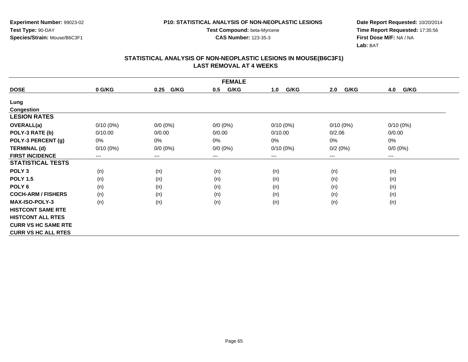**Experiment Number:** 99023-02**Test Type:** 90-DAY**Species/Strain:** Mouse/B6C3F1

**Test Compound:** beta-Myrcene**CAS Number:** 123-35-3

**Date Report Requested:** 10/20/2014 **Time Report Requested:** 17:35:56**First Dose M/F:** NA / NA**Lab:** BAT

| <b>FEMALE</b>              |             |              |             |             |             |             |  |  |
|----------------------------|-------------|--------------|-------------|-------------|-------------|-------------|--|--|
| <b>DOSE</b>                | 0 G/KG      | G/KG<br>0.25 | G/KG<br>0.5 | G/KG<br>1.0 | G/KG<br>2.0 | G/KG<br>4.0 |  |  |
| Lung                       |             |              |             |             |             |             |  |  |
| <b>Congestion</b>          |             |              |             |             |             |             |  |  |
| <b>LESION RATES</b>        |             |              |             |             |             |             |  |  |
| OVERALL(a)                 | $0/10(0\%)$ | $0/0 (0\%)$  | $0/0 (0\%)$ | $0/10(0\%)$ | $0/10(0\%)$ | $0/10(0\%)$ |  |  |
| POLY-3 RATE (b)            | 0/10.00     | 0/0.00       | 0/0.00      | 0/10.00     | 0/2.06      | 0/0.00      |  |  |
| POLY-3 PERCENT (g)         | 0%          | 0%           | 0%          | 0%          | $0\%$       | $0\%$       |  |  |
| <b>TERMINAL (d)</b>        | $0/10(0\%)$ | $0/0 (0\%)$  | $0/0 (0\%)$ | $0/10(0\%)$ | 0/2(0%)     | $0/0 (0\%)$ |  |  |
| <b>FIRST INCIDENCE</b>     | $---$       | ---          | $--$        | ---         | ---         | ---         |  |  |
| <b>STATISTICAL TESTS</b>   |             |              |             |             |             |             |  |  |
| POLY <sub>3</sub>          | (n)         | (n)          | (n)         | (n)         | (n)         | (n)         |  |  |
| <b>POLY 1.5</b>            | (n)         | (n)          | (n)         | (n)         | (n)         | (n)         |  |  |
| POLY 6                     | (n)         | (n)          | (n)         | (n)         | (n)         | (n)         |  |  |
| <b>COCH-ARM / FISHERS</b>  | (n)         | (n)          | (n)         | (n)         | (n)         | (n)         |  |  |
| MAX-ISO-POLY-3             | (n)         | (n)          | (n)         | (n)         | (n)         | (n)         |  |  |
| <b>HISTCONT SAME RTE</b>   |             |              |             |             |             |             |  |  |
| <b>HISTCONT ALL RTES</b>   |             |              |             |             |             |             |  |  |
| <b>CURR VS HC SAME RTE</b> |             |              |             |             |             |             |  |  |
| <b>CURR VS HC ALL RTES</b> |             |              |             |             |             |             |  |  |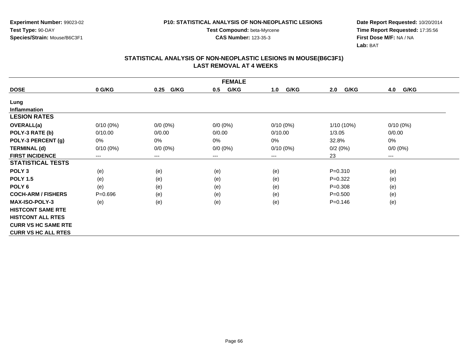**Experiment Number:** 99023-02**Test Type:** 90-DAY**Species/Strain:** Mouse/B6C3F1

**Test Compound:** beta-Myrcene**CAS Number:** 123-35-3

**Date Report Requested:** 10/20/2014 **Time Report Requested:** 17:35:56**First Dose M/F:** NA / NA**Lab:** BAT

| <b>FEMALE</b>              |             |                        |             |             |              |             |  |  |
|----------------------------|-------------|------------------------|-------------|-------------|--------------|-------------|--|--|
| <b>DOSE</b>                | 0 G/KG      | G/KG<br>0.25           | G/KG<br>0.5 | G/KG<br>1.0 | G/KG<br>2.0  | 4.0<br>G/KG |  |  |
| Lung                       |             |                        |             |             |              |             |  |  |
| <b>Inflammation</b>        |             |                        |             |             |              |             |  |  |
| <b>LESION RATES</b>        |             |                        |             |             |              |             |  |  |
| OVERALL(a)                 | $0/10(0\%)$ | $0/0 (0\%)$            | $0/0 (0\%)$ | $0/10(0\%)$ | $1/10(10\%)$ | $0/10(0\%)$ |  |  |
| POLY-3 RATE (b)            | 0/10.00     | 0/0.00                 | 0/0.00      | 0/10.00     | 1/3.05       | 0/0.00      |  |  |
| POLY-3 PERCENT (g)         | 0%          | $0\%$                  | $0\%$       | 0%          | 32.8%        | 0%          |  |  |
| <b>TERMINAL (d)</b>        | $0/10(0\%)$ | $0/0 (0\%)$            | $0/0 (0\%)$ | $0/10(0\%)$ | 0/2(0%)      | $0/0 (0\%)$ |  |  |
| <b>FIRST INCIDENCE</b>     | ---         | $\qquad \qquad \cdots$ | $---$       | ---         | 23           | $\cdots$    |  |  |
| <b>STATISTICAL TESTS</b>   |             |                        |             |             |              |             |  |  |
| POLY <sub>3</sub>          | (e)         | (e)                    | (e)         | (e)         | $P = 0.310$  | (e)         |  |  |
| <b>POLY 1.5</b>            | (e)         | (e)                    | (e)         | (e)         | $P=0.322$    | (e)         |  |  |
| POLY 6                     | (e)         | (e)                    | (e)         | (e)         | $P = 0.308$  | (e)         |  |  |
| <b>COCH-ARM / FISHERS</b>  | $P = 0.696$ | (e)                    | (e)         | (e)         | $P = 0.500$  | (e)         |  |  |
| <b>MAX-ISO-POLY-3</b>      | (e)         | (e)                    | (e)         | (e)         | $P = 0.146$  | (e)         |  |  |
| <b>HISTCONT SAME RTE</b>   |             |                        |             |             |              |             |  |  |
| <b>HISTCONT ALL RTES</b>   |             |                        |             |             |              |             |  |  |
| <b>CURR VS HC SAME RTE</b> |             |                        |             |             |              |             |  |  |
| <b>CURR VS HC ALL RTES</b> |             |                        |             |             |              |             |  |  |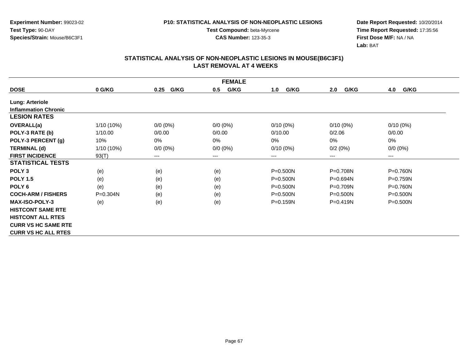**Experiment Number:** 99023-02**Test Type:** 90-DAY**Species/Strain:** Mouse/B6C3F1

**Test Compound:** beta-Myrcene**CAS Number:** 123-35-3

**Date Report Requested:** 10/20/2014 **Time Report Requested:** 17:35:56**First Dose M/F:** NA / NA**Lab:** BAT

| <b>FEMALE</b>               |              |              |             |              |              |              |  |  |
|-----------------------------|--------------|--------------|-------------|--------------|--------------|--------------|--|--|
| <b>DOSE</b>                 | 0 G/KG       | G/KG<br>0.25 | G/KG<br>0.5 | G/KG<br>1.0  | G/KG<br>2.0  | G/KG<br>4.0  |  |  |
| <b>Lung: Arteriole</b>      |              |              |             |              |              |              |  |  |
| <b>Inflammation Chronic</b> |              |              |             |              |              |              |  |  |
| <b>LESION RATES</b>         |              |              |             |              |              |              |  |  |
| <b>OVERALL(a)</b>           | $1/10(10\%)$ | $0/0 (0\%)$  | $0/0 (0\%)$ | $0/10(0\%)$  | $0/10(0\%)$  | $0/10(0\%)$  |  |  |
| POLY-3 RATE (b)             | 1/10.00      | 0/0.00       | 0/0.00      | 0/10.00      | 0/2.06       | 0/0.00       |  |  |
| POLY-3 PERCENT (g)          | 10%          | 0%           | $0\%$       | $0\%$        | 0%           | 0%           |  |  |
| <b>TERMINAL (d)</b>         | $1/10(10\%)$ | $0/0 (0\%)$  | $0/0 (0\%)$ | $0/10(0\%)$  | 0/2(0%)      | $0/0 (0\%)$  |  |  |
| <b>FIRST INCIDENCE</b>      | 93(T)        | $---$        | ---         | ---          | ---          | $---$        |  |  |
| <b>STATISTICAL TESTS</b>    |              |              |             |              |              |              |  |  |
| POLY <sub>3</sub>           | (e)          | (e)          | (e)         | $P = 0.500N$ | P=0.708N     | P=0.760N     |  |  |
| <b>POLY 1.5</b>             | (e)          | (e)          | (e)         | P=0.500N     | P=0.694N     | P=0.759N     |  |  |
| POLY <sub>6</sub>           | (e)          | (e)          | (e)         | $P = 0.500N$ | P=0.709N     | P=0.760N     |  |  |
| <b>COCH-ARM / FISHERS</b>   | $P = 0.304N$ | (e)          | (e)         | $P = 0.500N$ | $P = 0.500N$ | $P = 0.500N$ |  |  |
| <b>MAX-ISO-POLY-3</b>       | (e)          | (e)          | (e)         | P=0.159N     | $P = 0.419N$ | $P = 0.500N$ |  |  |
| <b>HISTCONT SAME RTE</b>    |              |              |             |              |              |              |  |  |
| <b>HISTCONT ALL RTES</b>    |              |              |             |              |              |              |  |  |
| <b>CURR VS HC SAME RTE</b>  |              |              |             |              |              |              |  |  |
| <b>CURR VS HC ALL RTES</b>  |              |              |             |              |              |              |  |  |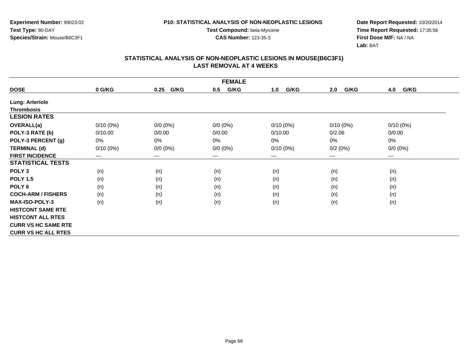**Experiment Number:** 99023-02**Test Type:** 90-DAY**Species/Strain:** Mouse/B6C3F1

**Test Compound:** beta-Myrcene**CAS Number:** 123-35-3

**Date Report Requested:** 10/20/2014 **Time Report Requested:** 17:35:56**First Dose M/F:** NA / NA**Lab:** BAT

| <b>FEMALE</b>              |             |              |             |             |             |             |  |  |
|----------------------------|-------------|--------------|-------------|-------------|-------------|-------------|--|--|
| <b>DOSE</b>                | 0 G/KG      | G/KG<br>0.25 | G/KG<br>0.5 | G/KG<br>1.0 | G/KG<br>2.0 | G/KG<br>4.0 |  |  |
| <b>Lung: Arteriole</b>     |             |              |             |             |             |             |  |  |
| <b>Thrombosis</b>          |             |              |             |             |             |             |  |  |
| <b>LESION RATES</b>        |             |              |             |             |             |             |  |  |
| OVERALL(a)                 | $0/10(0\%)$ | $0/0 (0\%)$  | $0/0 (0\%)$ | $0/10(0\%)$ | $0/10(0\%)$ | $0/10(0\%)$ |  |  |
| POLY-3 RATE (b)            | 0/10.00     | 0/0.00       | 0/0.00      | 0/10.00     | 0/2.06      | 0/0.00      |  |  |
| POLY-3 PERCENT (g)         | 0%          | 0%           | 0%          | 0%          | 0%          | 0%          |  |  |
| <b>TERMINAL (d)</b>        | $0/10(0\%)$ | $0/0 (0\%)$  | $0/0 (0\%)$ | $0/10(0\%)$ | 0/2(0%)     | $0/0 (0\%)$ |  |  |
| <b>FIRST INCIDENCE</b>     | ---         | $---$        | $---$       | ---         | ---         | $---$       |  |  |
| <b>STATISTICAL TESTS</b>   |             |              |             |             |             |             |  |  |
| POLY <sub>3</sub>          | (n)         | (n)          | (n)         | (n)         | (n)         | (n)         |  |  |
| <b>POLY 1.5</b>            | (n)         | (n)          | (n)         | (n)         | (n)         | (n)         |  |  |
| POLY <sub>6</sub>          | (n)         | (n)          | (n)         | (n)         | (n)         | (n)         |  |  |
| <b>COCH-ARM / FISHERS</b>  | (n)         | (n)          | (n)         | (n)         | (n)         | (n)         |  |  |
| <b>MAX-ISO-POLY-3</b>      | (n)         | (n)          | (n)         | (n)         | (n)         | (n)         |  |  |
| <b>HISTCONT SAME RTE</b>   |             |              |             |             |             |             |  |  |
| <b>HISTCONT ALL RTES</b>   |             |              |             |             |             |             |  |  |
| <b>CURR VS HC SAME RTE</b> |             |              |             |             |             |             |  |  |
| <b>CURR VS HC ALL RTES</b> |             |              |             |             |             |             |  |  |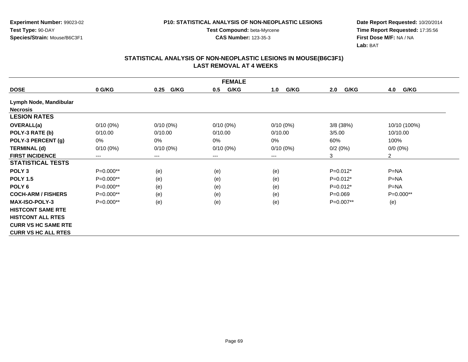**Experiment Number:** 99023-02**Test Type:** 90-DAY**Species/Strain:** Mouse/B6C3F1

**Test Compound:** beta-Myrcene**CAS Number:** 123-35-3

**Date Report Requested:** 10/20/2014 **Time Report Requested:** 17:35:56**First Dose M/F:** NA / NA**Lab:** BAT

| <b>FEMALE</b>              |             |              |             |             |             |                |  |  |
|----------------------------|-------------|--------------|-------------|-------------|-------------|----------------|--|--|
| <b>DOSE</b>                | 0 G/KG      | G/KG<br>0.25 | G/KG<br>0.5 | G/KG<br>1.0 | G/KG<br>2.0 | G/KG<br>4.0    |  |  |
| Lymph Node, Mandibular     |             |              |             |             |             |                |  |  |
| <b>Necrosis</b>            |             |              |             |             |             |                |  |  |
| <b>LESION RATES</b>        |             |              |             |             |             |                |  |  |
| <b>OVERALL(a)</b>          | $0/10(0\%)$ | $0/10(0\%)$  | $0/10(0\%)$ | $0/10(0\%)$ | $3/8$ (38%) | 10/10 (100%)   |  |  |
| POLY-3 RATE (b)            | 0/10.00     | 0/10.00      | 0/10.00     | 0/10.00     | 3/5.00      | 10/10.00       |  |  |
| POLY-3 PERCENT (g)         | 0%          | $0\%$        | 0%          | 0%          | 60%         | 100%           |  |  |
| <b>TERMINAL (d)</b>        | $0/10(0\%)$ | $0/10(0\%)$  | $0/10(0\%)$ | $0/10(0\%)$ | 0/2(0%)     | $0/0 (0\%)$    |  |  |
| <b>FIRST INCIDENCE</b>     | $---$       | $---$        | ---         | ---         | 3           | $\overline{2}$ |  |  |
| <b>STATISTICAL TESTS</b>   |             |              |             |             |             |                |  |  |
| POLY <sub>3</sub>          | $P=0.000**$ | (e)          | (e)         | (e)         | $P=0.012*$  | $P=NA$         |  |  |
| <b>POLY 1.5</b>            | $P=0.000**$ | (e)          | (e)         | (e)         | $P=0.012*$  | $P = NA$       |  |  |
| POLY <sub>6</sub>          | $P=0.000**$ | (e)          | (e)         | (e)         | $P=0.012*$  | $P = NA$       |  |  |
| <b>COCH-ARM / FISHERS</b>  | $P=0.000**$ | (e)          | (e)         | (e)         | $P=0.069$   | $P=0.000**$    |  |  |
| <b>MAX-ISO-POLY-3</b>      | $P=0.000**$ | (e)          | (e)         | (e)         | P=0.007**   | (e)            |  |  |
| <b>HISTCONT SAME RTE</b>   |             |              |             |             |             |                |  |  |
| <b>HISTCONT ALL RTES</b>   |             |              |             |             |             |                |  |  |
| <b>CURR VS HC SAME RTE</b> |             |              |             |             |             |                |  |  |
| <b>CURR VS HC ALL RTES</b> |             |              |             |             |             |                |  |  |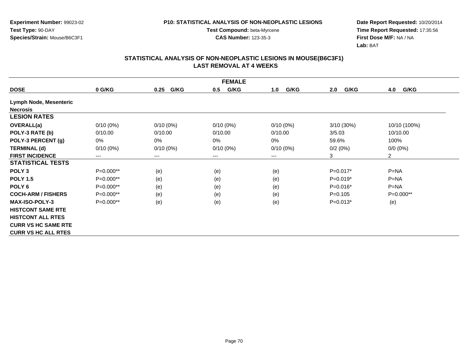**Experiment Number:** 99023-02**Test Type:** 90-DAY**Species/Strain:** Mouse/B6C3F1

**Test Compound:** beta-Myrcene**CAS Number:** 123-35-3

**Date Report Requested:** 10/20/2014 **Time Report Requested:** 17:35:56**First Dose M/F:** NA / NA**Lab:** BAT

| <b>FEMALE</b>              |                        |              |             |             |             |                |  |  |
|----------------------------|------------------------|--------------|-------------|-------------|-------------|----------------|--|--|
| <b>DOSE</b>                | 0 G/KG                 | G/KG<br>0.25 | G/KG<br>0.5 | G/KG<br>1.0 | G/KG<br>2.0 | G/KG<br>4.0    |  |  |
| Lymph Node, Mesenteric     |                        |              |             |             |             |                |  |  |
| <b>Necrosis</b>            |                        |              |             |             |             |                |  |  |
| <b>LESION RATES</b>        |                        |              |             |             |             |                |  |  |
| <b>OVERALL(a)</b>          | $0/10(0\%)$            | $0/10(0\%)$  | $0/10(0\%)$ | $0/10(0\%)$ | 3/10(30%)   | 10/10 (100%)   |  |  |
| POLY-3 RATE (b)            | 0/10.00                | 0/10.00      | 0/10.00     | 0/10.00     | 3/5.03      | 10/10.00       |  |  |
| POLY-3 PERCENT (g)         | 0%                     | 0%           | 0%          | 0%          | 59.6%       | 100%           |  |  |
| <b>TERMINAL (d)</b>        | $0/10(0\%)$            | $0/10(0\%)$  | $0/10(0\%)$ | $0/10(0\%)$ | 0/2(0%)     | $0/0(0\%)$     |  |  |
| <b>FIRST INCIDENCE</b>     | $\qquad \qquad \cdots$ | $---$        | ---         | $---$       | 3           | $\overline{2}$ |  |  |
| <b>STATISTICAL TESTS</b>   |                        |              |             |             |             |                |  |  |
| POLY <sub>3</sub>          | $P=0.000**$            | (e)          | (e)         | (e)         | $P=0.017*$  | $P=NA$         |  |  |
| <b>POLY 1.5</b>            | P=0.000**              | (e)          | (e)         | (e)         | $P=0.019*$  | $P=NA$         |  |  |
| POLY <sub>6</sub>          | P=0.000**              | (e)          | (e)         | (e)         | $P=0.016*$  | $P = NA$       |  |  |
| <b>COCH-ARM / FISHERS</b>  | P=0.000**              | (e)          | (e)         | (e)         | $P=0.105$   | $P=0.000**$    |  |  |
| <b>MAX-ISO-POLY-3</b>      | $P=0.000**$            | (e)          | (e)         | (e)         | $P=0.013*$  | (e)            |  |  |
| <b>HISTCONT SAME RTE</b>   |                        |              |             |             |             |                |  |  |
| <b>HISTCONT ALL RTES</b>   |                        |              |             |             |             |                |  |  |
| <b>CURR VS HC SAME RTE</b> |                        |              |             |             |             |                |  |  |
| <b>CURR VS HC ALL RTES</b> |                        |              |             |             |             |                |  |  |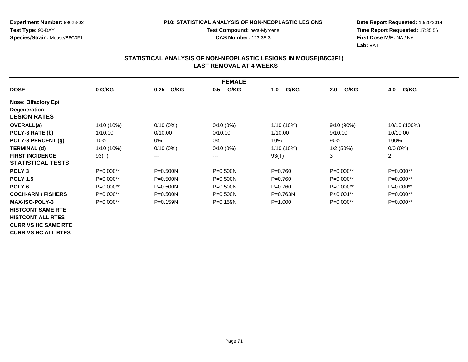**Experiment Number:** 99023-02**Test Type:** 90-DAY**Species/Strain:** Mouse/B6C3F1

**Test Compound:** beta-Myrcene**CAS Number:** 123-35-3

**Date Report Requested:** 10/20/2014 **Time Report Requested:** 17:35:56**First Dose M/F:** NA / NA**Lab:** BAT

| <b>FEMALE</b>              |              |              |              |              |              |                    |  |  |
|----------------------------|--------------|--------------|--------------|--------------|--------------|--------------------|--|--|
| <b>DOSE</b>                | 0 G/KG       | G/KG<br>0.25 | G/KG<br>0.5  | G/KG<br>1.0  | G/KG<br>2.0  | 4.0<br><b>G/KG</b> |  |  |
| <b>Nose: Olfactory Epi</b> |              |              |              |              |              |                    |  |  |
| <b>Degeneration</b>        |              |              |              |              |              |                    |  |  |
| <b>LESION RATES</b>        |              |              |              |              |              |                    |  |  |
| <b>OVERALL(a)</b>          | $1/10(10\%)$ | $0/10(0\%)$  | $0/10(0\%)$  | 1/10 (10%)   | $9/10(90\%)$ | 10/10 (100%)       |  |  |
| POLY-3 RATE (b)            | 1/10.00      | 0/10.00      | 0/10.00      | 1/10.00      | 9/10.00      | 10/10.00           |  |  |
| POLY-3 PERCENT (g)         | 10%          | 0%           | 0%           | 10%          | 90%          | 100%               |  |  |
| <b>TERMINAL (d)</b>        | $1/10(10\%)$ | $0/10(0\%)$  | $0/10(0\%)$  | $1/10(10\%)$ | 1/2(50%)     | $0/0 (0\%)$        |  |  |
| <b>FIRST INCIDENCE</b>     | 93(T)        | $---$        | ---          | 93(T)        | 3            | $\overline{2}$     |  |  |
| <b>STATISTICAL TESTS</b>   |              |              |              |              |              |                    |  |  |
| POLY <sub>3</sub>          | $P=0.000**$  | $P = 0.500N$ | $P = 0.500N$ | $P = 0.760$  | $P=0.000**$  | $P=0.000**$        |  |  |
| <b>POLY 1.5</b>            | $P=0.000**$  | $P = 0.500N$ | $P = 0.500N$ | $P = 0.760$  | $P=0.000**$  | $P=0.000**$        |  |  |
| POLY <sub>6</sub>          | P=0.000**    | $P = 0.500N$ | $P = 0.500N$ | $P=0.760$    | $P=0.000**$  | $P=0.000**$        |  |  |
| <b>COCH-ARM / FISHERS</b>  | $P=0.000**$  | $P = 0.500N$ | $P = 0.500N$ | $P = 0.763N$ | $P<0.001**$  | $P=0.000**$        |  |  |
| <b>MAX-ISO-POLY-3</b>      | $P=0.000**$  | $P = 0.159N$ | $P = 0.159N$ | $P = 1.000$  | $P=0.000**$  | $P=0.000**$        |  |  |
| <b>HISTCONT SAME RTE</b>   |              |              |              |              |              |                    |  |  |
| <b>HISTCONT ALL RTES</b>   |              |              |              |              |              |                    |  |  |
| <b>CURR VS HC SAME RTE</b> |              |              |              |              |              |                    |  |  |
| <b>CURR VS HC ALL RTES</b> |              |              |              |              |              |                    |  |  |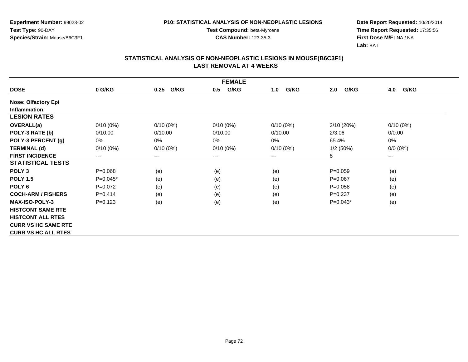**Experiment Number:** 99023-02**Test Type:** 90-DAY**Species/Strain:** Mouse/B6C3F1

**Test Compound:** beta-Myrcene**CAS Number:** 123-35-3

**Date Report Requested:** 10/20/2014 **Time Report Requested:** 17:35:56**First Dose M/F:** NA / NA**Lab:** BAT

| <b>FEMALE</b>              |             |              |             |             |             |             |  |  |
|----------------------------|-------------|--------------|-------------|-------------|-------------|-------------|--|--|
| <b>DOSE</b>                | 0 G/KG      | G/KG<br>0.25 | G/KG<br>0.5 | G/KG<br>1.0 | G/KG<br>2.0 | 4.0<br>G/KG |  |  |
| <b>Nose: Olfactory Epi</b> |             |              |             |             |             |             |  |  |
| <b>Inflammation</b>        |             |              |             |             |             |             |  |  |
| <b>LESION RATES</b>        |             |              |             |             |             |             |  |  |
| <b>OVERALL(a)</b>          | $0/10(0\%)$ | $0/10(0\%)$  | $0/10(0\%)$ | $0/10(0\%)$ | 2/10 (20%)  | $0/10(0\%)$ |  |  |
| POLY-3 RATE (b)            | 0/10.00     | 0/10.00      | 0/10.00     | 0/10.00     | 2/3.06      | 0/0.00      |  |  |
| POLY-3 PERCENT (g)         | 0%          | 0%           | 0%          | 0%          | 65.4%       | 0%          |  |  |
| <b>TERMINAL (d)</b>        | $0/10(0\%)$ | $0/10(0\%)$  | $0/10(0\%)$ | $0/10(0\%)$ | 1/2(50%)    | $0/0 (0\%)$ |  |  |
| <b>FIRST INCIDENCE</b>     | ---         | $---$        | $---$       | ---         | 8           | ---         |  |  |
| <b>STATISTICAL TESTS</b>   |             |              |             |             |             |             |  |  |
| POLY <sub>3</sub>          | $P = 0.068$ | (e)          | (e)         | (e)         | $P=0.059$   | (e)         |  |  |
| <b>POLY 1.5</b>            | $P=0.045*$  | (e)          | (e)         | (e)         | $P=0.067$   | (e)         |  |  |
| POLY <sub>6</sub>          | $P=0.072$   | (e)          | (e)         | (e)         | $P = 0.058$ | (e)         |  |  |
| <b>COCH-ARM / FISHERS</b>  | $P = 0.414$ | (e)          | (e)         | (e)         | $P=0.237$   | (e)         |  |  |
| <b>MAX-ISO-POLY-3</b>      | $P = 0.123$ | (e)          | (e)         | (e)         | $P=0.043*$  | (e)         |  |  |
| <b>HISTCONT SAME RTE</b>   |             |              |             |             |             |             |  |  |
| <b>HISTCONT ALL RTES</b>   |             |              |             |             |             |             |  |  |
| <b>CURR VS HC SAME RTE</b> |             |              |             |             |             |             |  |  |
| <b>CURR VS HC ALL RTES</b> |             |              |             |             |             |             |  |  |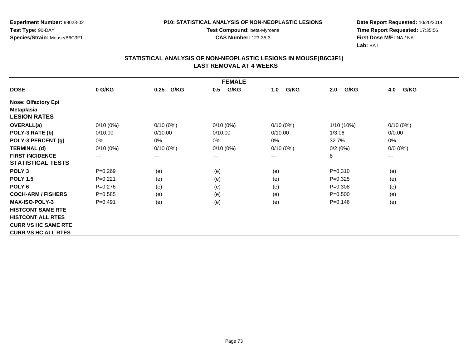**Experiment Number:** 99023-02**Test Type:** 90-DAY**Species/Strain:** Mouse/B6C3F1

**Test Compound:** beta-Myrcene**CAS Number:** 123-35-3

**Date Report Requested:** 10/20/2014 **Time Report Requested:** 17:35:56**First Dose M/F:** NA / NA**Lab:** BAT

|                            | <b>FEMALE</b> |              |             |             |             |             |  |  |  |
|----------------------------|---------------|--------------|-------------|-------------|-------------|-------------|--|--|--|
| <b>DOSE</b>                | 0 G/KG        | G/KG<br>0.25 | G/KG<br>0.5 | G/KG<br>1.0 | G/KG<br>2.0 | 4.0<br>G/KG |  |  |  |
| <b>Nose: Olfactory Epi</b> |               |              |             |             |             |             |  |  |  |
| Metaplasia                 |               |              |             |             |             |             |  |  |  |
| <b>LESION RATES</b>        |               |              |             |             |             |             |  |  |  |
| OVERALL(a)                 | $0/10(0\%)$   | $0/10(0\%)$  | $0/10(0\%)$ | $0/10(0\%)$ | 1/10 (10%)  | $0/10(0\%)$ |  |  |  |
| POLY-3 RATE (b)            | 0/10.00       | 0/10.00      | 0/10.00     | 0/10.00     | 1/3.06      | 0/0.00      |  |  |  |
| POLY-3 PERCENT (g)         | 0%            | 0%           | 0%          | $0\%$       | 32.7%       | 0%          |  |  |  |
| <b>TERMINAL (d)</b>        | $0/10(0\%)$   | $0/10(0\%)$  | $0/10(0\%)$ | $0/10(0\%)$ | 0/2(0%)     | $0/0 (0\%)$ |  |  |  |
| <b>FIRST INCIDENCE</b>     | ---           | $\cdots$     | $---$       | ---         | 8           | ---         |  |  |  |
| <b>STATISTICAL TESTS</b>   |               |              |             |             |             |             |  |  |  |
| POLY <sub>3</sub>          | $P = 0.269$   | (e)          | (e)         | (e)         | $P = 0.310$ | (e)         |  |  |  |
| <b>POLY 1.5</b>            | $P = 0.221$   | (e)          | (e)         | (e)         | $P=0.325$   | (e)         |  |  |  |
| POLY <sub>6</sub>          | $P=0.276$     | (e)          | (e)         | (e)         | $P = 0.308$ | (e)         |  |  |  |
| <b>COCH-ARM / FISHERS</b>  | $P = 0.585$   | (e)          | (e)         | (e)         | $P = 0.500$ | (e)         |  |  |  |
| <b>MAX-ISO-POLY-3</b>      | $P=0.491$     | (e)          | (e)         | (e)         | $P=0.146$   | (e)         |  |  |  |
| <b>HISTCONT SAME RTE</b>   |               |              |             |             |             |             |  |  |  |
| <b>HISTCONT ALL RTES</b>   |               |              |             |             |             |             |  |  |  |
| <b>CURR VS HC SAME RTE</b> |               |              |             |             |             |             |  |  |  |
| <b>CURR VS HC ALL RTES</b> |               |              |             |             |             |             |  |  |  |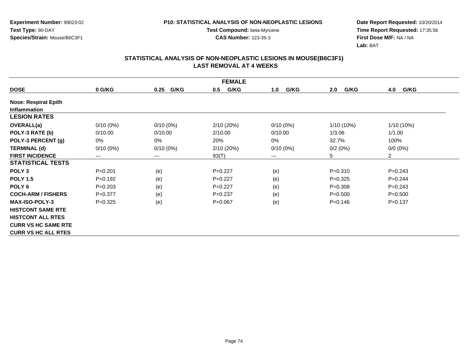**Experiment Number:** 99023-02**Test Type:** 90-DAY**Species/Strain:** Mouse/B6C3F1

**Test Compound:** beta-Myrcene**CAS Number:** 123-35-3

**Date Report Requested:** 10/20/2014 **Time Report Requested:** 17:35:56**First Dose M/F:** NA / NA**Lab:** BAT

|                             | <b>FEMALE</b> |              |             |             |              |                |  |  |  |
|-----------------------------|---------------|--------------|-------------|-------------|--------------|----------------|--|--|--|
| <b>DOSE</b>                 | 0 G/KG        | 0.25<br>G/KG | G/KG<br>0.5 | G/KG<br>1.0 | G/KG<br>2.0  | G/KG<br>4.0    |  |  |  |
| <b>Nose: Respirat Epith</b> |               |              |             |             |              |                |  |  |  |
| <b>Inflammation</b>         |               |              |             |             |              |                |  |  |  |
| <b>LESION RATES</b>         |               |              |             |             |              |                |  |  |  |
| OVERALL(a)                  | $0/10(0\%)$   | $0/10(0\%)$  | 2/10(20%)   | $0/10(0\%)$ | $1/10(10\%)$ | 1/10 (10%)     |  |  |  |
| POLY-3 RATE (b)             | 0/10.00       | 0/10.00      | 2/10.00     | 0/10.00     | 1/3.06       | 1/1.00         |  |  |  |
| POLY-3 PERCENT (g)          | 0%            | 0%           | 20%         | 0%          | 32.7%        | 100%           |  |  |  |
| <b>TERMINAL (d)</b>         | $0/10(0\%)$   | $0/10(0\%)$  | 2/10 (20%)  | $0/10(0\%)$ | 0/2(0%)      | $0/0(0\%)$     |  |  |  |
| <b>FIRST INCIDENCE</b>      | ---           | $--$         | 93(T)       | ---         | 5            | $\overline{2}$ |  |  |  |
| <b>STATISTICAL TESTS</b>    |               |              |             |             |              |                |  |  |  |
| POLY <sub>3</sub>           | $P=0.201$     | (e)          | $P=0.227$   | (e)         | $P = 0.310$  | $P = 0.243$    |  |  |  |
| <b>POLY 1.5</b>             | $P=0.192$     | (e)          | $P=0.227$   | (e)         | $P=0.325$    | $P=0.244$      |  |  |  |
| POLY <sub>6</sub>           | $P = 0.203$   | (e)          | $P=0.227$   | (e)         | $P = 0.308$  | $P=0.243$      |  |  |  |
| <b>COCH-ARM / FISHERS</b>   | $P = 0.377$   | (e)          | $P=0.237$   | (e)         | $P = 0.500$  | $P = 0.500$    |  |  |  |
| <b>MAX-ISO-POLY-3</b>       | $P=0.325$     | (e)          | $P = 0.067$ | (e)         | $P=0.146$    | $P = 0.137$    |  |  |  |
| <b>HISTCONT SAME RTE</b>    |               |              |             |             |              |                |  |  |  |
| <b>HISTCONT ALL RTES</b>    |               |              |             |             |              |                |  |  |  |
| <b>CURR VS HC SAME RTE</b>  |               |              |             |             |              |                |  |  |  |
| <b>CURR VS HC ALL RTES</b>  |               |              |             |             |              |                |  |  |  |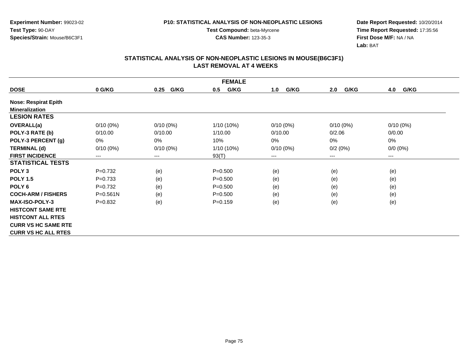**Experiment Number:** 99023-02**Test Type:** 90-DAY**Species/Strain:** Mouse/B6C3F1

**Test Compound:** beta-Myrcene**CAS Number:** 123-35-3

**Date Report Requested:** 10/20/2014 **Time Report Requested:** 17:35:56**First Dose M/F:** NA / NA**Lab:** BAT

|                             | <b>FEMALE</b> |                        |              |             |             |             |  |  |  |
|-----------------------------|---------------|------------------------|--------------|-------------|-------------|-------------|--|--|--|
| <b>DOSE</b>                 | 0 G/KG        | G/KG<br>0.25           | G/KG<br>0.5  | G/KG<br>1.0 | G/KG<br>2.0 | G/KG<br>4.0 |  |  |  |
| <b>Nose: Respirat Epith</b> |               |                        |              |             |             |             |  |  |  |
| <b>Mineralization</b>       |               |                        |              |             |             |             |  |  |  |
| <b>LESION RATES</b>         |               |                        |              |             |             |             |  |  |  |
| <b>OVERALL(a)</b>           | $0/10(0\%)$   | $0/10(0\%)$            | $1/10(10\%)$ | $0/10(0\%)$ | $0/10(0\%)$ | $0/10(0\%)$ |  |  |  |
| POLY-3 RATE (b)             | 0/10.00       | 0/10.00                | 1/10.00      | 0/10.00     | 0/2.06      | 0/0.00      |  |  |  |
| POLY-3 PERCENT (g)          | 0%            | 0%                     | 10%          | $0\%$       | 0%          | 0%          |  |  |  |
| <b>TERMINAL (d)</b>         | $0/10(0\%)$   | $0/10(0\%)$            | 1/10 (10%)   | $0/10(0\%)$ | 0/2(0%)     | $0/0 (0\%)$ |  |  |  |
| <b>FIRST INCIDENCE</b>      | ---           | $\qquad \qquad \cdots$ | 93(T)        | ---         | $---$       | ---         |  |  |  |
| <b>STATISTICAL TESTS</b>    |               |                        |              |             |             |             |  |  |  |
| POLY <sub>3</sub>           | $P=0.732$     | (e)                    | $P = 0.500$  | (e)         | (e)         | (e)         |  |  |  |
| <b>POLY 1.5</b>             | $P=0.733$     | (e)                    | $P = 0.500$  | (e)         | (e)         | (e)         |  |  |  |
| POLY <sub>6</sub>           | $P=0.732$     | (e)                    | $P = 0.500$  | (e)         | (e)         | (e)         |  |  |  |
| <b>COCH-ARM / FISHERS</b>   | $P = 0.561N$  | (e)                    | $P = 0.500$  | (e)         | (e)         | (e)         |  |  |  |
| <b>MAX-ISO-POLY-3</b>       | $P = 0.832$   | (e)                    | $P=0.159$    | (e)         | (e)         | (e)         |  |  |  |
| <b>HISTCONT SAME RTE</b>    |               |                        |              |             |             |             |  |  |  |
| <b>HISTCONT ALL RTES</b>    |               |                        |              |             |             |             |  |  |  |
| <b>CURR VS HC SAME RTE</b>  |               |                        |              |             |             |             |  |  |  |
| <b>CURR VS HC ALL RTES</b>  |               |                        |              |             |             |             |  |  |  |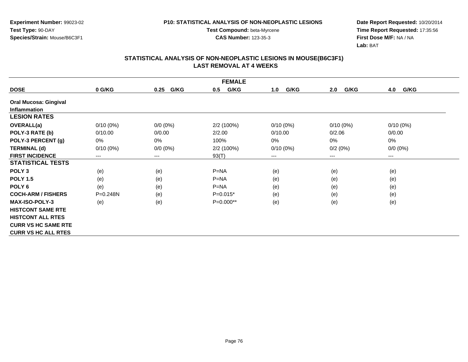**Experiment Number:** 99023-02**Test Type:** 90-DAY**Species/Strain:** Mouse/B6C3F1

**Test Compound:** beta-Myrcene**CAS Number:** 123-35-3

**Date Report Requested:** 10/20/2014 **Time Report Requested:** 17:35:56**First Dose M/F:** NA / NA**Lab:** BAT

|                              |              |              | <b>FEMALE</b> |             |             |             |
|------------------------------|--------------|--------------|---------------|-------------|-------------|-------------|
| <b>DOSE</b>                  | 0 G/KG       | G/KG<br>0.25 | G/KG<br>0.5   | G/KG<br>1.0 | G/KG<br>2.0 | G/KG<br>4.0 |
| <b>Oral Mucosa: Gingival</b> |              |              |               |             |             |             |
| <b>Inflammation</b>          |              |              |               |             |             |             |
| <b>LESION RATES</b>          |              |              |               |             |             |             |
| <b>OVERALL(a)</b>            | $0/10(0\%)$  | $0/0 (0\%)$  | 2/2 (100%)    | $0/10(0\%)$ | $0/10(0\%)$ | $0/10(0\%)$ |
| POLY-3 RATE (b)              | 0/10.00      | 0/0.00       | 2/2.00        | 0/10.00     | 0/2.06      | 0/0.00      |
| POLY-3 PERCENT (g)           | 0%           | 0%           | 100%          | $0\%$       | 0%          | 0%          |
| <b>TERMINAL (d)</b>          | $0/10(0\%)$  | $0/0 (0\%)$  | 2/2 (100%)    | $0/10(0\%)$ | 0/2(0%)     | $0/0 (0\%)$ |
| <b>FIRST INCIDENCE</b>       | $---$        | $---$        | 93(T)         | ---         | $---$       | $---$       |
| <b>STATISTICAL TESTS</b>     |              |              |               |             |             |             |
| POLY <sub>3</sub>            | (e)          | (e)          | $P=NA$        | (e)         | (e)         | (e)         |
| <b>POLY 1.5</b>              | (e)          | (e)          | $P=NA$        | (e)         | (e)         | (e)         |
| POLY <sub>6</sub>            | (e)          | (e)          | $P = NA$      | (e)         | (e)         | (e)         |
| <b>COCH-ARM / FISHERS</b>    | $P = 0.248N$ | (e)          | $P=0.015*$    | (e)         | (e)         | (e)         |
| <b>MAX-ISO-POLY-3</b>        | (e)          | (e)          | $P=0.000**$   | (e)         | (e)         | (e)         |
| <b>HISTCONT SAME RTE</b>     |              |              |               |             |             |             |
| <b>HISTCONT ALL RTES</b>     |              |              |               |             |             |             |
| <b>CURR VS HC SAME RTE</b>   |              |              |               |             |             |             |
| <b>CURR VS HC ALL RTES</b>   |              |              |               |             |             |             |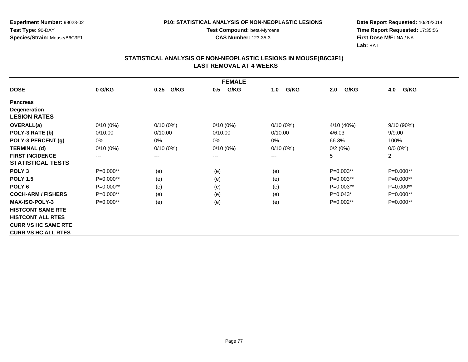**Experiment Number:** 99023-02**Test Type:** 90-DAY**Species/Strain:** Mouse/B6C3F1

**Test Compound:** beta-Myrcene**CAS Number:** 123-35-3

**Date Report Requested:** 10/20/2014 **Time Report Requested:** 17:35:56**First Dose M/F:** NA / NA**Lab:** BAT

|                            | <b>FEMALE</b> |              |             |             |             |                |  |  |  |
|----------------------------|---------------|--------------|-------------|-------------|-------------|----------------|--|--|--|
| <b>DOSE</b>                | 0 G/KG        | G/KG<br>0.25 | G/KG<br>0.5 | G/KG<br>1.0 | G/KG<br>2.0 | 4.0<br>G/KG    |  |  |  |
| <b>Pancreas</b>            |               |              |             |             |             |                |  |  |  |
| <b>Degeneration</b>        |               |              |             |             |             |                |  |  |  |
| <b>LESION RATES</b>        |               |              |             |             |             |                |  |  |  |
| <b>OVERALL(a)</b>          | $0/10(0\%)$   | $0/10(0\%)$  | $0/10(0\%)$ | $0/10(0\%)$ | 4/10 (40%)  | 9/10(90%)      |  |  |  |
| POLY-3 RATE (b)            | 0/10.00       | 0/10.00      | 0/10.00     | 0/10.00     | 4/6.03      | 9/9.00         |  |  |  |
| POLY-3 PERCENT (g)         | 0%            | 0%           | 0%          | 0%          | 66.3%       | 100%           |  |  |  |
| <b>TERMINAL (d)</b>        | $0/10(0\%)$   | $0/10(0\%)$  | $0/10(0\%)$ | $0/10(0\%)$ | 0/2(0%)     | $0/0(0\%)$     |  |  |  |
| <b>FIRST INCIDENCE</b>     | ---           | $--$         | $---$       | ---         | 5           | $\overline{2}$ |  |  |  |
| <b>STATISTICAL TESTS</b>   |               |              |             |             |             |                |  |  |  |
| POLY <sub>3</sub>          | P=0.000**     | (e)          | (e)         | (e)         | P=0.003**   | P=0.000**      |  |  |  |
| <b>POLY 1.5</b>            | P=0.000**     | (e)          | (e)         | (e)         | $P=0.003**$ | P=0.000**      |  |  |  |
| POLY <sub>6</sub>          | P=0.000**     | (e)          | (e)         | (e)         | P=0.003**   | P=0.000**      |  |  |  |
| <b>COCH-ARM / FISHERS</b>  | $P=0.000**$   | (e)          | (e)         | (e)         | $P=0.043*$  | P=0.000**      |  |  |  |
| <b>MAX-ISO-POLY-3</b>      | $P=0.000**$   | (e)          | (e)         | (e)         | P=0.002**   | P=0.000**      |  |  |  |
| <b>HISTCONT SAME RTE</b>   |               |              |             |             |             |                |  |  |  |
| <b>HISTCONT ALL RTES</b>   |               |              |             |             |             |                |  |  |  |
| <b>CURR VS HC SAME RTE</b> |               |              |             |             |             |                |  |  |  |
| <b>CURR VS HC ALL RTES</b> |               |              |             |             |             |                |  |  |  |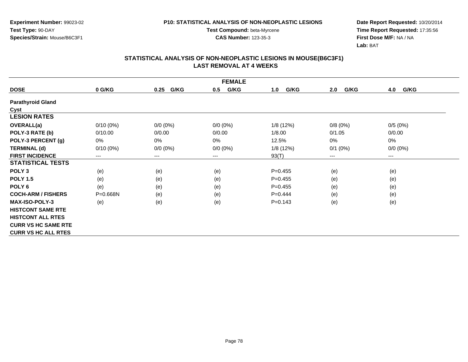**Experiment Number:** 99023-02**Test Type:** 90-DAY**Species/Strain:** Mouse/B6C3F1

**Test Compound:** beta-Myrcene**CAS Number:** 123-35-3

**Date Report Requested:** 10/20/2014 **Time Report Requested:** 17:35:56**First Dose M/F:** NA / NA**Lab:** BAT

|                            | <b>FEMALE</b> |              |             |             |             |                        |  |  |  |
|----------------------------|---------------|--------------|-------------|-------------|-------------|------------------------|--|--|--|
| <b>DOSE</b>                | 0 G/KG        | G/KG<br>0.25 | G/KG<br>0.5 | G/KG<br>1.0 | G/KG<br>2.0 | 4.0<br>G/KG            |  |  |  |
| <b>Parathyroid Gland</b>   |               |              |             |             |             |                        |  |  |  |
| Cyst                       |               |              |             |             |             |                        |  |  |  |
| <b>LESION RATES</b>        |               |              |             |             |             |                        |  |  |  |
| OVERALL(a)                 | $0/10(0\%)$   | $0/0 (0\%)$  | $0/0 (0\%)$ | 1/8 (12%)   | 0/8(0%)     | 0/5(0%)                |  |  |  |
| POLY-3 RATE (b)            | 0/10.00       | 0/0.00       | 0/0.00      | 1/8.00      | 0/1.05      | 0/0.00                 |  |  |  |
| POLY-3 PERCENT (g)         | 0%            | 0%           | 0%          | 12.5%       | 0%          | 0%                     |  |  |  |
| <b>TERMINAL (d)</b>        | $0/10(0\%)$   | $0/0 (0\%)$  | $0/0 (0\%)$ | 1/8(12%)    | $0/1$ (0%)  | $0/0 (0\%)$            |  |  |  |
| <b>FIRST INCIDENCE</b>     | $\cdots$      | $\cdots$     | ---         | 93(T)       | ---         | $\qquad \qquad \cdots$ |  |  |  |
| <b>STATISTICAL TESTS</b>   |               |              |             |             |             |                        |  |  |  |
| POLY <sub>3</sub>          | (e)           | (e)          | (e)         | $P=0.455$   | (e)         | (e)                    |  |  |  |
| <b>POLY 1.5</b>            | (e)           | (e)          | (e)         | $P=0.455$   | (e)         | (e)                    |  |  |  |
| POLY <sub>6</sub>          | (e)           | (e)          | (e)         | $P=0.455$   | (e)         | (e)                    |  |  |  |
| <b>COCH-ARM / FISHERS</b>  | $P = 0.668N$  | (e)          | (e)         | $P=0.444$   | (e)         | (e)                    |  |  |  |
| <b>MAX-ISO-POLY-3</b>      | (e)           | (e)          | (e)         | $P = 0.143$ | (e)         | (e)                    |  |  |  |
| <b>HISTCONT SAME RTE</b>   |               |              |             |             |             |                        |  |  |  |
| <b>HISTCONT ALL RTES</b>   |               |              |             |             |             |                        |  |  |  |
| <b>CURR VS HC SAME RTE</b> |               |              |             |             |             |                        |  |  |  |
| <b>CURR VS HC ALL RTES</b> |               |              |             |             |             |                        |  |  |  |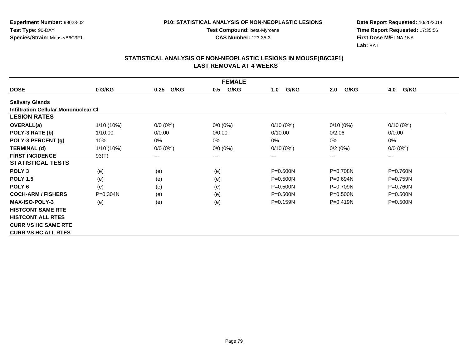**Experiment Number:** 99023-02**Test Type:** 90-DAY**Species/Strain:** Mouse/B6C3F1

**Test Compound:** beta-Myrcene**CAS Number:** 123-35-3

**Date Report Requested:** 10/20/2014 **Time Report Requested:** 17:35:56**First Dose M/F:** NA / NA**Lab:** BAT

|                                      | <b>FEMALE</b> |              |             |              |              |              |  |  |  |
|--------------------------------------|---------------|--------------|-------------|--------------|--------------|--------------|--|--|--|
| <b>DOSE</b>                          | 0 G/KG        | G/KG<br>0.25 | G/KG<br>0.5 | G/KG<br>1.0  | G/KG<br>2.0  | 4.0<br>G/KG  |  |  |  |
| <b>Salivary Glands</b>               |               |              |             |              |              |              |  |  |  |
| Infiltration Cellular Mononuclear CI |               |              |             |              |              |              |  |  |  |
| <b>LESION RATES</b>                  |               |              |             |              |              |              |  |  |  |
| <b>OVERALL(a)</b>                    | 1/10 (10%)    | $0/0 (0\%)$  | $0/0 (0\%)$ | $0/10(0\%)$  | $0/10(0\%)$  | $0/10(0\%)$  |  |  |  |
| POLY-3 RATE (b)                      | 1/10.00       | 0/0.00       | 0/0.00      | 0/10.00      | 0/2.06       | 0/0.00       |  |  |  |
| POLY-3 PERCENT (g)                   | 10%           | 0%           | 0%          | 0%           | 0%           | 0%           |  |  |  |
| <b>TERMINAL (d)</b>                  | $1/10(10\%)$  | $0/0 (0\%)$  | $0/0 (0\%)$ | $0/10(0\%)$  | 0/2(0%)      | $0/0 (0\%)$  |  |  |  |
| <b>FIRST INCIDENCE</b>               | 93(T)         | $---$        | ---         | ---          | $---$        | $--$         |  |  |  |
| <b>STATISTICAL TESTS</b>             |               |              |             |              |              |              |  |  |  |
| POLY <sub>3</sub>                    | (e)           | (e)          | (e)         | P=0.500N     | $P = 0.708N$ | P=0.760N     |  |  |  |
| <b>POLY 1.5</b>                      | (e)           | (e)          | (e)         | $P = 0.500N$ | $P = 0.694N$ | $P = 0.759N$ |  |  |  |
| POLY <sub>6</sub>                    | (e)           | (e)          | (e)         | P=0.500N     | P=0.709N     | P=0.760N     |  |  |  |
| <b>COCH-ARM / FISHERS</b>            | $P = 0.304N$  | (e)          | (e)         | $P = 0.500N$ | $P = 0.500N$ | $P = 0.500N$ |  |  |  |
| <b>MAX-ISO-POLY-3</b>                | (e)           | (e)          | (e)         | $P = 0.159N$ | $P = 0.419N$ | $P = 0.500N$ |  |  |  |
| <b>HISTCONT SAME RTE</b>             |               |              |             |              |              |              |  |  |  |
| <b>HISTCONT ALL RTES</b>             |               |              |             |              |              |              |  |  |  |
| <b>CURR VS HC SAME RTE</b>           |               |              |             |              |              |              |  |  |  |
| <b>CURR VS HC ALL RTES</b>           |               |              |             |              |              |              |  |  |  |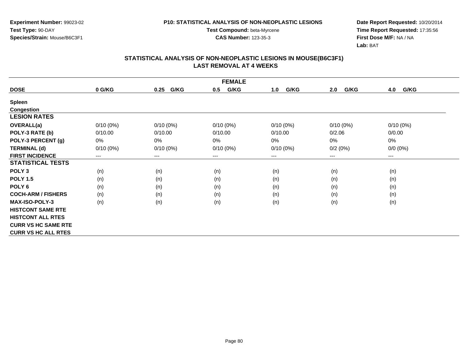**Experiment Number:** 99023-02**Test Type:** 90-DAY**Species/Strain:** Mouse/B6C3F1

**Test Compound:** beta-Myrcene**CAS Number:** 123-35-3

**Date Report Requested:** 10/20/2014 **Time Report Requested:** 17:35:56**First Dose M/F:** NA / NA**Lab:** BAT

| <b>FEMALE</b>              |             |                        |             |             |             |             |  |  |
|----------------------------|-------------|------------------------|-------------|-------------|-------------|-------------|--|--|
| <b>DOSE</b>                | 0 G/KG      | G/KG<br>0.25           | G/KG<br>0.5 | G/KG<br>1.0 | G/KG<br>2.0 | G/KG<br>4.0 |  |  |
| <b>Spleen</b>              |             |                        |             |             |             |             |  |  |
| <b>Congestion</b>          |             |                        |             |             |             |             |  |  |
| <b>LESION RATES</b>        |             |                        |             |             |             |             |  |  |
| OVERALL(a)                 | $0/10(0\%)$ | $0/10(0\%)$            | $0/10(0\%)$ | $0/10(0\%)$ | $0/10(0\%)$ | $0/10(0\%)$ |  |  |
| POLY-3 RATE (b)            | 0/10.00     | 0/10.00                | 0/10.00     | 0/10.00     | 0/2.06      | 0/0.00      |  |  |
| POLY-3 PERCENT (g)         | 0%          | 0%                     | 0%          | 0%          | 0%          | $0\%$       |  |  |
| <b>TERMINAL (d)</b>        | $0/10(0\%)$ | $0/10(0\%)$            | $0/10(0\%)$ | $0/10(0\%)$ | 0/2(0%)     | $0/0 (0\%)$ |  |  |
| <b>FIRST INCIDENCE</b>     | ---         | $\qquad \qquad \cdots$ | $--$        | ---         | ---         | ---         |  |  |
| <b>STATISTICAL TESTS</b>   |             |                        |             |             |             |             |  |  |
| POLY <sub>3</sub>          | (n)         | (n)                    | (n)         | (n)         | (n)         | (n)         |  |  |
| <b>POLY 1.5</b>            | (n)         | (n)                    | (n)         | (n)         | (n)         | (n)         |  |  |
| POLY <sub>6</sub>          | (n)         | (n)                    | (n)         | (n)         | (n)         | (n)         |  |  |
| <b>COCH-ARM / FISHERS</b>  | (n)         | (n)                    | (n)         | (n)         | (n)         | (n)         |  |  |
| <b>MAX-ISO-POLY-3</b>      | (n)         | (n)                    | (n)         | (n)         | (n)         | (n)         |  |  |
| <b>HISTCONT SAME RTE</b>   |             |                        |             |             |             |             |  |  |
| <b>HISTCONT ALL RTES</b>   |             |                        |             |             |             |             |  |  |
| <b>CURR VS HC SAME RTE</b> |             |                        |             |             |             |             |  |  |
| <b>CURR VS HC ALL RTES</b> |             |                        |             |             |             |             |  |  |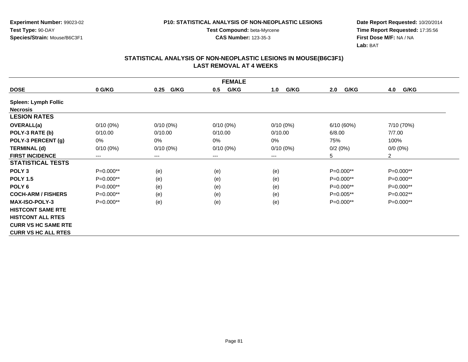**Experiment Number:** 99023-02**Test Type:** 90-DAY**Species/Strain:** Mouse/B6C3F1

**Test Compound:** beta-Myrcene**CAS Number:** 123-35-3

**Date Report Requested:** 10/20/2014 **Time Report Requested:** 17:35:56**First Dose M/F:** NA / NA**Lab:** BAT

|                             | <b>FEMALE</b> |                        |             |             |             |                |  |  |  |
|-----------------------------|---------------|------------------------|-------------|-------------|-------------|----------------|--|--|--|
| <b>DOSE</b>                 | 0 G/KG        | G/KG<br>0.25           | G/KG<br>0.5 | G/KG<br>1.0 | G/KG<br>2.0 | G/KG<br>4.0    |  |  |  |
| <b>Spleen: Lymph Follic</b> |               |                        |             |             |             |                |  |  |  |
| <b>Necrosis</b>             |               |                        |             |             |             |                |  |  |  |
| <b>LESION RATES</b>         |               |                        |             |             |             |                |  |  |  |
| <b>OVERALL(a)</b>           | $0/10(0\%)$   | $0/10(0\%)$            | $0/10(0\%)$ | $0/10(0\%)$ | 6/10(60%)   | 7/10 (70%)     |  |  |  |
| POLY-3 RATE (b)             | 0/10.00       | 0/10.00                | 0/10.00     | 0/10.00     | 6/8.00      | 7/7.00         |  |  |  |
| POLY-3 PERCENT (g)          | 0%            | 0%                     | 0%          | $0\%$       | 75%         | 100%           |  |  |  |
| <b>TERMINAL (d)</b>         | $0/10(0\%)$   | $0/10(0\%)$            | $0/10(0\%)$ | $0/10(0\%)$ | 0/2(0%)     | $0/0(0\%)$     |  |  |  |
| <b>FIRST INCIDENCE</b>      | $---$         | $\qquad \qquad \cdots$ | $---$       | ---         | 5           | $\overline{2}$ |  |  |  |
| <b>STATISTICAL TESTS</b>    |               |                        |             |             |             |                |  |  |  |
| POLY <sub>3</sub>           | P=0.000**     | (e)                    | (e)         | (e)         | P=0.000**   | P=0.000**      |  |  |  |
| <b>POLY 1.5</b>             | P=0.000**     | (e)                    | (e)         | (e)         | P=0.000**   | P=0.000**      |  |  |  |
| POLY <sub>6</sub>           | $P=0.000**$   | (e)                    | (e)         | (e)         | P=0.000**   | P=0.000**      |  |  |  |
| <b>COCH-ARM / FISHERS</b>   | P=0.000**     | (e)                    | (e)         | (e)         | P=0.005**   | P=0.002**      |  |  |  |
| <b>MAX-ISO-POLY-3</b>       | $P=0.000**$   | (e)                    | (e)         | (e)         | $P=0.000**$ | $P=0.000**$    |  |  |  |
| <b>HISTCONT SAME RTE</b>    |               |                        |             |             |             |                |  |  |  |
| <b>HISTCONT ALL RTES</b>    |               |                        |             |             |             |                |  |  |  |
| <b>CURR VS HC SAME RTE</b>  |               |                        |             |             |             |                |  |  |  |
| <b>CURR VS HC ALL RTES</b>  |               |                        |             |             |             |                |  |  |  |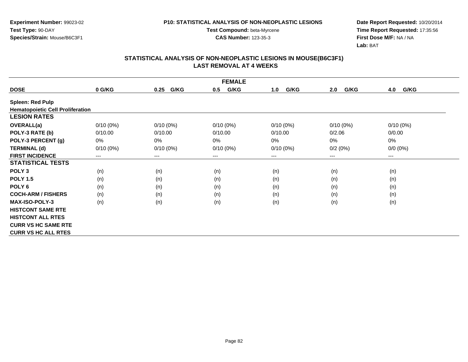**Experiment Number:** 99023-02**Test Type:** 90-DAY**Species/Strain:** Mouse/B6C3F1

**Test Compound:** beta-Myrcene**CAS Number:** 123-35-3

**Date Report Requested:** 10/20/2014 **Time Report Requested:** 17:35:56**First Dose M/F:** NA / NA**Lab:** BAT

| <b>FEMALE</b>                           |                        |              |             |             |             |                        |  |  |
|-----------------------------------------|------------------------|--------------|-------------|-------------|-------------|------------------------|--|--|
| <b>DOSE</b>                             | 0 G/KG                 | G/KG<br>0.25 | G/KG<br>0.5 | G/KG<br>1.0 | G/KG<br>2.0 | G/KG<br>4.0            |  |  |
| <b>Spleen: Red Pulp</b>                 |                        |              |             |             |             |                        |  |  |
| <b>Hematopoietic Cell Proliferation</b> |                        |              |             |             |             |                        |  |  |
| <b>LESION RATES</b>                     |                        |              |             |             |             |                        |  |  |
| <b>OVERALL(a)</b>                       | $0/10(0\%)$            | $0/10(0\%)$  | $0/10(0\%)$ | $0/10(0\%)$ | $0/10(0\%)$ | $0/10(0\%)$            |  |  |
| POLY-3 RATE (b)                         | 0/10.00                | 0/10.00      | 0/10.00     | 0/10.00     | 0/2.06      | 0/0.00                 |  |  |
| POLY-3 PERCENT (g)                      | 0%                     | $0\%$        | 0%          | 0%          | $0\%$       | 0%                     |  |  |
| <b>TERMINAL (d)</b>                     | $0/10(0\%)$            | $0/10(0\%)$  | $0/10(0\%)$ | $0/10(0\%)$ | 0/2(0%)     | $0/0 (0\%)$            |  |  |
| <b>FIRST INCIDENCE</b>                  | $\qquad \qquad \cdots$ | $---$        | ---         | ---         | $---$       | $\qquad \qquad \cdots$ |  |  |
| <b>STATISTICAL TESTS</b>                |                        |              |             |             |             |                        |  |  |
| POLY <sub>3</sub>                       | (n)                    | (n)          | (n)         | (n)         | (n)         | (n)                    |  |  |
| <b>POLY 1.5</b>                         | (n)                    | (n)          | (n)         | (n)         | (n)         | (n)                    |  |  |
| POLY <sub>6</sub>                       | (n)                    | (n)          | (n)         | (n)         | (n)         | (n)                    |  |  |
| <b>COCH-ARM / FISHERS</b>               | (n)                    | (n)          | (n)         | (n)         | (n)         | (n)                    |  |  |
| <b>MAX-ISO-POLY-3</b>                   | (n)                    | (n)          | (n)         | (n)         | (n)         | (n)                    |  |  |
| <b>HISTCONT SAME RTE</b>                |                        |              |             |             |             |                        |  |  |
| <b>HISTCONT ALL RTES</b>                |                        |              |             |             |             |                        |  |  |
| <b>CURR VS HC SAME RTE</b>              |                        |              |             |             |             |                        |  |  |
| <b>CURR VS HC ALL RTES</b>              |                        |              |             |             |             |                        |  |  |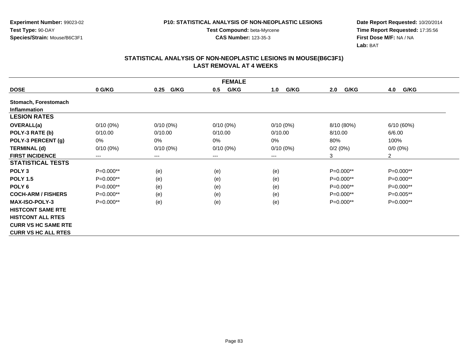**Experiment Number:** 99023-02**Test Type:** 90-DAY**Species/Strain:** Mouse/B6C3F1

**Test Compound:** beta-Myrcene**CAS Number:** 123-35-3

**Date Report Requested:** 10/20/2014 **Time Report Requested:** 17:35:56**First Dose M/F:** NA / NA**Lab:** BAT

|                            | <b>FEMALE</b> |              |             |             |             |                |  |  |  |
|----------------------------|---------------|--------------|-------------|-------------|-------------|----------------|--|--|--|
| <b>DOSE</b>                | 0 G/KG        | G/KG<br>0.25 | G/KG<br>0.5 | G/KG<br>1.0 | G/KG<br>2.0 | G/KG<br>4.0    |  |  |  |
| Stomach, Forestomach       |               |              |             |             |             |                |  |  |  |
| <b>Inflammation</b>        |               |              |             |             |             |                |  |  |  |
| <b>LESION RATES</b>        |               |              |             |             |             |                |  |  |  |
| <b>OVERALL(a)</b>          | $0/10(0\%)$   | $0/10(0\%)$  | $0/10(0\%)$ | $0/10(0\%)$ | 8/10 (80%)  | 6/10(60%)      |  |  |  |
| POLY-3 RATE (b)            | 0/10.00       | 0/10.00      | 0/10.00     | 0/10.00     | 8/10.00     | 6/6.00         |  |  |  |
| POLY-3 PERCENT (g)         | 0%            | 0%           | 0%          | $0\%$       | 80%         | 100%           |  |  |  |
| <b>TERMINAL (d)</b>        | $0/10(0\%)$   | $0/10(0\%)$  | $0/10(0\%)$ | $0/10(0\%)$ | 0/2(0%)     | $0/0(0\%)$     |  |  |  |
| <b>FIRST INCIDENCE</b>     | $---$         | $---$        | ---         | $---$       | 3           | $\overline{2}$ |  |  |  |
| <b>STATISTICAL TESTS</b>   |               |              |             |             |             |                |  |  |  |
| POLY <sub>3</sub>          | P=0.000**     | (e)          | (e)         | (e)         | $P=0.000**$ | $P=0.000**$    |  |  |  |
| <b>POLY 1.5</b>            | P=0.000**     | (e)          | (e)         | (e)         | $P=0.000**$ | $P=0.000**$    |  |  |  |
| POLY <sub>6</sub>          | $P=0.000**$   | (e)          | (e)         | (e)         | $P=0.000**$ | $P=0.000**$    |  |  |  |
| <b>COCH-ARM / FISHERS</b>  | P=0.000**     | (e)          | (e)         | (e)         | $P=0.000**$ | P=0.005**      |  |  |  |
| <b>MAX-ISO-POLY-3</b>      | $P=0.000**$   | (e)          | (e)         | (e)         | $P=0.000**$ | $P=0.000**$    |  |  |  |
| <b>HISTCONT SAME RTE</b>   |               |              |             |             |             |                |  |  |  |
| <b>HISTCONT ALL RTES</b>   |               |              |             |             |             |                |  |  |  |
| <b>CURR VS HC SAME RTE</b> |               |              |             |             |             |                |  |  |  |
| <b>CURR VS HC ALL RTES</b> |               |              |             |             |             |                |  |  |  |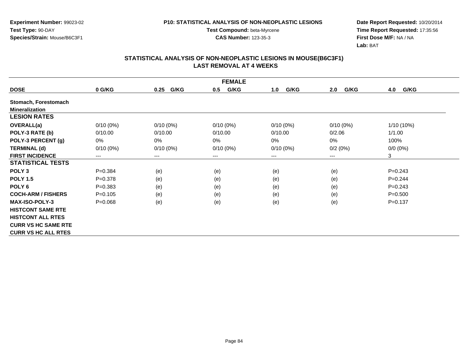**Experiment Number:** 99023-02**Test Type:** 90-DAY**Species/Strain:** Mouse/B6C3F1

**Test Compound:** beta-Myrcene**CAS Number:** 123-35-3

**Date Report Requested:** 10/20/2014 **Time Report Requested:** 17:35:56**First Dose M/F:** NA / NA**Lab:** BAT

| <b>FEMALE</b>              |                        |              |             |             |             |             |  |  |
|----------------------------|------------------------|--------------|-------------|-------------|-------------|-------------|--|--|
| <b>DOSE</b>                | 0 G/KG                 | G/KG<br>0.25 | G/KG<br>0.5 | G/KG<br>1.0 | G/KG<br>2.0 | G/KG<br>4.0 |  |  |
| Stomach, Forestomach       |                        |              |             |             |             |             |  |  |
| <b>Mineralization</b>      |                        |              |             |             |             |             |  |  |
| <b>LESION RATES</b>        |                        |              |             |             |             |             |  |  |
| <b>OVERALL(a)</b>          | $0/10(0\%)$            | $0/10(0\%)$  | $0/10(0\%)$ | $0/10(0\%)$ | $0/10(0\%)$ | 1/10 (10%)  |  |  |
| POLY-3 RATE (b)            | 0/10.00                | 0/10.00      | 0/10.00     | 0/10.00     | 0/2.06      | 1/1.00      |  |  |
| POLY-3 PERCENT (g)         | 0%                     | 0%           | 0%          | 0%          | 0%          | 100%        |  |  |
| <b>TERMINAL (d)</b>        | $0/10(0\%)$            | $0/10(0\%)$  | $0/10(0\%)$ | $0/10(0\%)$ | 0/2(0%)     | $0/0(0\%)$  |  |  |
| <b>FIRST INCIDENCE</b>     | $\qquad \qquad \cdots$ | $\cdots$     | $---$       | ---         | ---         | 3           |  |  |
| <b>STATISTICAL TESTS</b>   |                        |              |             |             |             |             |  |  |
| POLY <sub>3</sub>          | $P = 0.384$            | (e)          | (e)         | (e)         | (e)         | $P=0.243$   |  |  |
| <b>POLY 1.5</b>            | $P = 0.378$            | (e)          | (e)         | (e)         | (e)         | $P=0.244$   |  |  |
| POLY <sub>6</sub>          | $P = 0.383$            | (e)          | (e)         | (e)         | (e)         | $P = 0.243$ |  |  |
| <b>COCH-ARM / FISHERS</b>  | $P = 0.105$            | (e)          | (e)         | (e)         | (e)         | $P = 0.500$ |  |  |
| <b>MAX-ISO-POLY-3</b>      | $P = 0.068$            | (e)          | (e)         | (e)         | (e)         | $P = 0.137$ |  |  |
| <b>HISTCONT SAME RTE</b>   |                        |              |             |             |             |             |  |  |
| <b>HISTCONT ALL RTES</b>   |                        |              |             |             |             |             |  |  |
| <b>CURR VS HC SAME RTE</b> |                        |              |             |             |             |             |  |  |
| <b>CURR VS HC ALL RTES</b> |                        |              |             |             |             |             |  |  |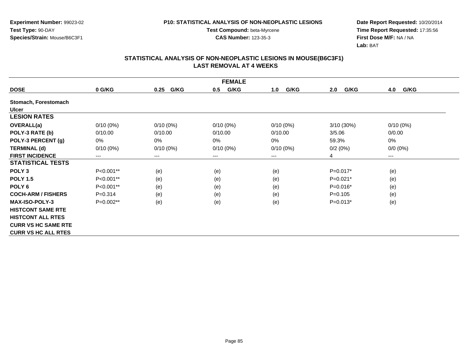**Experiment Number:** 99023-02**Test Type:** 90-DAY**Species/Strain:** Mouse/B6C3F1

**Test Compound:** beta-Myrcene**CAS Number:** 123-35-3

**Date Report Requested:** 10/20/2014 **Time Report Requested:** 17:35:56**First Dose M/F:** NA / NA**Lab:** BAT

|                            | <b>FEMALE</b>          |              |             |             |             |                      |
|----------------------------|------------------------|--------------|-------------|-------------|-------------|----------------------|
| <b>DOSE</b>                | 0 G/KG                 | G/KG<br>0.25 | G/KG<br>0.5 | G/KG<br>1.0 | G/KG<br>2.0 | G/KG<br>4.0          |
| Stomach, Forestomach       |                        |              |             |             |             |                      |
| <b>Ulcer</b>               |                        |              |             |             |             |                      |
| <b>LESION RATES</b>        |                        |              |             |             |             |                      |
| OVERALL(a)                 | $0/10(0\%)$            | $0/10(0\%)$  | $0/10(0\%)$ | $0/10(0\%)$ | 3/10 (30%)  | $0/10(0\%)$          |
| POLY-3 RATE (b)            | 0/10.00                | 0/10.00      | 0/10.00     | 0/10.00     | 3/5.06      | 0/0.00               |
| POLY-3 PERCENT (g)         | 0%                     | 0%           | 0%          | 0%          | 59.3%       | 0%                   |
| <b>TERMINAL (d)</b>        | $0/10(0\%)$            | $0/10(0\%)$  | $0/10(0\%)$ | $0/10(0\%)$ | 0/2(0%)     | $0/0 (0\%)$          |
| <b>FIRST INCIDENCE</b>     | $\qquad \qquad \cdots$ | $---$        | ---         | ---         | 4           | $\scriptstyle\cdots$ |
| <b>STATISTICAL TESTS</b>   |                        |              |             |             |             |                      |
| POLY <sub>3</sub>          | P<0.001**              | (e)          | (e)         | (e)         | $P=0.017*$  | (e)                  |
| <b>POLY 1.5</b>            | P<0.001**              | (e)          | (e)         | (e)         | $P=0.021*$  | (e)                  |
| POLY <sub>6</sub>          | P<0.001**              | (e)          | (e)         | (e)         | $P=0.016*$  | (e)                  |
| <b>COCH-ARM / FISHERS</b>  | $P = 0.314$            | (e)          | (e)         | (e)         | $P=0.105$   | (e)                  |
| <b>MAX-ISO-POLY-3</b>      | P=0.002**              | (e)          | (e)         | (e)         | $P=0.013*$  | (e)                  |
| <b>HISTCONT SAME RTE</b>   |                        |              |             |             |             |                      |
| <b>HISTCONT ALL RTES</b>   |                        |              |             |             |             |                      |
| <b>CURR VS HC SAME RTE</b> |                        |              |             |             |             |                      |
| <b>CURR VS HC ALL RTES</b> |                        |              |             |             |             |                      |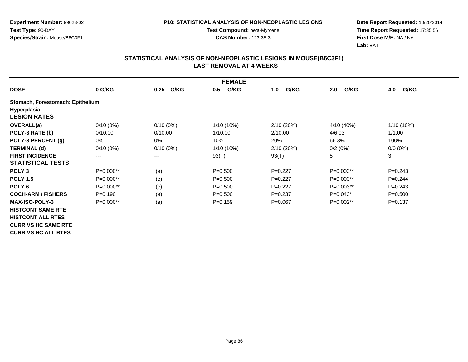**Test Compound:** beta-Myrcene**CAS Number:** 123-35-3

**Date Report Requested:** 10/20/2014 **Time Report Requested:** 17:35:56**First Dose M/F:** NA / NA**Lab:** BAT

|                                  | <b>FEMALE</b> |                        |             |             |             |             |
|----------------------------------|---------------|------------------------|-------------|-------------|-------------|-------------|
| <b>DOSE</b>                      | 0 G/KG        | G/KG<br>0.25           | G/KG<br>0.5 | G/KG<br>1.0 | G/KG<br>2.0 | G/KG<br>4.0 |
| Stomach, Forestomach: Epithelium |               |                        |             |             |             |             |
| Hyperplasia                      |               |                        |             |             |             |             |
| <b>LESION RATES</b>              |               |                        |             |             |             |             |
| <b>OVERALL(a)</b>                | $0/10(0\%)$   | $0/10(0\%)$            | 1/10 (10%)  | 2/10(20%)   | 4/10 (40%)  | 1/10 (10%)  |
| POLY-3 RATE (b)                  | 0/10.00       | 0/10.00                | 1/10.00     | 2/10.00     | 4/6.03      | 1/1.00      |
| POLY-3 PERCENT (g)               | 0%            | 0%                     | 10%         | 20%         | 66.3%       | 100%        |
| <b>TERMINAL (d)</b>              | $0/10(0\%)$   | $0/10(0\%)$            | 1/10 (10%)  | 2/10 (20%)  | 0/2(0%)     | $0/0 (0\%)$ |
| <b>FIRST INCIDENCE</b>           | ---           | $\qquad \qquad \cdots$ | 93(T)       | 93(T)       | 5           | 3           |
| <b>STATISTICAL TESTS</b>         |               |                        |             |             |             |             |
| POLY <sub>3</sub>                | P=0.000**     | (e)                    | $P = 0.500$ | $P=0.227$   | $P=0.003**$ | $P = 0.243$ |
| <b>POLY 1.5</b>                  | P=0.000**     | (e)                    | $P = 0.500$ | $P=0.227$   | $P=0.003**$ | $P=0.244$   |
| POLY <sub>6</sub>                | $P=0.000**$   | (e)                    | $P = 0.500$ | $P=0.227$   | $P=0.003**$ | $P = 0.243$ |
| <b>COCH-ARM / FISHERS</b>        | $P = 0.190$   | (e)                    | $P = 0.500$ | $P = 0.237$ | $P=0.043*$  | $P = 0.500$ |
| <b>MAX-ISO-POLY-3</b>            | $P=0.000**$   | (e)                    | $P=0.159$   | $P = 0.067$ | $P=0.002**$ | $P = 0.137$ |
| <b>HISTCONT SAME RTE</b>         |               |                        |             |             |             |             |
| <b>HISTCONT ALL RTES</b>         |               |                        |             |             |             |             |
| <b>CURR VS HC SAME RTE</b>       |               |                        |             |             |             |             |
| <b>CURR VS HC ALL RTES</b>       |               |                        |             |             |             |             |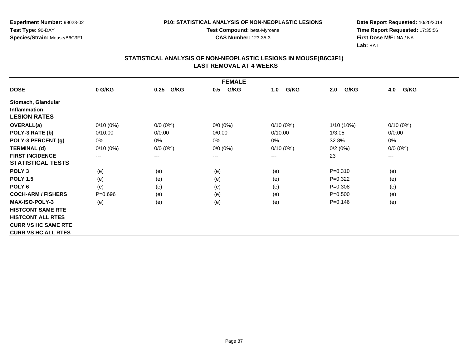**Experiment Number:** 99023-02**Test Type:** 90-DAY**Species/Strain:** Mouse/B6C3F1

**Test Compound:** beta-Myrcene**CAS Number:** 123-35-3

**Date Report Requested:** 10/20/2014 **Time Report Requested:** 17:35:56**First Dose M/F:** NA / NA**Lab:** BAT

|                            | <b>FEMALE</b> |              |             |             |             |             |
|----------------------------|---------------|--------------|-------------|-------------|-------------|-------------|
| <b>DOSE</b>                | 0 G/KG        | G/KG<br>0.25 | G/KG<br>0.5 | G/KG<br>1.0 | G/KG<br>2.0 | 4.0<br>G/KG |
| Stomach, Glandular         |               |              |             |             |             |             |
| <b>Inflammation</b>        |               |              |             |             |             |             |
| <b>LESION RATES</b>        |               |              |             |             |             |             |
| OVERALL(a)                 | $0/10(0\%)$   | $0/0 (0\%)$  | $0/0 (0\%)$ | $0/10(0\%)$ | 1/10 (10%)  | $0/10(0\%)$ |
| POLY-3 RATE (b)            | 0/10.00       | 0/0.00       | 0/0.00      | 0/10.00     | 1/3.05      | 0/0.00      |
| POLY-3 PERCENT (g)         | 0%            | 0%           | 0%          | $0\%$       | 32.8%       | 0%          |
| <b>TERMINAL (d)</b>        | $0/10(0\%)$   | $0/0 (0\%)$  | $0/0 (0\%)$ | $0/10(0\%)$ | 0/2(0%)     | $0/0 (0\%)$ |
| <b>FIRST INCIDENCE</b>     | ---           | $\cdots$     | $---$       | ---         | 23          | ---         |
| <b>STATISTICAL TESTS</b>   |               |              |             |             |             |             |
| POLY <sub>3</sub>          | (e)           | (e)          | (e)         | (e)         | $P = 0.310$ | (e)         |
| <b>POLY 1.5</b>            | (e)           | (e)          | (e)         | (e)         | $P=0.322$   | (e)         |
| POLY <sub>6</sub>          | (e)           | (e)          | (e)         | (e)         | $P = 0.308$ | (e)         |
| <b>COCH-ARM / FISHERS</b>  | $P = 0.696$   | (e)          | (e)         | (e)         | $P = 0.500$ | (e)         |
| <b>MAX-ISO-POLY-3</b>      | (e)           | (e)          | (e)         | (e)         | $P = 0.146$ | (e)         |
| <b>HISTCONT SAME RTE</b>   |               |              |             |             |             |             |
| <b>HISTCONT ALL RTES</b>   |               |              |             |             |             |             |
| <b>CURR VS HC SAME RTE</b> |               |              |             |             |             |             |
| <b>CURR VS HC ALL RTES</b> |               |              |             |             |             |             |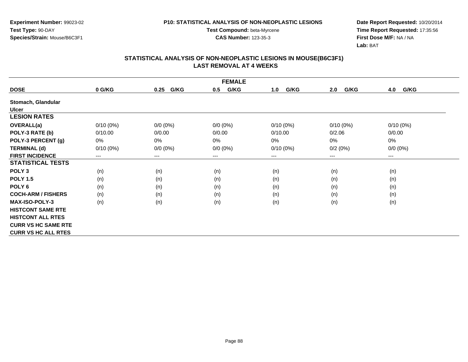**Experiment Number:** 99023-02**Test Type:** 90-DAY**Species/Strain:** Mouse/B6C3F1

**Test Compound:** beta-Myrcene**CAS Number:** 123-35-3

**Date Report Requested:** 10/20/2014 **Time Report Requested:** 17:35:56**First Dose M/F:** NA / NA**Lab:** BAT

|                            | <b>FEMALE</b> |              |             |             |             |             |
|----------------------------|---------------|--------------|-------------|-------------|-------------|-------------|
| <b>DOSE</b>                | 0 G/KG        | G/KG<br>0.25 | G/KG<br>0.5 | G/KG<br>1.0 | G/KG<br>2.0 | G/KG<br>4.0 |
| Stomach, Glandular         |               |              |             |             |             |             |
| Ulcer                      |               |              |             |             |             |             |
| <b>LESION RATES</b>        |               |              |             |             |             |             |
| OVERALL(a)                 | $0/10(0\%)$   | $0/0 (0\%)$  | $0/0 (0\%)$ | $0/10(0\%)$ | $0/10(0\%)$ | $0/10(0\%)$ |
| POLY-3 RATE (b)            | 0/10.00       | 0/0.00       | 0/0.00      | 0/10.00     | 0/2.06      | 0/0.00      |
| POLY-3 PERCENT (g)         | 0%            | 0%           | 0%          | $0\%$       | $0\%$       | $0\%$       |
| <b>TERMINAL (d)</b>        | $0/10(0\%)$   | $0/0 (0\%)$  | $0/0 (0\%)$ | $0/10(0\%)$ | 0/2(0%)     | $0/0 (0\%)$ |
| <b>FIRST INCIDENCE</b>     | ---           | $\cdots$     | $---$       | ---         | $---$       | ---         |
| <b>STATISTICAL TESTS</b>   |               |              |             |             |             |             |
| POLY <sub>3</sub>          | (n)           | (n)          | (n)         | (n)         | (n)         | (n)         |
| <b>POLY 1.5</b>            | (n)           | (n)          | (n)         | (n)         | (n)         | (n)         |
| POLY <sub>6</sub>          | (n)           | (n)          | (n)         | (n)         | (n)         | (n)         |
| <b>COCH-ARM / FISHERS</b>  | (n)           | (n)          | (n)         | (n)         | (n)         | (n)         |
| <b>MAX-ISO-POLY-3</b>      | (n)           | (n)          | (n)         | (n)         | (n)         | (n)         |
| <b>HISTCONT SAME RTE</b>   |               |              |             |             |             |             |
| <b>HISTCONT ALL RTES</b>   |               |              |             |             |             |             |
| <b>CURR VS HC SAME RTE</b> |               |              |             |             |             |             |
| <b>CURR VS HC ALL RTES</b> |               |              |             |             |             |             |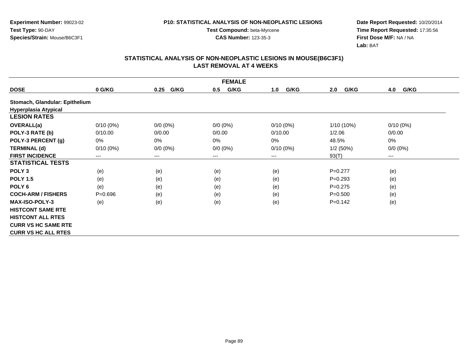**Experiment Number:** 99023-02**Test Type:** 90-DAY**Species/Strain:** Mouse/B6C3F1

**Test Compound:** beta-Myrcene**CAS Number:** 123-35-3

**Date Report Requested:** 10/20/2014 **Time Report Requested:** 17:35:56**First Dose M/F:** NA / NA**Lab:** BAT

|                                | <b>FEMALE</b> |                        |             |             |             |             |
|--------------------------------|---------------|------------------------|-------------|-------------|-------------|-------------|
| <b>DOSE</b>                    | 0 G/KG        | G/KG<br>0.25           | G/KG<br>0.5 | G/KG<br>1.0 | G/KG<br>2.0 | G/KG<br>4.0 |
| Stomach, Glandular: Epithelium |               |                        |             |             |             |             |
| <b>Hyperplasia Atypical</b>    |               |                        |             |             |             |             |
| <b>LESION RATES</b>            |               |                        |             |             |             |             |
| OVERALL(a)                     | $0/10(0\%)$   | $0/0 (0\%)$            | $0/0 (0\%)$ | $0/10(0\%)$ | 1/10 (10%)  | $0/10(0\%)$ |
| POLY-3 RATE (b)                | 0/10.00       | 0/0.00                 | 0/0.00      | 0/10.00     | 1/2.06      | 0/0.00      |
| POLY-3 PERCENT (g)             | 0%            | 0%                     | 0%          | 0%          | 48.5%       | 0%          |
| <b>TERMINAL (d)</b>            | $0/10(0\%)$   | $0/0 (0\%)$            | $0/0 (0\%)$ | $0/10(0\%)$ | 1/2(50%)    | $0/0 (0\%)$ |
| <b>FIRST INCIDENCE</b>         | $---$         | $\qquad \qquad \cdots$ | $--$        | ---         | 93(T)       | $---$       |
| <b>STATISTICAL TESTS</b>       |               |                        |             |             |             |             |
| POLY <sub>3</sub>              | (e)           | (e)                    | (e)         | (e)         | $P=0.277$   | (e)         |
| <b>POLY 1.5</b>                | (e)           | (e)                    | (e)         | (e)         | $P=0.293$   | (e)         |
| POLY <sub>6</sub>              | (e)           | (e)                    | (e)         | (e)         | $P=0.275$   | (e)         |
| <b>COCH-ARM / FISHERS</b>      | $P = 0.696$   | (e)                    | (e)         | (e)         | $P = 0.500$ | (e)         |
| <b>MAX-ISO-POLY-3</b>          | (e)           | (e)                    | (e)         | (e)         | $P=0.142$   | (e)         |
| <b>HISTCONT SAME RTE</b>       |               |                        |             |             |             |             |
| <b>HISTCONT ALL RTES</b>       |               |                        |             |             |             |             |
| <b>CURR VS HC SAME RTE</b>     |               |                        |             |             |             |             |
| <b>CURR VS HC ALL RTES</b>     |               |                        |             |             |             |             |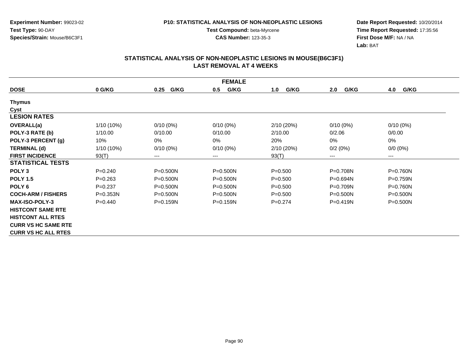**Experiment Number:** 99023-02**Test Type:** 90-DAY**Species/Strain:** Mouse/B6C3F1

**Test Compound:** beta-Myrcene**CAS Number:** 123-35-3

**Date Report Requested:** 10/20/2014 **Time Report Requested:** 17:35:56**First Dose M/F:** NA / NA**Lab:** BAT

| <b>FEMALE</b>              |              |                        |              |             |                            |              |
|----------------------------|--------------|------------------------|--------------|-------------|----------------------------|--------------|
| <b>DOSE</b>                | 0 G/KG       | G/KG<br>0.25           | G/KG<br>0.5  | G/KG<br>1.0 | G/KG<br>2.0                | G/KG<br>4.0  |
| <b>Thymus</b>              |              |                        |              |             |                            |              |
| Cyst                       |              |                        |              |             |                            |              |
| <b>LESION RATES</b>        |              |                        |              |             |                            |              |
| OVERALL(a)                 | $1/10(10\%)$ | $0/10(0\%)$            | $0/10(0\%)$  | 2/10(20%)   | $0/10(0\%)$                | $0/10(0\%)$  |
| POLY-3 RATE (b)            | 1/10.00      | 0/10.00                | 0/10.00      | 2/10.00     | 0/2.06                     | 0/0.00       |
| POLY-3 PERCENT (g)         | 10%          | 0%                     | 0%           | 20%         | 0%                         | 0%           |
| <b>TERMINAL (d)</b>        | $1/10(10\%)$ | $0/10(0\%)$            | $0/10(0\%)$  | 2/10 (20%)  | 0/2(0%)                    | $0/0 (0\%)$  |
| <b>FIRST INCIDENCE</b>     | 93(T)        | $\qquad \qquad \cdots$ | $---$        | 93(T)       | $\qquad \qquad - \qquad -$ | $---$        |
| <b>STATISTICAL TESTS</b>   |              |                        |              |             |                            |              |
| POLY <sub>3</sub>          | $P = 0.240$  | $P = 0.500N$           | $P = 0.500N$ | $P = 0.500$ | P=0.708N                   | P=0.760N     |
| <b>POLY 1.5</b>            | $P=0.263$    | $P = 0.500N$           | $P = 0.500N$ | $P = 0.500$ | P=0.694N                   | P=0.759N     |
| POLY <sub>6</sub>          | $P = 0.237$  | $P = 0.500N$           | $P = 0.500N$ | $P = 0.500$ | $P = 0.709N$               | $P = 0.760N$ |
| <b>COCH-ARM / FISHERS</b>  | $P = 0.353N$ | $P = 0.500N$           | $P = 0.500N$ | $P = 0.500$ | $P = 0.500N$               | $P = 0.500N$ |
| <b>MAX-ISO-POLY-3</b>      | $P=0.440$    | $P = 0.159N$           | $P = 0.159N$ | $P=0.274$   | $P = 0.419N$               | $P = 0.500N$ |
| <b>HISTCONT SAME RTE</b>   |              |                        |              |             |                            |              |
| <b>HISTCONT ALL RTES</b>   |              |                        |              |             |                            |              |
| <b>CURR VS HC SAME RTE</b> |              |                        |              |             |                            |              |
| <b>CURR VS HC ALL RTES</b> |              |                        |              |             |                            |              |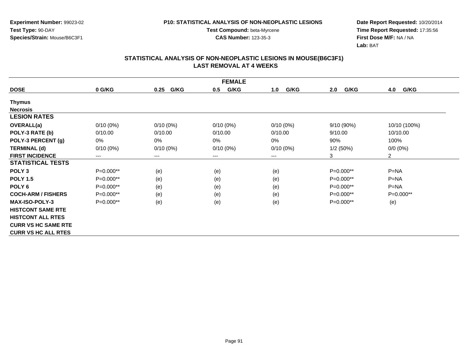**Experiment Number:** 99023-02**Test Type:** 90-DAY**Species/Strain:** Mouse/B6C3F1

**Test Compound:** beta-Myrcene**CAS Number:** 123-35-3

**Date Report Requested:** 10/20/2014 **Time Report Requested:** 17:35:56**First Dose M/F:** NA / NA**Lab:** BAT

|                            | <b>FEMALE</b> |                            |             |             |             |                |
|----------------------------|---------------|----------------------------|-------------|-------------|-------------|----------------|
| <b>DOSE</b>                | 0 G/KG        | G/KG<br>0.25               | G/KG<br>0.5 | G/KG<br>1.0 | 2.0<br>G/KG | 4.0<br>G/KG    |
| Thymus                     |               |                            |             |             |             |                |
| <b>Necrosis</b>            |               |                            |             |             |             |                |
| <b>LESION RATES</b>        |               |                            |             |             |             |                |
| <b>OVERALL(a)</b>          | $0/10(0\%)$   | $0/10(0\%)$                | $0/10(0\%)$ | $0/10(0\%)$ | 9/10(90%)   | 10/10 (100%)   |
| POLY-3 RATE (b)            | 0/10.00       | 0/10.00                    | 0/10.00     | 0/10.00     | 9/10.00     | 10/10.00       |
| POLY-3 PERCENT (g)         | 0%            | 0%                         | 0%          | 0%          | 90%         | 100%           |
| <b>TERMINAL (d)</b>        | $0/10(0\%)$   | $0/10(0\%)$                | $0/10(0\%)$ | $0/10(0\%)$ | 1/2(50%)    | $0/0 (0\%)$    |
| <b>FIRST INCIDENCE</b>     | ---           | $\qquad \qquad - \qquad -$ | $--$        | ---         | 3           | $\overline{2}$ |
| <b>STATISTICAL TESTS</b>   |               |                            |             |             |             |                |
| POLY <sub>3</sub>          | P=0.000**     | (e)                        | (e)         | (e)         | $P=0.000**$ | $P = NA$       |
| <b>POLY 1.5</b>            | $P=0.000**$   | (e)                        | (e)         | (e)         | $P=0.000**$ | $P = NA$       |
| POLY <sub>6</sub>          | P=0.000**     | (e)                        | (e)         | (e)         | $P=0.000**$ | $P = NA$       |
| <b>COCH-ARM / FISHERS</b>  | $P=0.000**$   | (e)                        | (e)         | (e)         | $P=0.000**$ | $P=0.000**$    |
| <b>MAX-ISO-POLY-3</b>      | P=0.000**     | (e)                        | (e)         | (e)         | $P=0.000**$ | (e)            |
| <b>HISTCONT SAME RTE</b>   |               |                            |             |             |             |                |
| <b>HISTCONT ALL RTES</b>   |               |                            |             |             |             |                |
| <b>CURR VS HC SAME RTE</b> |               |                            |             |             |             |                |
| <b>CURR VS HC ALL RTES</b> |               |                            |             |             |             |                |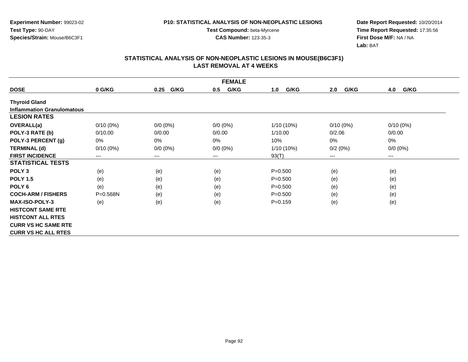**Experiment Number:** 99023-02**Test Type:** 90-DAY**Species/Strain:** Mouse/B6C3F1

**Test Compound:** beta-Myrcene**CAS Number:** 123-35-3

**Date Report Requested:** 10/20/2014 **Time Report Requested:** 17:35:56**First Dose M/F:** NA / NA**Lab:** BAT

|                                   | <b>FEMALE</b> |              |             |              |             |             |
|-----------------------------------|---------------|--------------|-------------|--------------|-------------|-------------|
| <b>DOSE</b>                       | 0 G/KG        | G/KG<br>0.25 | G/KG<br>0.5 | G/KG<br>1.0  | G/KG<br>2.0 | G/KG<br>4.0 |
| <b>Thyroid Gland</b>              |               |              |             |              |             |             |
| <b>Inflammation Granulomatous</b> |               |              |             |              |             |             |
| <b>LESION RATES</b>               |               |              |             |              |             |             |
| <b>OVERALL(a)</b>                 | $0/10(0\%)$   | $0/0 (0\%)$  | $0/0 (0\%)$ | $1/10(10\%)$ | $0/10(0\%)$ | $0/10(0\%)$ |
| POLY-3 RATE (b)                   | 0/10.00       | 0/0.00       | 0/0.00      | 1/10.00      | 0/2.06      | 0/0.00      |
| POLY-3 PERCENT (g)                | 0%            | 0%           | 0%          | 10%          | 0%          | $0\%$       |
| <b>TERMINAL (d)</b>               | $0/10(0\%)$   | $0/0 (0\%)$  | $0/0 (0\%)$ | 1/10 (10%)   | 0/2(0%)     | $0/0 (0\%)$ |
| <b>FIRST INCIDENCE</b>            | $--$          | $---$        | ---         | 93(T)        | $---$       | $---$       |
| <b>STATISTICAL TESTS</b>          |               |              |             |              |             |             |
| POLY <sub>3</sub>                 | (e)           | (e)          | (e)         | $P = 0.500$  | (e)         | (e)         |
| <b>POLY 1.5</b>                   | (e)           | (e)          | (e)         | $P = 0.500$  | (e)         | (e)         |
| POLY <sub>6</sub>                 | (e)           | (e)          | (e)         | $P = 0.500$  | (e)         | (e)         |
| <b>COCH-ARM / FISHERS</b>         | $P = 0.568N$  | (e)          | (e)         | $P = 0.500$  | (e)         | (e)         |
| <b>MAX-ISO-POLY-3</b>             | (e)           | (e)          | (e)         | $P = 0.159$  | (e)         | (e)         |
| <b>HISTCONT SAME RTE</b>          |               |              |             |              |             |             |
| <b>HISTCONT ALL RTES</b>          |               |              |             |              |             |             |
| <b>CURR VS HC SAME RTE</b>        |               |              |             |              |             |             |
| <b>CURR VS HC ALL RTES</b>        |               |              |             |              |             |             |